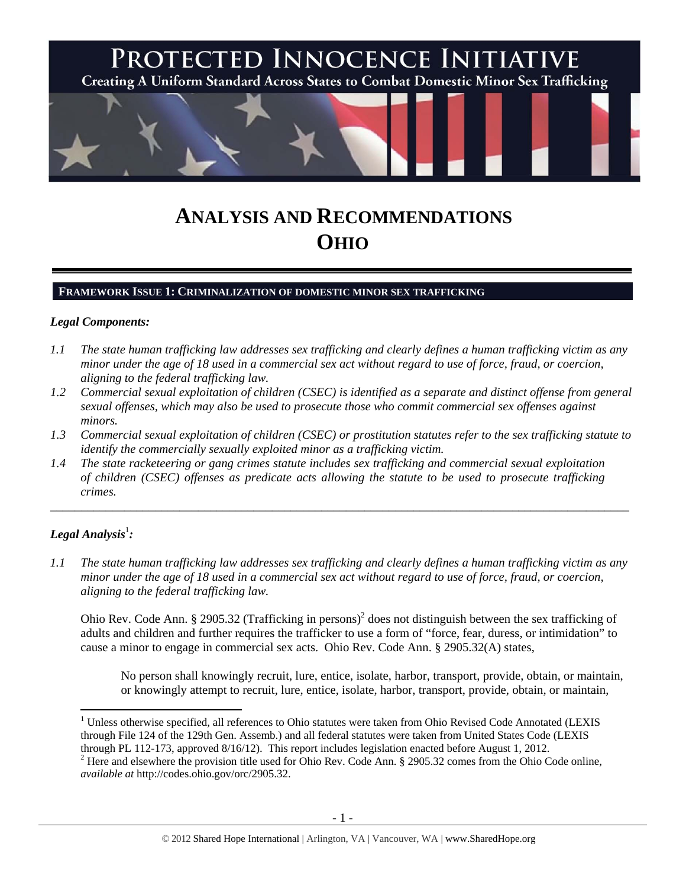

# **ANALYSIS AND RECOMMENDATIONS OHIO**

#### **FRAMEWORK ISSUE 1: CRIMINALIZATION OF DOMESTIC MINOR SEX TRAFFICKING**

#### *Legal Components:*

- *1.1 The state human trafficking law addresses sex trafficking and clearly defines a human trafficking victim as any minor under the age of 18 used in a commercial sex act without regard to use of force, fraud, or coercion, aligning to the federal trafficking law.*
- *1.2 Commercial sexual exploitation of children (CSEC) is identified as a separate and distinct offense from general sexual offenses, which may also be used to prosecute those who commit commercial sex offenses against minors.*
- *1.3 Commercial sexual exploitation of children (CSEC) or prostitution statutes refer to the sex trafficking statute to identify the commercially sexually exploited minor as a trafficking victim.*

\_\_\_\_\_\_\_\_\_\_\_\_\_\_\_\_\_\_\_\_\_\_\_\_\_\_\_\_\_\_\_\_\_\_\_\_\_\_\_\_\_\_\_\_\_\_\_\_\_\_\_\_\_\_\_\_\_\_\_\_\_\_\_\_\_\_\_\_\_\_\_\_\_\_\_\_\_\_\_\_\_\_\_\_\_\_\_\_\_\_\_\_\_\_

*1.4 The state racketeering or gang crimes statute includes sex trafficking and commercial sexual exploitation of children (CSEC) offenses as predicate acts allowing the statute to be used to prosecute trafficking crimes.* 

## $\bm{L}$ egal Analysis $^{\rm l}$ :

*1.1 The state human trafficking law addresses sex trafficking and clearly defines a human trafficking victim as any minor under the age of 18 used in a commercial sex act without regard to use of force, fraud, or coercion, aligning to the federal trafficking law.* 

Ohio Rev. Code Ann. § 2905.32 (Trafficking in persons)<sup>2</sup> does not distinguish between the sex trafficking of adults and children and further requires the trafficker to use a form of "force, fear, duress, or intimidation" to cause a minor to engage in commercial sex acts. Ohio Rev. Code Ann. § 2905.32(A) states,

No person shall knowingly recruit, lure, entice, isolate, harbor, transport, provide, obtain, or maintain, or knowingly attempt to recruit, lure, entice, isolate, harbor, transport, provide, obtain, or maintain,

 <sup>1</sup> Unless otherwise specified, all references to Ohio statutes were taken from Ohio Revised Code Annotated (LEXIS through File 124 of the 129th Gen. Assemb.) and all federal statutes were taken from United States Code (LEXIS through PL 112-173, approved 8/16/12). This report includes legislation enacted before August 1, 2012.

 $2^2$  Here and elsewhere the provision title used for Ohio Rev. Code Ann. § 2905.32 comes from the Ohio Code online, *available at* http://codes.ohio.gov/orc/2905.32.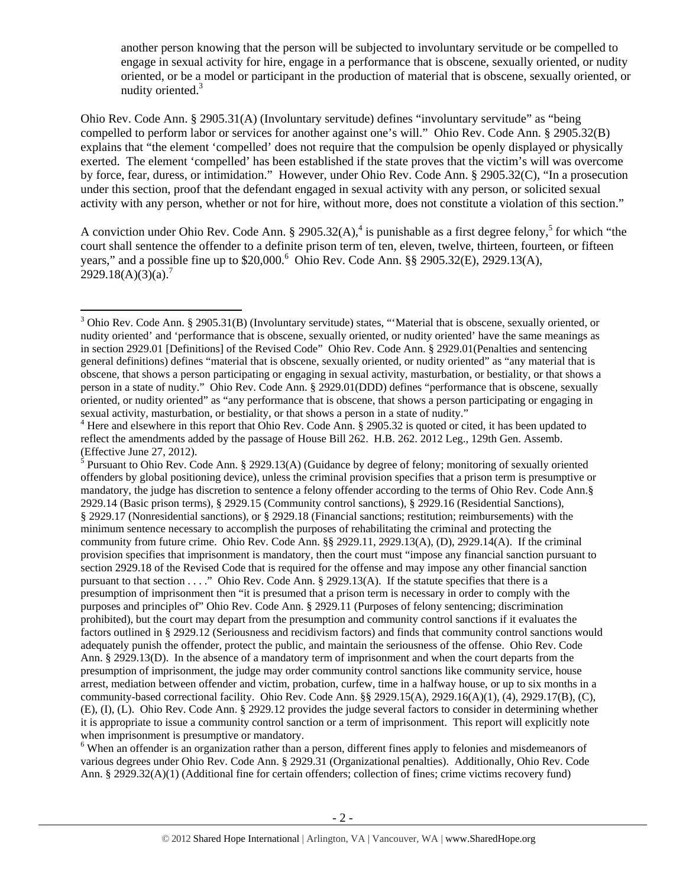another person knowing that the person will be subjected to involuntary servitude or be compelled to engage in sexual activity for hire, engage in a performance that is obscene, sexually oriented, or nudity oriented, or be a model or participant in the production of material that is obscene, sexually oriented, or nudity oriented.<sup>3</sup>

Ohio Rev. Code Ann. § 2905.31(A) (Involuntary servitude) defines "involuntary servitude" as "being compelled to perform labor or services for another against one's will." Ohio Rev. Code Ann. § 2905.32(B) explains that "the element 'compelled' does not require that the compulsion be openly displayed or physically exerted. The element 'compelled' has been established if the state proves that the victim's will was overcome by force, fear, duress, or intimidation." However, under Ohio Rev. Code Ann. § 2905.32(C), "In a prosecution under this section, proof that the defendant engaged in sexual activity with any person, or solicited sexual activity with any person, whether or not for hire, without more, does not constitute a violation of this section."

A conviction under Ohio Rev. Code Ann. § 2905.32(A),<sup>4</sup> is punishable as a first degree felony,<sup>5</sup> for which "the court shall sentence the offender to a definite prison term of ten, eleven, twelve, thirteen, fourteen, or fifteen years," and a possible fine up to \$20,000.<sup>6</sup> Ohio Rev. Code Ann. §§ 2905.32(E), 2929.13(A),  $2929.18(A)(3)(a)^{7}$ 

<sup>6</sup> When an offender is an organization rather than a person, different fines apply to felonies and misdemeanors of various degrees under Ohio Rev. Code Ann. § 2929.31 (Organizational penalties). Additionally, Ohio Rev. Code Ann. § 2929.32(A)(1) (Additional fine for certain offenders; collection of fines; crime victims recovery fund)

<sup>&</sup>lt;sup>3</sup> Ohio Rev. Code Ann. § 2905.31(B) (Involuntary servitude) states, "'Material that is obscene, sexually oriented, or nudity oriented' and 'performance that is obscene, sexually oriented, or nudity oriented' have the same meanings as in section 2929.01 [Definitions] of the Revised Code" Ohio Rev. Code Ann. § 2929.01(Penalties and sentencing general definitions) defines "material that is obscene, sexually oriented, or nudity oriented" as "any material that is obscene, that shows a person participating or engaging in sexual activity, masturbation, or bestiality, or that shows a person in a state of nudity." Ohio Rev. Code Ann. § 2929.01(DDD) defines "performance that is obscene, sexually oriented, or nudity oriented" as "any performance that is obscene, that shows a person participating or engaging in sexual activity, masturbation, or bestiality, or that shows a person in a state of nudity."

<sup>&</sup>lt;sup>4</sup> Here and elsewhere in this report that Ohio Rev. Code Ann. § 2905.32 is quoted or cited, it has been updated to reflect the amendments added by the passage of House Bill 262. H.B. 262. 2012 Leg., 129th Gen. Assemb. (Effective June 27, 2012).

<sup>&</sup>lt;sup>5</sup> Pursuant to Ohio Rev. Code Ann. § 2929.13(A) (Guidance by degree of felony; monitoring of sexually oriented offenders by global positioning device), unless the criminal provision specifies that a prison term is presumptive or mandatory, the judge has discretion to sentence a felony offender according to the terms of Ohio Rev. Code Ann.§ 2929.14 (Basic prison terms), § 2929.15 (Community control sanctions), § 2929.16 (Residential Sanctions), § 2929.17 (Nonresidential sanctions), or § 2929.18 (Financial sanctions; restitution; reimbursements) with the minimum sentence necessary to accomplish the purposes of rehabilitating the criminal and protecting the community from future crime. Ohio Rev. Code Ann. §§ 2929.11, 2929.13(A), (D), 2929.14(A). If the criminal provision specifies that imprisonment is mandatory, then the court must "impose any financial sanction pursuant to section 2929.18 of the Revised Code that is required for the offense and may impose any other financial sanction pursuant to that section . . . ." Ohio Rev. Code Ann. § 2929.13(A). If the statute specifies that there is a presumption of imprisonment then "it is presumed that a prison term is necessary in order to comply with the purposes and principles of" Ohio Rev. Code Ann. § 2929.11 (Purposes of felony sentencing; discrimination prohibited), but the court may depart from the presumption and community control sanctions if it evaluates the factors outlined in § 2929.12 (Seriousness and recidivism factors) and finds that community control sanctions would adequately punish the offender, protect the public, and maintain the seriousness of the offense. Ohio Rev. Code Ann. § 2929.13(D). In the absence of a mandatory term of imprisonment and when the court departs from the presumption of imprisonment, the judge may order community control sanctions like community service, house arrest, mediation between offender and victim, probation, curfew, time in a halfway house, or up to six months in a community-based correctional facility. Ohio Rev. Code Ann. §§ 2929.15(A), 2929.16(A)(1), (4), 2929.17(B), (C), (E), (I), (L). Ohio Rev. Code Ann. § 2929.12 provides the judge several factors to consider in determining whether it is appropriate to issue a community control sanction or a term of imprisonment. This report will explicitly note when imprisonment is presumptive or mandatory.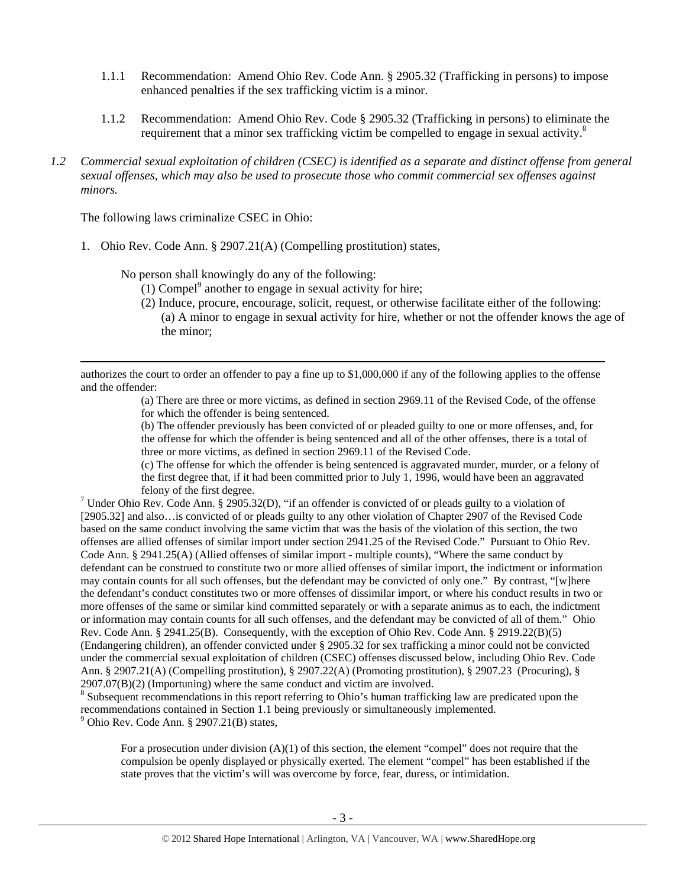- 1.1.1 Recommendation: Amend Ohio Rev. Code Ann. § 2905.32 (Trafficking in persons) to impose enhanced penalties if the sex trafficking victim is a minor.
- 1.1.2 Recommendation: Amend Ohio Rev. Code § 2905.32 (Trafficking in persons) to eliminate the requirement that a minor sex trafficking victim be compelled to engage in sexual activity.<sup>8</sup>
- *1.2 Commercial sexual exploitation of children (CSEC) is identified as a separate and distinct offense from general sexual offenses, which may also be used to prosecute those who commit commercial sex offenses against minors.*

The following laws criminalize CSEC in Ohio:

1. Ohio Rev. Code Ann. § 2907.21(A) (Compelling prostitution) states,

No person shall knowingly do any of the following:

- $(1)$  Compel<sup>9</sup> another to engage in sexual activity for hire;
- (2) Induce, procure, encourage, solicit, request, or otherwise facilitate either of the following: (a) A minor to engage in sexual activity for hire, whether or not the offender knows the age of the minor;

<u> 1989 - Johann Stoff, amerikansk politiker (d. 1989)</u> authorizes the court to order an offender to pay a fine up to \$1,000,000 if any of the following applies to the offense and the offender:

(a) There are three or more victims, as defined in section 2969.11 of the Revised Code, of the offense for which the offender is being sentenced.

(b) The offender previously has been convicted of or pleaded guilty to one or more offenses, and, for the offense for which the offender is being sentenced and all of the other offenses, there is a total of three or more victims, as defined in section 2969.11 of the Revised Code.

(c) The offense for which the offender is being sentenced is aggravated murder, murder, or a felony of the first degree that, if it had been committed prior to July 1, 1996, would have been an aggravated

felony of the first degree.<br><sup>7</sup> Under Ohio Rev. Code Ann. § 2905.32(D), "if an offender is convicted of or pleads guilty to a violation of [2905.32] and also... is convicted of or pleads guilty to any other violation of Chapter 2907 of the Revised Code based on the same conduct involving the same victim that was the basis of the violation of this section, the two offenses are allied offenses of similar import under section 2941.25 of the Revised Code." Pursuant to Ohio Rev. Code Ann. § 2941.25(A) (Allied offenses of similar import - multiple counts), "Where the same conduct by defendant can be construed to constitute two or more allied offenses of similar import, the indictment or information may contain counts for all such offenses, but the defendant may be convicted of only one." By contrast, "[w]here the defendant's conduct constitutes two or more offenses of dissimilar import, or where his conduct results in two or more offenses of the same or similar kind committed separately or with a separate animus as to each, the indictment or information may contain counts for all such offenses, and the defendant may be convicted of all of them." Ohio Rev. Code Ann. § 2941.25(B). Consequently, with the exception of Ohio Rev. Code Ann. § 2919.22(B)(5) (Endangering children), an offender convicted under § 2905.32 for sex trafficking a minor could not be convicted under the commercial sexual exploitation of children (CSEC) offenses discussed below, including Ohio Rev. Code Ann. § 2907.21(A) (Compelling prostitution), § 2907.22(A) (Promoting prostitution), § 2907.23 (Procuring), § 2907.07(B)(2) (Importuning) where the same conduct and victim are involved.

<sup>8</sup> Subsequent recommendations in this report referring to Ohio's human trafficking law are predicated upon the recommendations contained in Section 1.1 being previously or simultaneously implemented.  $9^9$  Ohio Rev. Code Ann. § 2907.21(B) states,

For a prosecution under division (A)(1) of this section, the element "compel" does not require that the compulsion be openly displayed or physically exerted. The element "compel" has been established if the state proves that the victim's will was overcome by force, fear, duress, or intimidation.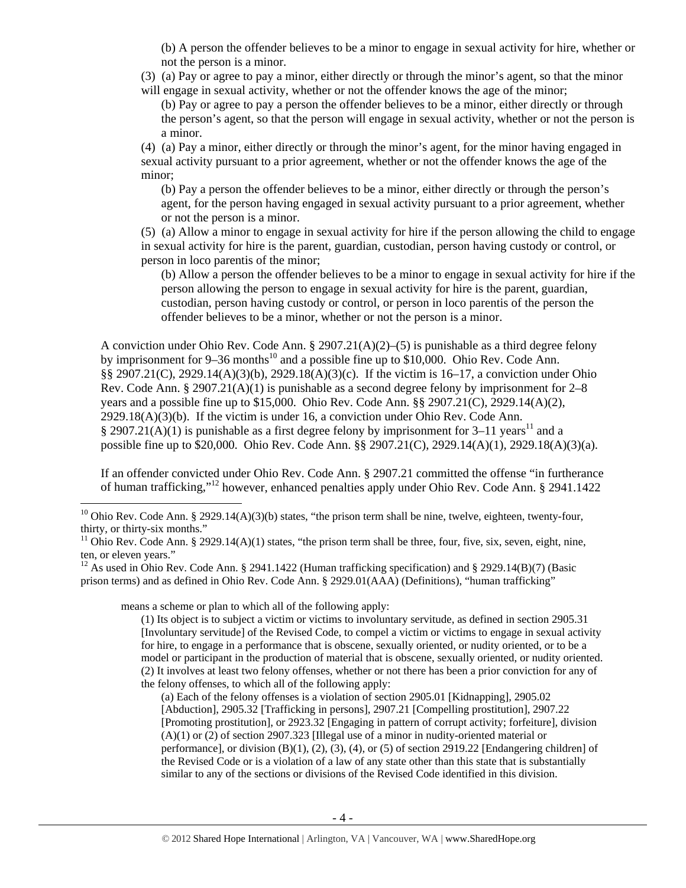(b) A person the offender believes to be a minor to engage in sexual activity for hire, whether or not the person is a minor.

(3) (a) Pay or agree to pay a minor, either directly or through the minor's agent, so that the minor

will engage in sexual activity, whether or not the offender knows the age of the minor; (b) Pay or agree to pay a person the offender believes to be a minor, either directly or through the person's agent, so that the person will engage in sexual activity, whether or not the person is a minor.

(4) (a) Pay a minor, either directly or through the minor's agent, for the minor having engaged in sexual activity pursuant to a prior agreement, whether or not the offender knows the age of the minor;

(b) Pay a person the offender believes to be a minor, either directly or through the person's agent, for the person having engaged in sexual activity pursuant to a prior agreement, whether or not the person is a minor.

(5) (a) Allow a minor to engage in sexual activity for hire if the person allowing the child to engage in sexual activity for hire is the parent, guardian, custodian, person having custody or control, or person in loco parentis of the minor;

(b) Allow a person the offender believes to be a minor to engage in sexual activity for hire if the person allowing the person to engage in sexual activity for hire is the parent, guardian, custodian, person having custody or control, or person in loco parentis of the person the offender believes to be a minor, whether or not the person is a minor.

A conviction under Ohio Rev. Code Ann.  $\S 2907.21(A)(2)$ –(5) is punishable as a third degree felony by imprisonment for 9–36 months<sup>10</sup> and a possible fine up to \$10,000. Ohio Rev. Code Ann. §§ 2907.21(C), 2929.14(A)(3)(b), 2929.18(A)(3)(c). If the victim is 16–17, a conviction under Ohio Rev. Code Ann. § 2907.21(A)(1) is punishable as a second degree felony by imprisonment for 2–8 years and a possible fine up to \$15,000. Ohio Rev. Code Ann. §§ 2907.21(C), 2929.14(A)(2),  $2929.18(A)(3)(b)$ . If the victim is under 16, a conviction under Ohio Rev. Code Ann. § 2907.21(A)(1) is punishable as a first degree felony by imprisonment for  $3-11$  years<sup>11</sup> and a possible fine up to \$20,000. Ohio Rev. Code Ann. §§ 2907.21(C), 2929.14(A)(1), 2929.18(A)(3)(a).

If an offender convicted under Ohio Rev. Code Ann. § 2907.21 committed the offense "in furtherance of human trafficking,"12 however, enhanced penalties apply under Ohio Rev. Code Ann. § 2941.1422

means a scheme or plan to which all of the following apply:

(1) Its object is to subject a victim or victims to involuntary servitude, as defined in section 2905.31 [Involuntary servitude] of the Revised Code, to compel a victim or victims to engage in sexual activity for hire, to engage in a performance that is obscene, sexually oriented, or nudity oriented, or to be a model or participant in the production of material that is obscene, sexually oriented, or nudity oriented. (2) It involves at least two felony offenses, whether or not there has been a prior conviction for any of the felony offenses, to which all of the following apply:

(a) Each of the felony offenses is a violation of section 2905.01 [Kidnapping], 2905.02 [Abduction], 2905.32 [Trafficking in persons], 2907.21 [Compelling prostitution], 2907.22 [Promoting prostitution], or 2923.32 [Engaging in pattern of corrupt activity; forfeiture], division (A)(1) or (2) of section 2907.323 [Illegal use of a minor in nudity-oriented material or performance], or division  $(B)(1)$ ,  $(2)$ ,  $(3)$ ,  $(4)$ , or  $(5)$  of section 2919.22 [Endangering children] of the Revised Code or is a violation of a law of any state other than this state that is substantially similar to any of the sections or divisions of the Revised Code identified in this division.

<sup>&</sup>lt;sup>10</sup> Ohio Rev. Code Ann. § 2929.14(A)(3)(b) states, "the prison term shall be nine, twelve, eighteen, twenty-four, thirty, or thirty-six months."

<sup>&</sup>lt;sup>11</sup> Ohio Rev. Code Ann. § 2929.14(A)(1) states, "the prison term shall be three, four, five, six, seven, eight, nine, ten, or eleven years."

<sup>&</sup>lt;sup>12</sup> As used in Ohio Rev. Code Ann. § 2941.1422 (Human trafficking specification) and § 2929.14(B)(7) (Basic prison terms) and as defined in Ohio Rev. Code Ann. § 2929.01(AAA) (Definitions), "human trafficking"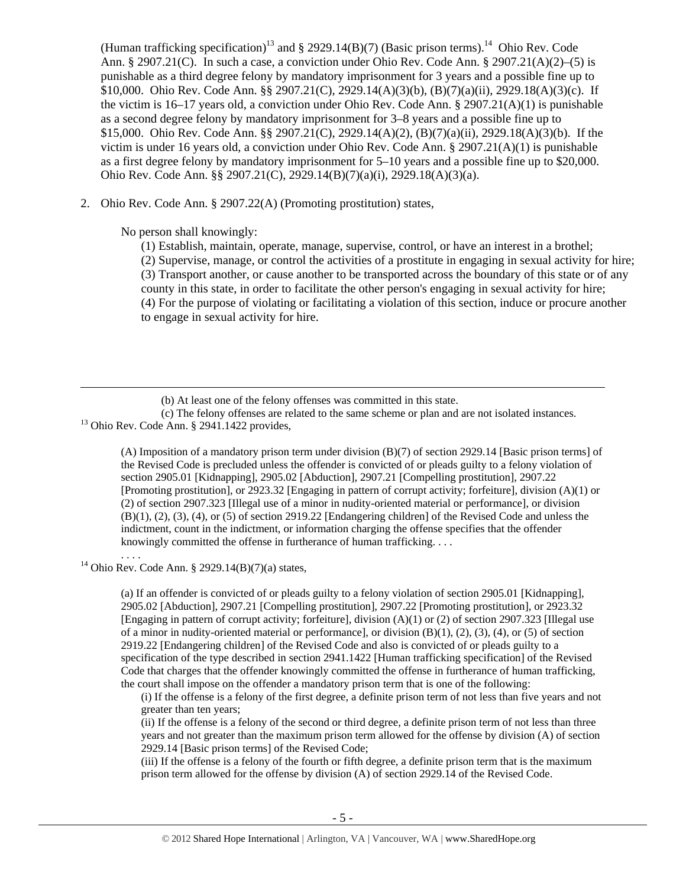(Human trafficking specification)<sup>13</sup> and § 2929.14(B)(7) (Basic prison terms).<sup>14</sup> Ohio Rev. Code Ann. § 2907.21(C). In such a case, a conviction under Ohio Rev. Code Ann. § 2907.21(A)(2)–(5) is punishable as a third degree felony by mandatory imprisonment for 3 years and a possible fine up to \$10,000. Ohio Rev. Code Ann. §§ 2907.21(C), 2929.14(A)(3)(b), (B)(7)(a)(ii), 2929.18(A)(3)(c). If the victim is 16–17 years old, a conviction under Ohio Rev. Code Ann. § 2907.21(A)(1) is punishable as a second degree felony by mandatory imprisonment for 3–8 years and a possible fine up to \$15,000. Ohio Rev. Code Ann. §§ 2907.21(C), 2929.14(A)(2), (B)(7)(a)(ii), 2929.18(A)(3)(b). If the victim is under 16 years old, a conviction under Ohio Rev. Code Ann. § 2907.21(A)(1) is punishable as a first degree felony by mandatory imprisonment for 5–10 years and a possible fine up to \$20,000. Ohio Rev. Code Ann. §§ 2907.21(C), 2929.14(B)(7)(a)(i), 2929.18(A)(3)(a).

2. Ohio Rev. Code Ann. § 2907.22(A) (Promoting prostitution) states,

No person shall knowingly:

(1) Establish, maintain, operate, manage, supervise, control, or have an interest in a brothel; (2) Supervise, manage, or control the activities of a prostitute in engaging in sexual activity for hire; (3) Transport another, or cause another to be transported across the boundary of this state or of any county in this state, in order to facilitate the other person's engaging in sexual activity for hire; (4) For the purpose of violating or facilitating a violation of this section, induce or procure another to engage in sexual activity for hire.

(b) At least one of the felony offenses was committed in this state.

(c) The felony offenses are related to the same scheme or plan and are not isolated instances. 13 Ohio Rev. Code Ann. § 2941.1422 provides,

<u> 1989 - Johann Stein, marwolaethau a gweledydd a ganrad y ganrad y ganrad y ganrad y ganrad y ganrad y ganrad</u>

(A) Imposition of a mandatory prison term under division (B)(7) of section 2929.14 [Basic prison terms] of the Revised Code is precluded unless the offender is convicted of or pleads guilty to a felony violation of section 2905.01 [Kidnapping], 2905.02 [Abduction], 2907.21 [Compelling prostitution], 2907.22 [Promoting prostitution], or 2923.32 [Engaging in pattern of corrupt activity; forfeiture], division (A)(1) or (2) of section 2907.323 [Illegal use of a minor in nudity-oriented material or performance], or division (B)(1), (2), (3), (4), or (5) of section 2919.22 [Endangering children] of the Revised Code and unless the indictment, count in the indictment, or information charging the offense specifies that the offender knowingly committed the offense in furtherance of human trafficking. . . .

## $14$  Ohio Rev. Code Ann. § 2929.14(B)(7)(a) states,

(a) If an offender is convicted of or pleads guilty to a felony violation of section 2905.01 [Kidnapping], 2905.02 [Abduction], 2907.21 [Compelling prostitution], 2907.22 [Promoting prostitution], or 2923.32 [Engaging in pattern of corrupt activity; forfeiture], division (A)(1) or (2) of section 2907.323 [Illegal use of a minor in nudity-oriented material or performance], or division  $(B)(1)$ ,  $(2)$ ,  $(3)$ ,  $(4)$ , or  $(5)$  of section 2919.22 [Endangering children] of the Revised Code and also is convicted of or pleads guilty to a specification of the type described in section 2941.1422 [Human trafficking specification] of the Revised Code that charges that the offender knowingly committed the offense in furtherance of human trafficking, the court shall impose on the offender a mandatory prison term that is one of the following:

(i) If the offense is a felony of the first degree, a definite prison term of not less than five years and not greater than ten years;

(ii) If the offense is a felony of the second or third degree, a definite prison term of not less than three years and not greater than the maximum prison term allowed for the offense by division (A) of section 2929.14 [Basic prison terms] of the Revised Code;

(iii) If the offense is a felony of the fourth or fifth degree, a definite prison term that is the maximum prison term allowed for the offense by division (A) of section 2929.14 of the Revised Code.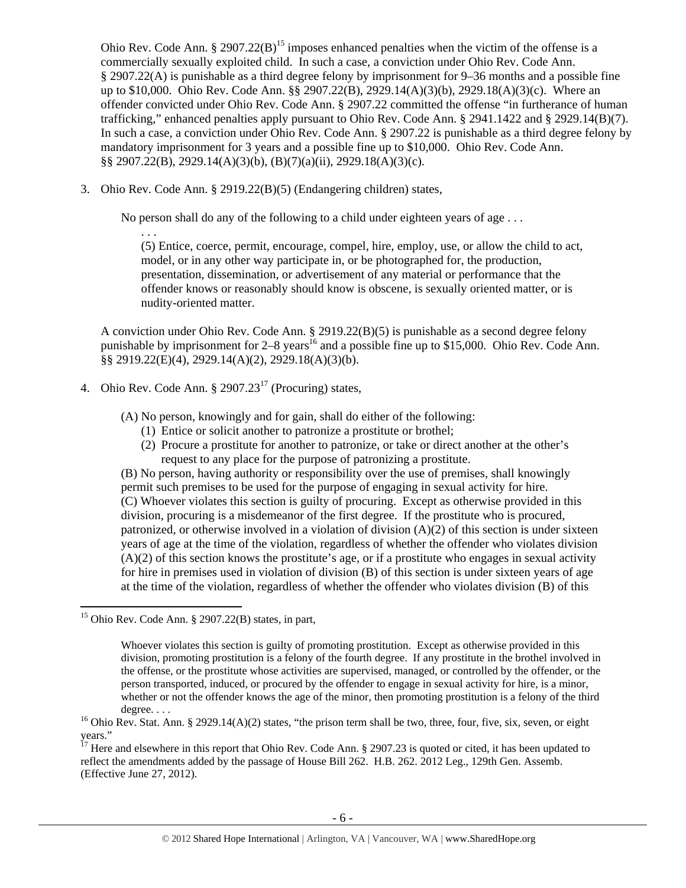Ohio Rev. Code Ann. § 2907.22 $(B)$ <sup>15</sup> imposes enhanced penalties when the victim of the offense is a commercially sexually exploited child. In such a case, a conviction under Ohio Rev. Code Ann. § 2907.22(A) is punishable as a third degree felony by imprisonment for 9–36 months and a possible fine up to \$10,000. Ohio Rev. Code Ann. §§ 2907.22(B), 2929.14(A)(3)(b), 2929.18(A)(3)(c). Where an offender convicted under Ohio Rev. Code Ann. § 2907.22 committed the offense "in furtherance of human trafficking," enhanced penalties apply pursuant to Ohio Rev. Code Ann. § 2941.1422 and § 2929.14(B)(7). In such a case, a conviction under Ohio Rev. Code Ann. § 2907.22 is punishable as a third degree felony by mandatory imprisonment for 3 years and a possible fine up to \$10,000. Ohio Rev. Code Ann. §§ 2907.22(B), 2929.14(A)(3)(b), (B)(7)(a)(ii), 2929.18(A)(3)(c).

3. Ohio Rev. Code Ann. § 2919.22(B)(5) (Endangering children) states,

No person shall do any of the following to a child under eighteen years of age . . .

. . . (5) Entice, coerce, permit, encourage, compel, hire, employ, use, or allow the child to act, model, or in any other way participate in, or be photographed for, the production, presentation, dissemination, or advertisement of any material or performance that the offender knows or reasonably should know is obscene, is sexually oriented matter, or is nudity-oriented matter.

A conviction under Ohio Rev. Code Ann. § 2919.22(B)(5) is punishable as a second degree felony punishable by imprisonment for  $2-8$  years<sup>16</sup> and a possible fine up to \$15,000. Ohio Rev. Code Ann. §§ 2919.22(E)(4), 2929.14(A)(2), 2929.18(A)(3)(b).

- 4. Ohio Rev. Code Ann.  $\S 2907.23^{17}$  (Procuring) states,
	- (A) No person, knowingly and for gain, shall do either of the following:
		- (1) Entice or solicit another to patronize a prostitute or brothel;
		- (2) Procure a prostitute for another to patronize, or take or direct another at the other's request to any place for the purpose of patronizing a prostitute.

(B) No person, having authority or responsibility over the use of premises, shall knowingly permit such premises to be used for the purpose of engaging in sexual activity for hire. (C) Whoever violates this section is guilty of procuring. Except as otherwise provided in this division, procuring is a misdemeanor of the first degree. If the prostitute who is procured, patronized, or otherwise involved in a violation of division  $(A)(2)$  of this section is under sixteen years of age at the time of the violation, regardless of whether the offender who violates division  $(A)(2)$  of this section knows the prostitute's age, or if a prostitute who engages in sexual activity for hire in premises used in violation of division (B) of this section is under sixteen years of age at the time of the violation, regardless of whether the offender who violates division (B) of this

<sup>&</sup>lt;sup>15</sup> Ohio Rev. Code Ann. § 2907.22 $(B)$  states, in part,

Whoever violates this section is guilty of promoting prostitution. Except as otherwise provided in this division, promoting prostitution is a felony of the fourth degree. If any prostitute in the brothel involved in the offense, or the prostitute whose activities are supervised, managed, or controlled by the offender, or the person transported, induced, or procured by the offender to engage in sexual activity for hire, is a minor, whether or not the offender knows the age of the minor, then promoting prostitution is a felony of the third

degree. . . .<br><sup>16</sup> Ohio Rev. Stat. Ann. § 2929.14(A)(2) states, "the prison term shall be two, three, four, five, six, seven, or eight years."

 $17$  Here and elsewhere in this report that Ohio Rev. Code Ann. § 2907.23 is quoted or cited, it has been updated to reflect the amendments added by the passage of House Bill 262. H.B. 262. 2012 Leg., 129th Gen. Assemb. (Effective June 27, 2012).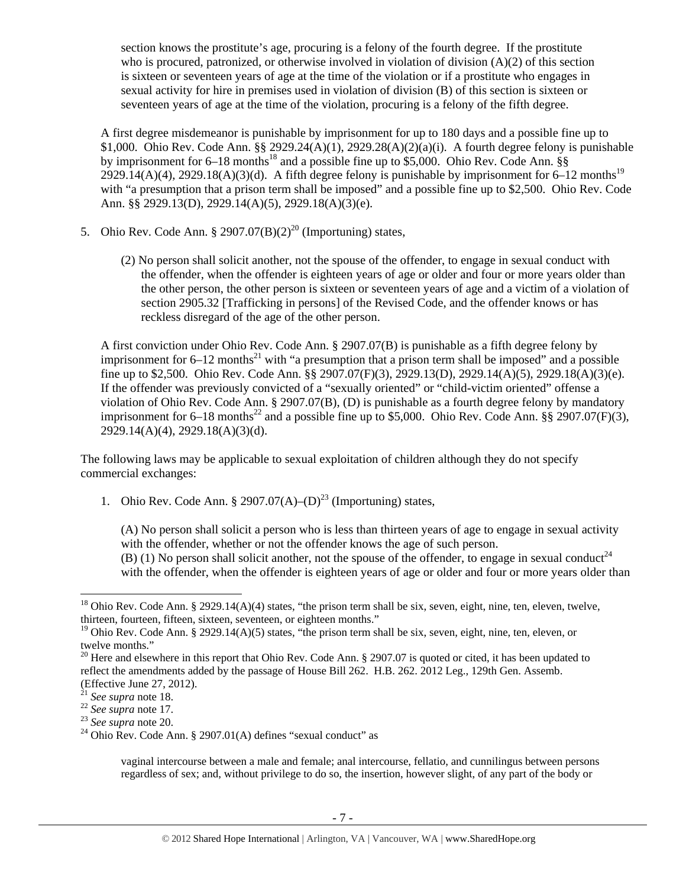section knows the prostitute's age, procuring is a felony of the fourth degree. If the prostitute who is procured, patronized, or otherwise involved in violation of division (A)(2) of this section is sixteen or seventeen years of age at the time of the violation or if a prostitute who engages in sexual activity for hire in premises used in violation of division (B) of this section is sixteen or seventeen years of age at the time of the violation, procuring is a felony of the fifth degree.

A first degree misdemeanor is punishable by imprisonment for up to 180 days and a possible fine up to \$1,000. Ohio Rev. Code Ann. §§ 2929.24(A)(1), 2929.28(A)(2)(a)(i). A fourth degree felony is punishable by imprisonment for  $6-18$  months<sup>18</sup> and a possible fine up to \$5,000. Ohio Rev. Code Ann. §§ 2929.14(A)(4), 2929.18(A)(3)(d). A fifth degree felony is punishable by imprisonment for 6–12 months<sup>19</sup> with "a presumption that a prison term shall be imposed" and a possible fine up to \$2,500. Ohio Rev. Code Ann. §§ 2929.13(D), 2929.14(A)(5), 2929.18(A)(3)(e).

- 5. Ohio Rev. Code Ann. § 2907.07(B)(2)<sup>20</sup> (Importuning) states,
	- (2) No person shall solicit another, not the spouse of the offender, to engage in sexual conduct with the offender, when the offender is eighteen years of age or older and four or more years older than the other person, the other person is sixteen or seventeen years of age and a victim of a violation of section 2905.32 [Trafficking in persons] of the Revised Code, and the offender knows or has reckless disregard of the age of the other person.

A first conviction under Ohio Rev. Code Ann. § 2907.07(B) is punishable as a fifth degree felony by imprisonment for  $6-12$  months<sup>21</sup> with "a presumption that a prison term shall be imposed" and a possible fine up to \$2,500. Ohio Rev. Code Ann. §§ 2907.07(F)(3), 2929.13(D), 2929.14(A)(5), 2929.18(A)(3)(e). If the offender was previously convicted of a "sexually oriented" or "child-victim oriented" offense a violation of Ohio Rev. Code Ann. § 2907.07(B), (D) is punishable as a fourth degree felony by mandatory imprisonment for  $6-18$  months<sup>22</sup> and a possible fine up to \$5,000. Ohio Rev. Code Ann. §§ 2907.07(F)(3), 2929.14(A)(4), 2929.18(A)(3)(d).

The following laws may be applicable to sexual exploitation of children although they do not specify commercial exchanges:

1. Ohio Rev. Code Ann. § 2907.07(A)–(D)<sup>23</sup> (Importuning) states,

(A) No person shall solicit a person who is less than thirteen years of age to engage in sexual activity with the offender, whether or not the offender knows the age of such person. (B) (1) No person shall solicit another, not the spouse of the offender, to engage in sexual conduct<sup>24</sup> with the offender, when the offender is eighteen years of age or older and four or more years older than

vaginal intercourse between a male and female; anal intercourse, fellatio, and cunnilingus between persons regardless of sex; and, without privilege to do so, the insertion, however slight, of any part of the body or

 <sup>18</sup> Ohio Rev. Code Ann. § 2929.14(A)(4) states, "the prison term shall be six, seven, eight, nine, ten, eleven, twelve, thirteen, fourteen, fifteen, sixteen, seventeen, or eighteen months."

<sup>&</sup>lt;sup>19</sup> Ohio Rev. Code Ann. § 2929.14(A)(5) states, "the prison term shall be six, seven, eight, nine, ten, eleven, or twelve months."

<sup>&</sup>lt;sup>20</sup> Here and elsewhere in this report that Ohio Rev. Code Ann. § 2907.07 is quoted or cited, it has been updated to reflect the amendments added by the passage of House Bill 262. H.B. 262. 2012 Leg., 129th Gen. Assemb. (Effective June 27, 2012).<br>
<sup>21</sup> See supra note 18.

<sup>&</sup>lt;sup>22</sup> *See supra* note 17.<br><sup>23</sup> *See supra* note 20.<br><sup>24</sup> Ohio Rev. Code Ann. § 2907.01(A) defines "sexual conduct" as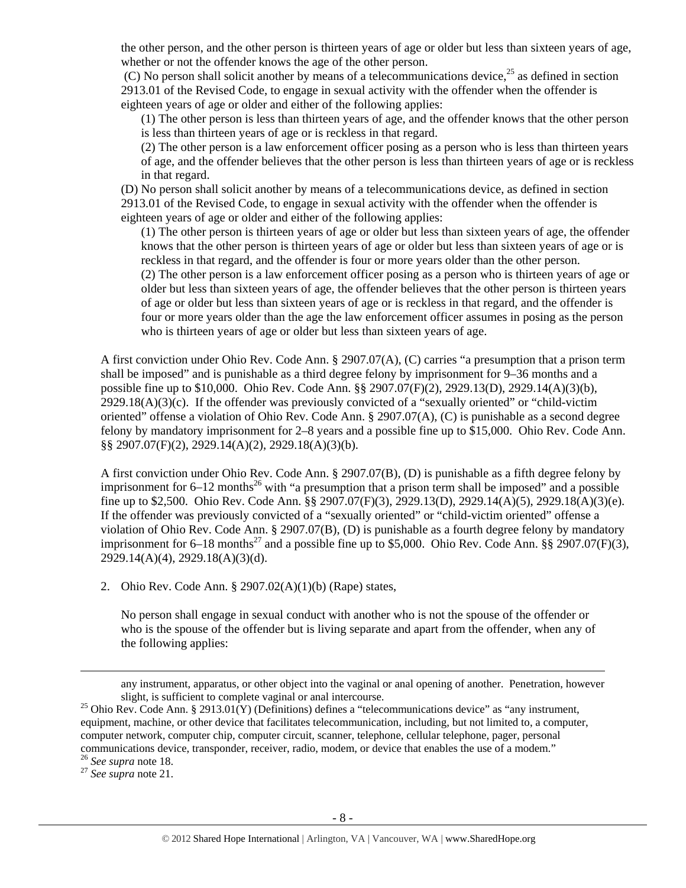the other person, and the other person is thirteen years of age or older but less than sixteen years of age, whether or not the offender knows the age of the other person.

(C) No person shall solicit another by means of a telecommunications device, $^{25}$  as defined in section 2913.01 of the Revised Code, to engage in sexual activity with the offender when the offender is eighteen years of age or older and either of the following applies:

(1) The other person is less than thirteen years of age, and the offender knows that the other person is less than thirteen years of age or is reckless in that regard.

(2) The other person is a law enforcement officer posing as a person who is less than thirteen years of age, and the offender believes that the other person is less than thirteen years of age or is reckless in that regard.

(D) No person shall solicit another by means of a telecommunications device, as defined in section 2913.01 of the Revised Code, to engage in sexual activity with the offender when the offender is eighteen years of age or older and either of the following applies:

(1) The other person is thirteen years of age or older but less than sixteen years of age, the offender knows that the other person is thirteen years of age or older but less than sixteen years of age or is reckless in that regard, and the offender is four or more years older than the other person. (2) The other person is a law enforcement officer posing as a person who is thirteen years of age or older but less than sixteen years of age, the offender believes that the other person is thirteen years of age or older but less than sixteen years of age or is reckless in that regard, and the offender is four or more years older than the age the law enforcement officer assumes in posing as the person who is thirteen years of age or older but less than sixteen years of age.

A first conviction under Ohio Rev. Code Ann. § 2907.07(A), (C) carries "a presumption that a prison term shall be imposed" and is punishable as a third degree felony by imprisonment for 9–36 months and a possible fine up to \$10,000. Ohio Rev. Code Ann. §§ 2907.07(F)(2), 2929.13(D), 2929.14(A)(3)(b),  $2929.18(A)(3)(c)$ . If the offender was previously convicted of a "sexually oriented" or "child-victim" oriented" offense a violation of Ohio Rev. Code Ann. § 2907.07(A), (C) is punishable as a second degree felony by mandatory imprisonment for 2–8 years and a possible fine up to \$15,000. Ohio Rev. Code Ann. §§ 2907.07(F)(2), 2929.14(A)(2), 2929.18(A)(3)(b).

A first conviction under Ohio Rev. Code Ann. § 2907.07(B), (D) is punishable as a fifth degree felony by imprisonment for  $6-12$  months<sup>26</sup> with "a presumption that a prison term shall be imposed" and a possible fine up to \$2,500. Ohio Rev. Code Ann. §§ 2907.07(F)(3), 2929.13(D), 2929.14(A)(5), 2929.18(A)(3)(e). If the offender was previously convicted of a "sexually oriented" or "child-victim oriented" offense a violation of Ohio Rev. Code Ann. § 2907.07(B), (D) is punishable as a fourth degree felony by mandatory imprisonment for 6–18 months<sup>27</sup> and a possible fine up to \$5,000. Ohio Rev. Code Ann. §§ 2907.07(F)(3), 2929.14(A)(4), 2929.18(A)(3)(d).

2. Ohio Rev. Code Ann. § 2907.02(A)(1)(b) (Rape) states,

No person shall engage in sexual conduct with another who is not the spouse of the offender or who is the spouse of the offender but is living separate and apart from the offender, when any of the following applies:

<u> Andrewski politika (za obrazu za obrazu za obrazu za obrazu za obrazu za obrazu za obrazu za obrazu za obrazu</u>

any instrument, apparatus, or other object into the vaginal or anal opening of another. Penetration, however

slight, is sufficient to complete vaginal or anal intercourse. 25 Ohio Rev. Code Ann. § 2913.01(Y) (Definitions) defines a "telecommunications device" as "any instrument, equipment, machine, or other device that facilitates telecommunication, including, but not limited to, a computer, computer network, computer chip, computer circuit, scanner, telephone, cellular telephone, pager, personal communications device, transponder, receiver, radio, modem, or device that enables the use of a modem." 26 *See supra* note 18. 27 *See supra* note 21.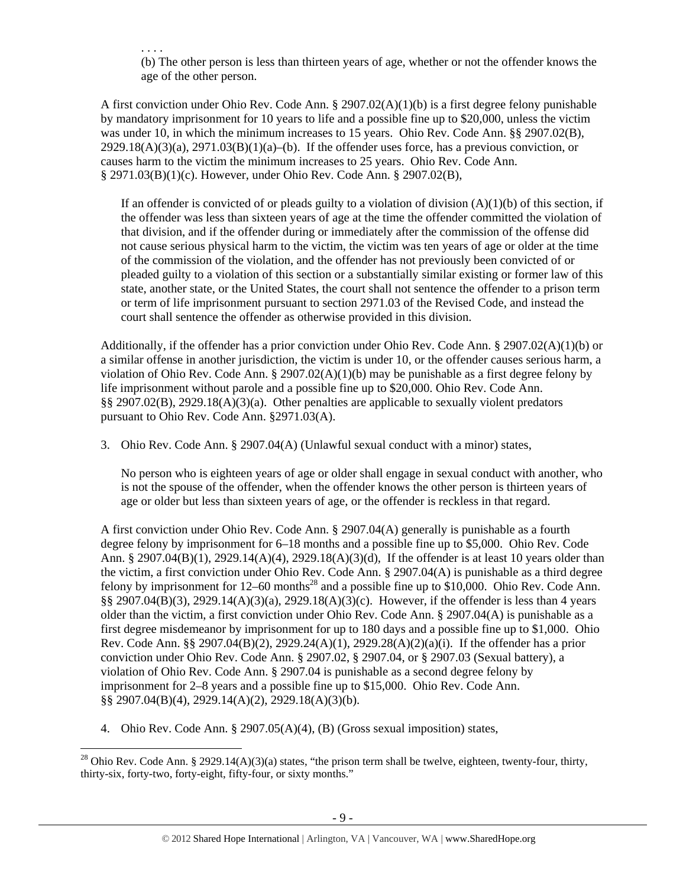. . . . (b) The other person is less than thirteen years of age, whether or not the offender knows the age of the other person.

A first conviction under Ohio Rev. Code Ann. § 2907.02(A)(1)(b) is a first degree felony punishable by mandatory imprisonment for 10 years to life and a possible fine up to \$20,000, unless the victim was under 10, in which the minimum increases to 15 years. Ohio Rev. Code Ann. §§ 2907.02(B),  $2929.18(A)(3)(a)$ ,  $2971.03(B)(1)(a)$ –(b). If the offender uses force, has a previous conviction, or causes harm to the victim the minimum increases to 25 years. Ohio Rev. Code Ann. § 2971.03(B)(1)(c). However, under Ohio Rev. Code Ann. § 2907.02(B),

If an offender is convicted of or pleads guilty to a violation of division  $(A)(1)(b)$  of this section, if the offender was less than sixteen years of age at the time the offender committed the violation of that division, and if the offender during or immediately after the commission of the offense did not cause serious physical harm to the victim, the victim was ten years of age or older at the time of the commission of the violation, and the offender has not previously been convicted of or pleaded guilty to a violation of this section or a substantially similar existing or former law of this state, another state, or the United States, the court shall not sentence the offender to a prison term or term of life imprisonment pursuant to section 2971.03 of the Revised Code, and instead the court shall sentence the offender as otherwise provided in this division.

Additionally, if the offender has a prior conviction under Ohio Rev. Code Ann. § 2907.02(A)(1)(b) or a similar offense in another jurisdiction, the victim is under 10, or the offender causes serious harm, a violation of Ohio Rev. Code Ann. § 2907.02(A)(1)(b) may be punishable as a first degree felony by life imprisonment without parole and a possible fine up to \$20,000. Ohio Rev. Code Ann. §§ 2907.02(B), 2929.18(A)(3)(a). Other penalties are applicable to sexually violent predators pursuant to Ohio Rev. Code Ann. §2971.03(A).

3. Ohio Rev. Code Ann. § 2907.04(A) (Unlawful sexual conduct with a minor) states,

No person who is eighteen years of age or older shall engage in sexual conduct with another, who is not the spouse of the offender, when the offender knows the other person is thirteen years of age or older but less than sixteen years of age, or the offender is reckless in that regard.

A first conviction under Ohio Rev. Code Ann. § 2907.04(A) generally is punishable as a fourth degree felony by imprisonment for 6–18 months and a possible fine up to \$5,000. Ohio Rev. Code Ann. § 2907.04(B)(1), 2929.14(A)(4), 2929.18(A)(3)(d), If the offender is at least 10 years older than the victim, a first conviction under Ohio Rev. Code Ann. § 2907.04(A) is punishable as a third degree felony by imprisonment for 12–60 months<sup>28</sup> and a possible fine up to \$10,000. Ohio Rev. Code Ann. §§ 2907.04(B)(3), 2929.14(A)(3)(a), 2929.18(A)(3)(c). However, if the offender is less than 4 years older than the victim, a first conviction under Ohio Rev. Code Ann. § 2907.04(A) is punishable as a first degree misdemeanor by imprisonment for up to 180 days and a possible fine up to \$1,000. Ohio Rev. Code Ann. §§ 2907.04(B)(2), 2929.24(A)(1), 2929.28(A)(2)(a)(i). If the offender has a prior conviction under Ohio Rev. Code Ann. § 2907.02, § 2907.04, or § 2907.03 (Sexual battery), a violation of Ohio Rev. Code Ann. § 2907.04 is punishable as a second degree felony by imprisonment for 2–8 years and a possible fine up to \$15,000. Ohio Rev. Code Ann. §§ 2907.04(B)(4), 2929.14(A)(2), 2929.18(A)(3)(b).

4. Ohio Rev. Code Ann. § 2907.05(A)(4), (B) (Gross sexual imposition) states,

<sup>&</sup>lt;sup>28</sup> Ohio Rev. Code Ann. § 2929.14(A)(3)(a) states, "the prison term shall be twelve, eighteen, twenty-four, thirty, thirty-six, forty-two, forty-eight, fifty-four, or sixty months."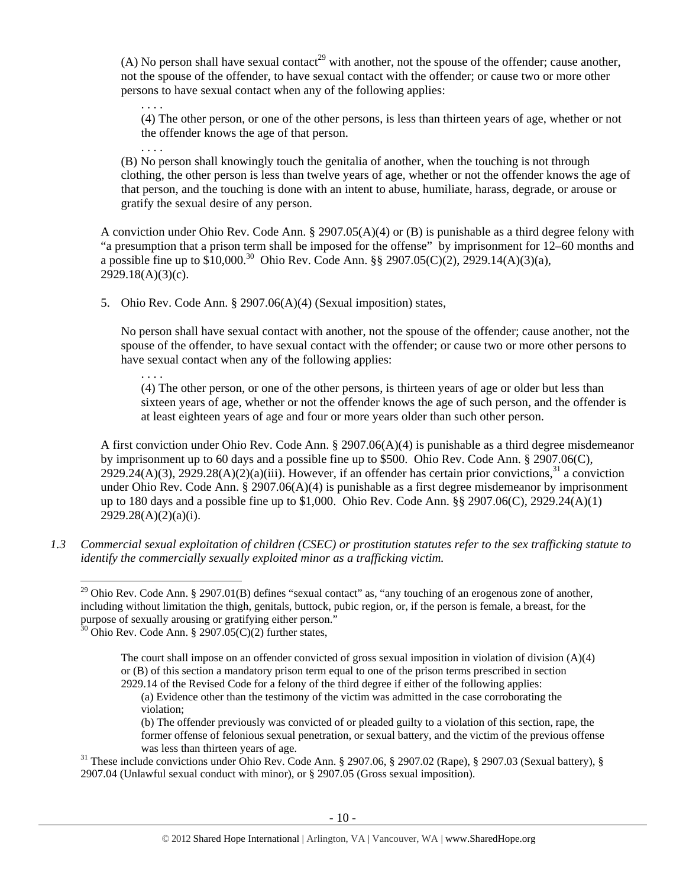(A) No person shall have sexual contact<sup>29</sup> with another, not the spouse of the offender; cause another, not the spouse of the offender, to have sexual contact with the offender; or cause two or more other persons to have sexual contact when any of the following applies:

. . . . (4) The other person, or one of the other persons, is less than thirteen years of age, whether or not the offender knows the age of that person.

. . . . (B) No person shall knowingly touch the genitalia of another, when the touching is not through clothing, the other person is less than twelve years of age, whether or not the offender knows the age of that person, and the touching is done with an intent to abuse, humiliate, harass, degrade, or arouse or gratify the sexual desire of any person.

A conviction under Ohio Rev. Code Ann. § 2907.05(A)(4) or (B) is punishable as a third degree felony with "a presumption that a prison term shall be imposed for the offense" by imprisonment for 12–60 months and a possible fine up to  $$10,000$ <sup>30</sup> Ohio Rev. Code Ann. §§ 2907.05(C)(2), 2929.14(A)(3)(a),  $2929.18(A)(3)(c)$ .

5. Ohio Rev. Code Ann. § 2907.06(A)(4) (Sexual imposition) states,

No person shall have sexual contact with another, not the spouse of the offender; cause another, not the spouse of the offender, to have sexual contact with the offender; or cause two or more other persons to have sexual contact when any of the following applies:

. . . . (4) The other person, or one of the other persons, is thirteen years of age or older but less than sixteen years of age, whether or not the offender knows the age of such person, and the offender is at least eighteen years of age and four or more years older than such other person.

A first conviction under Ohio Rev. Code Ann. § 2907.06(A)(4) is punishable as a third degree misdemeanor by imprisonment up to 60 days and a possible fine up to \$500. Ohio Rev. Code Ann. § 2907.06(C), 2929.24(A)(3), 2929.28(A)(2)(a)(iii). However, if an offender has certain prior convictions,  $31$  a conviction under Ohio Rev. Code Ann. § 2907.06(A)(4) is punishable as a first degree misdemeanor by imprisonment up to 180 days and a possible fine up to \$1,000. Ohio Rev. Code Ann. §§ 2907.06(C), 2929.24(A)(1)  $2929.28(A)(2)(a)(i)$ .

*1.3 Commercial sexual exploitation of children (CSEC) or prostitution statutes refer to the sex trafficking statute to identify the commercially sexually exploited minor as a trafficking victim.* 

2907.04 (Unlawful sexual conduct with minor), or § 2907.05 (Gross sexual imposition).

<sup>&</sup>lt;sup>29</sup> Ohio Rev. Code Ann. § 2907.01(B) defines "sexual contact" as, "any touching of an erogenous zone of another, including without limitation the thigh, genitals, buttock, pubic region, or, if the person is female, a breast, for the purpose of sexually arousing or gratifying either person."

 $30$  Ohio Rev. Code Ann. § 2907.05(C)(2) further states,

The court shall impose on an offender convicted of gross sexual imposition in violation of division  $(A)(4)$ or (B) of this section a mandatory prison term equal to one of the prison terms prescribed in section 2929.14 of the Revised Code for a felony of the third degree if either of the following applies:

<sup>(</sup>a) Evidence other than the testimony of the victim was admitted in the case corroborating the violation;

<sup>(</sup>b) The offender previously was convicted of or pleaded guilty to a violation of this section, rape, the former offense of felonious sexual penetration, or sexual battery, and the victim of the previous offense was less than thirteen years of age.<br><sup>31</sup> These include convictions under Ohio Rev. Code Ann. § 2907.06, § 2907.02 (Rape), § 2907.03 (Sexual battery), §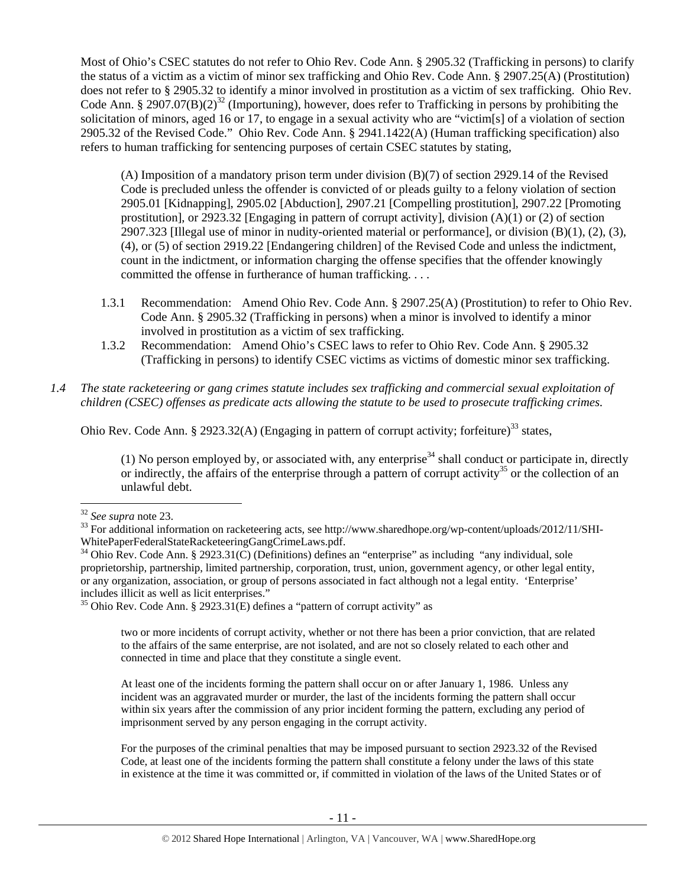Most of Ohio's CSEC statutes do not refer to Ohio Rev. Code Ann. § 2905.32 (Trafficking in persons) to clarify the status of a victim as a victim of minor sex trafficking and Ohio Rev. Code Ann. § 2907.25(A) (Prostitution) does not refer to § 2905.32 to identify a minor involved in prostitution as a victim of sex trafficking. Ohio Rev. Code Ann. § 2907.07(B)(2)<sup>32</sup> (Importuning), however, does refer to Trafficking in persons by prohibiting the solicitation of minors, aged 16 or 17, to engage in a sexual activity who are "victim[s] of a violation of section 2905.32 of the Revised Code." Ohio Rev. Code Ann. § 2941.1422(A) (Human trafficking specification) also refers to human trafficking for sentencing purposes of certain CSEC statutes by stating,

(A) Imposition of a mandatory prison term under division (B)(7) of section 2929.14 of the Revised Code is precluded unless the offender is convicted of or pleads guilty to a felony violation of section 2905.01 [Kidnapping], 2905.02 [Abduction], 2907.21 [Compelling prostitution], 2907.22 [Promoting prostitution], or 2923.32 [Engaging in pattern of corrupt activity], division (A)(1) or (2) of section 2907.323 [Illegal use of minor in nudity-oriented material or performance], or division  $(B)(1)$ ,  $(2)$ ,  $(3)$ , (4), or (5) of section 2919.22 [Endangering children] of the Revised Code and unless the indictment, count in the indictment, or information charging the offense specifies that the offender knowingly committed the offense in furtherance of human trafficking. . . .

- 1.3.1 Recommendation: Amend Ohio Rev. Code Ann. § 2907.25(A) (Prostitution) to refer to Ohio Rev. Code Ann. § 2905.32 (Trafficking in persons) when a minor is involved to identify a minor involved in prostitution as a victim of sex trafficking.
- 1.3.2 Recommendation: Amend Ohio's CSEC laws to refer to Ohio Rev. Code Ann. § 2905.32 (Trafficking in persons) to identify CSEC victims as victims of domestic minor sex trafficking.
- *1.4 The state racketeering or gang crimes statute includes sex trafficking and commercial sexual exploitation of children (CSEC) offenses as predicate acts allowing the statute to be used to prosecute trafficking crimes.*

Ohio Rev. Code Ann. § 2923.32(A) (Engaging in pattern of corrupt activity; forfeiture)<sup>33</sup> states,

(1) No person employed by, or associated with, any enterprise<sup>34</sup> shall conduct or participate in, directly or indirectly, the affairs of the enterprise through a pattern of corrupt activity<sup>35</sup> or the collection of an unlawful debt.

two or more incidents of corrupt activity, whether or not there has been a prior conviction, that are related to the affairs of the same enterprise, are not isolated, and are not so closely related to each other and connected in time and place that they constitute a single event.

At least one of the incidents forming the pattern shall occur on or after January 1, 1986. Unless any incident was an aggravated murder or murder, the last of the incidents forming the pattern shall occur within six years after the commission of any prior incident forming the pattern, excluding any period of imprisonment served by any person engaging in the corrupt activity.

For the purposes of the criminal penalties that may be imposed pursuant to section 2923.32 of the Revised Code, at least one of the incidents forming the pattern shall constitute a felony under the laws of this state in existence at the time it was committed or, if committed in violation of the laws of the United States or of

<sup>&</sup>lt;sup>32</sup> *See supra* note 23.<br><sup>33</sup> For additional information on racketeering acts, see http://www.sharedhope.org/wp-content/uploads/2012/11/SHI-

WhitePaperFederalStateRacketeeringGangCrimeLaws.pdf.<br><sup>34</sup> Ohio Rev. Code Ann. § 2923.31(C) (Definitions) defines an "enterprise" as including "any individual, sole proprietorship, partnership, limited partnership, corporation, trust, union, government agency, or other legal entity, or any organization, association, or group of persons associated in fact although not a legal entity. 'Enterprise' includes illicit as well as licit enterprises."

<sup>35</sup> Ohio Rev. Code Ann. § 2923.31(E) defines a "pattern of corrupt activity" as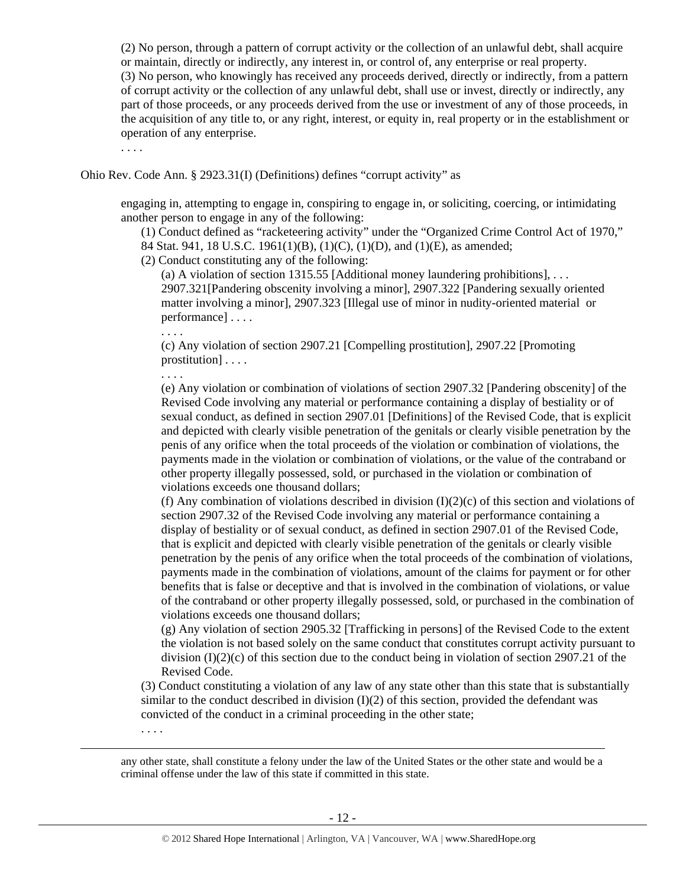(2) No person, through a pattern of corrupt activity or the collection of an unlawful debt, shall acquire or maintain, directly or indirectly, any interest in, or control of, any enterprise or real property. (3) No person, who knowingly has received any proceeds derived, directly or indirectly, from a pattern of corrupt activity or the collection of any unlawful debt, shall use or invest, directly or indirectly, any part of those proceeds, or any proceeds derived from the use or investment of any of those proceeds, in the acquisition of any title to, or any right, interest, or equity in, real property or in the establishment or operation of any enterprise.

. . . .

Ohio Rev. Code Ann. § 2923.31(I) (Definitions) defines "corrupt activity" as

engaging in, attempting to engage in, conspiring to engage in, or soliciting, coercing, or intimidating another person to engage in any of the following:

(1) Conduct defined as "racketeering activity" under the "Organized Crime Control Act of 1970," 84 Stat. 941, 18 U.S.C. 1961(1)(B), (1)(C), (1)(D), and (1)(E), as amended;

(2) Conduct constituting any of the following:

(a) A violation of section 1315.55 [Additional money laundering prohibitions],  $\dots$ 2907.321[Pandering obscenity involving a minor], 2907.322 [Pandering sexually oriented matter involving a minor], 2907.323 [Illegal use of minor in nudity-oriented material or performance] . . . .

. . . .

(c) Any violation of section 2907.21 [Compelling prostitution], 2907.22 [Promoting prostitution] . . . .

. . . .

. . . .

(e) Any violation or combination of violations of section 2907.32 [Pandering obscenity] of the Revised Code involving any material or performance containing a display of bestiality or of sexual conduct, as defined in section 2907.01 [Definitions] of the Revised Code, that is explicit and depicted with clearly visible penetration of the genitals or clearly visible penetration by the penis of any orifice when the total proceeds of the violation or combination of violations, the payments made in the violation or combination of violations, or the value of the contraband or other property illegally possessed, sold, or purchased in the violation or combination of violations exceeds one thousand dollars;

(f) Any combination of violations described in division  $(I)(2)(c)$  of this section and violations of section 2907.32 of the Revised Code involving any material or performance containing a display of bestiality or of sexual conduct, as defined in section 2907.01 of the Revised Code, that is explicit and depicted with clearly visible penetration of the genitals or clearly visible penetration by the penis of any orifice when the total proceeds of the combination of violations, payments made in the combination of violations, amount of the claims for payment or for other benefits that is false or deceptive and that is involved in the combination of violations, or value of the contraband or other property illegally possessed, sold, or purchased in the combination of violations exceeds one thousand dollars;

(g) Any violation of section 2905.32 [Trafficking in persons] of the Revised Code to the extent the violation is not based solely on the same conduct that constitutes corrupt activity pursuant to division  $(I)(2)(c)$  of this section due to the conduct being in violation of section 2907.21 of the Revised Code.

(3) Conduct constituting a violation of any law of any state other than this state that is substantially similar to the conduct described in division  $(I)(2)$  of this section, provided the defendant was convicted of the conduct in a criminal proceeding in the other state;

any other state, shall constitute a felony under the law of the United States or the other state and would be a criminal offense under the law of this state if committed in this state.

<u> Andrewski politika (za obrazu za obrazu za obrazu za obrazu za obrazu za obrazu za obrazu za obrazu za obrazu</u>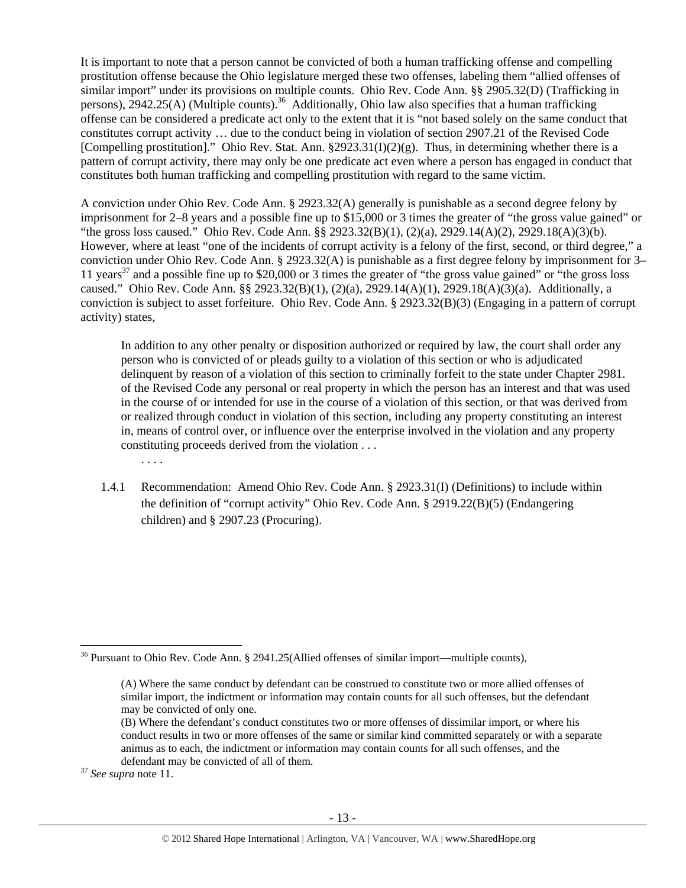It is important to note that a person cannot be convicted of both a human trafficking offense and compelling prostitution offense because the Ohio legislature merged these two offenses, labeling them "allied offenses of similar import" under its provisions on multiple counts. Ohio Rev. Code Ann. §§ 2905.32(D) (Trafficking in persons),  $2942.25(A)$  (Multiple counts).<sup>36</sup> Additionally, Ohio law also specifies that a human trafficking offense can be considered a predicate act only to the extent that it is "not based solely on the same conduct that constitutes corrupt activity … due to the conduct being in violation of section 2907.21 of the Revised Code [Compelling prostitution]." Ohio Rev. Stat. Ann. §2923.31(I)(2)(g). Thus, in determining whether there is a pattern of corrupt activity, there may only be one predicate act even where a person has engaged in conduct that constitutes both human trafficking and compelling prostitution with regard to the same victim.

A conviction under Ohio Rev. Code Ann. § 2923.32(A) generally is punishable as a second degree felony by imprisonment for 2–8 years and a possible fine up to \$15,000 or 3 times the greater of "the gross value gained" or "the gross loss caused." Ohio Rev. Code Ann. §§ 2923.32(B)(1), (2)(a), 2929.14(A)(2), 2929.18(A)(3)(b). However, where at least "one of the incidents of corrupt activity is a felony of the first, second, or third degree," a conviction under Ohio Rev. Code Ann. § 2923.32(A) is punishable as a first degree felony by imprisonment for 3– 11 years<sup>37</sup> and a possible fine up to \$20,000 or 3 times the greater of "the gross value gained" or "the gross loss" caused." Ohio Rev. Code Ann. §§ 2923.32(B)(1), (2)(a), 2929.14(A)(1), 2929.18(A)(3)(a). Additionally, a conviction is subject to asset forfeiture. Ohio Rev. Code Ann. § 2923.32(B)(3) (Engaging in a pattern of corrupt activity) states,

In addition to any other penalty or disposition authorized or required by law, the court shall order any person who is convicted of or pleads guilty to a violation of this section or who is adjudicated delinquent by reason of a violation of this section to criminally forfeit to the state under Chapter 2981. of the Revised Code any personal or real property in which the person has an interest and that was used in the course of or intended for use in the course of a violation of this section, or that was derived from or realized through conduct in violation of this section, including any property constituting an interest in, means of control over, or influence over the enterprise involved in the violation and any property constituting proceeds derived from the violation . . .

. . . .

1.4.1 Recommendation: Amend Ohio Rev. Code Ann. § 2923.31(I) (Definitions) to include within the definition of "corrupt activity" Ohio Rev. Code Ann. § 2919.22(B)(5) (Endangering children) and § 2907.23 (Procuring).

<sup>&</sup>lt;sup>36</sup> Pursuant to Ohio Rev. Code Ann. § 2941.25(Allied offenses of similar import—multiple counts),

<sup>(</sup>A) Where the same conduct by defendant can be construed to constitute two or more allied offenses of similar import, the indictment or information may contain counts for all such offenses, but the defendant may be convicted of only one.

<sup>(</sup>B) Where the defendant's conduct constitutes two or more offenses of dissimilar import, or where his conduct results in two or more offenses of the same or similar kind committed separately or with a separate animus as to each, the indictment or information may contain counts for all such offenses, and the defendant may be convicted of all of them. 37 *See supra* note 11.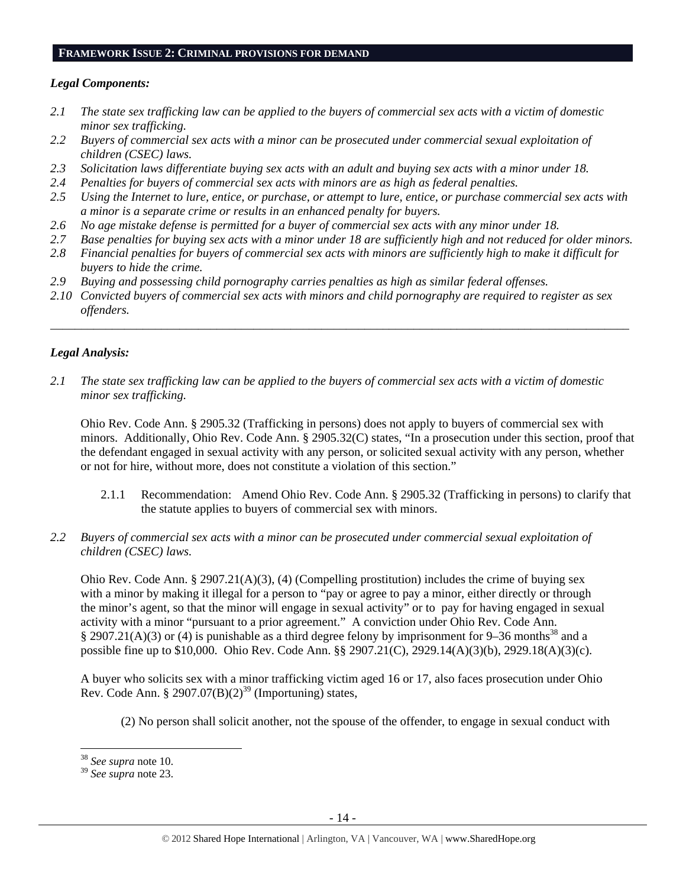#### **FRAMEWORK ISSUE 2: CRIMINAL PROVISIONS FOR DEMAND**

#### *Legal Components:*

- *2.1 The state sex trafficking law can be applied to the buyers of commercial sex acts with a victim of domestic minor sex trafficking.*
- *2.2 Buyers of commercial sex acts with a minor can be prosecuted under commercial sexual exploitation of children (CSEC) laws.*
- *2.3 Solicitation laws differentiate buying sex acts with an adult and buying sex acts with a minor under 18.*
- *2.4 Penalties for buyers of commercial sex acts with minors are as high as federal penalties.*
- *2.5 Using the Internet to lure, entice, or purchase, or attempt to lure, entice, or purchase commercial sex acts with a minor is a separate crime or results in an enhanced penalty for buyers.*
- *2.6 No age mistake defense is permitted for a buyer of commercial sex acts with any minor under 18.*
- *2.7 Base penalties for buying sex acts with a minor under 18 are sufficiently high and not reduced for older minors.*
- *2.8 Financial penalties for buyers of commercial sex acts with minors are sufficiently high to make it difficult for buyers to hide the crime.*
- *2.9 Buying and possessing child pornography carries penalties as high as similar federal offenses.*
- *2.10 Convicted buyers of commercial sex acts with minors and child pornography are required to register as sex offenders.*

\_\_\_\_\_\_\_\_\_\_\_\_\_\_\_\_\_\_\_\_\_\_\_\_\_\_\_\_\_\_\_\_\_\_\_\_\_\_\_\_\_\_\_\_\_\_\_\_\_\_\_\_\_\_\_\_\_\_\_\_\_\_\_\_\_\_\_\_\_\_\_\_\_\_\_\_\_\_\_\_\_\_\_\_\_\_\_\_\_\_\_\_\_\_

## *Legal Analysis:*

*2.1 The state sex trafficking law can be applied to the buyers of commercial sex acts with a victim of domestic minor sex trafficking.* 

Ohio Rev. Code Ann. § 2905.32 (Trafficking in persons) does not apply to buyers of commercial sex with minors. Additionally, Ohio Rev. Code Ann. § 2905.32(C) states, "In a prosecution under this section, proof that the defendant engaged in sexual activity with any person, or solicited sexual activity with any person, whether or not for hire, without more, does not constitute a violation of this section."

- 2.1.1 Recommendation: Amend Ohio Rev. Code Ann. § 2905.32 (Trafficking in persons) to clarify that the statute applies to buyers of commercial sex with minors.
- *2.2 Buyers of commercial sex acts with a minor can be prosecuted under commercial sexual exploitation of children (CSEC) laws.*

Ohio Rev. Code Ann. § 2907.21(A)(3), (4) (Compelling prostitution) includes the crime of buying sex with a minor by making it illegal for a person to "pay or agree to pay a minor, either directly or through the minor's agent, so that the minor will engage in sexual activity" or to pay for having engaged in sexual activity with a minor "pursuant to a prior agreement." A conviction under Ohio Rev. Code Ann. § 2907.21(A)(3) or (4) is punishable as a third degree felony by imprisonment for 9–36 months<sup>38</sup> and a possible fine up to \$10,000. Ohio Rev. Code Ann. §§ 2907.21(C), 2929.14(A)(3)(b), 2929.18(A)(3)(c).

A buyer who solicits sex with a minor trafficking victim aged 16 or 17, also faces prosecution under Ohio Rev. Code Ann. § 2907.07(B)(2)<sup>39</sup> (Importuning) states,

(2) No person shall solicit another, not the spouse of the offender, to engage in sexual conduct with

<sup>38</sup> *See supra* note 10.

<sup>39</sup> *See supra* note 23.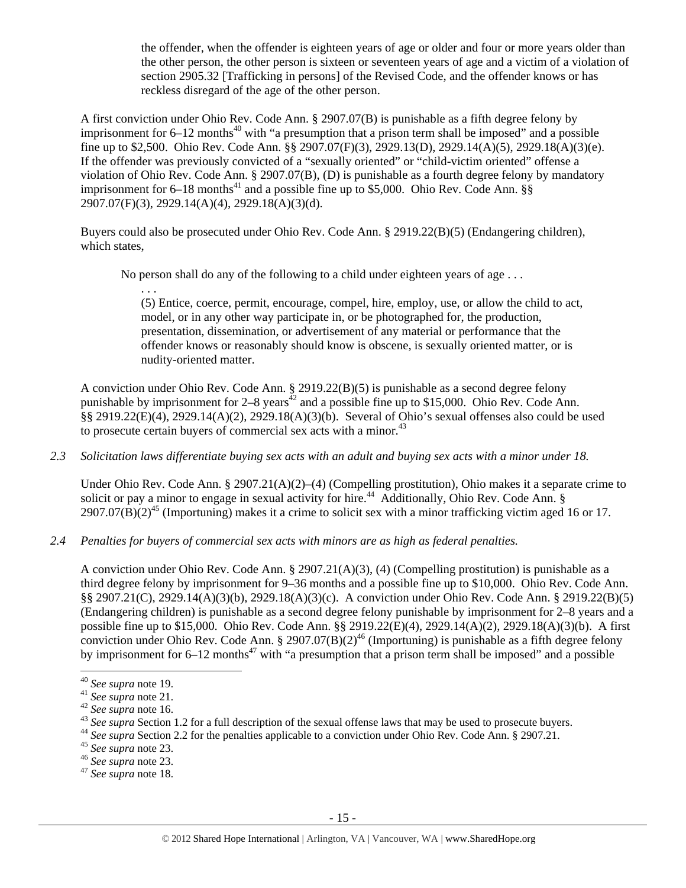the offender, when the offender is eighteen years of age or older and four or more years older than the other person, the other person is sixteen or seventeen years of age and a victim of a violation of section 2905.32 [Trafficking in persons] of the Revised Code, and the offender knows or has reckless disregard of the age of the other person.

A first conviction under Ohio Rev. Code Ann. § 2907.07(B) is punishable as a fifth degree felony by imprisonment for  $6-12$  months<sup>40</sup> with "a presumption that a prison term shall be imposed" and a possible fine up to \$2,500. Ohio Rev. Code Ann. §§ 2907.07(F)(3), 2929.13(D), 2929.14(A)(5), 2929.18(A)(3)(e). If the offender was previously convicted of a "sexually oriented" or "child-victim oriented" offense a violation of Ohio Rev. Code Ann. § 2907.07(B), (D) is punishable as a fourth degree felony by mandatory imprisonment for  $6-18$  months<sup>41</sup> and a possible fine up to \$5,000. Ohio Rev. Code Ann. §§ 2907.07(F)(3), 2929.14(A)(4), 2929.18(A)(3)(d).

Buyers could also be prosecuted under Ohio Rev. Code Ann. § 2919.22(B)(5) (Endangering children), which states,

No person shall do any of the following to a child under eighteen years of age . . .

. . .

(5) Entice, coerce, permit, encourage, compel, hire, employ, use, or allow the child to act, model, or in any other way participate in, or be photographed for, the production, presentation, dissemination, or advertisement of any material or performance that the offender knows or reasonably should know is obscene, is sexually oriented matter, or is nudity-oriented matter.

A conviction under Ohio Rev. Code Ann. § 2919.22(B)(5) is punishable as a second degree felony punishable by imprisonment for  $2-8$  years<sup> $42$ </sup> and a possible fine up to \$15,000. Ohio Rev. Code Ann. §§ 2919.22(E)(4), 2929.14(A)(2), 2929.18(A)(3)(b). Several of Ohio's sexual offenses also could be used to prosecute certain buyers of commercial sex acts with a minor.<sup>43</sup>

*2.3 Solicitation laws differentiate buying sex acts with an adult and buying sex acts with a minor under 18.* 

Under Ohio Rev. Code Ann. § 2907.21(A)(2)–(4) (Compelling prostitution), Ohio makes it a separate crime to solicit or pay a minor to engage in sexual activity for hire.<sup>44</sup> Additionally, Ohio Rev. Code Ann. §  $2907.07(B)(2)^{45}$  (Importuning) makes it a crime to solicit sex with a minor trafficking victim aged 16 or 17.

*2.4 Penalties for buyers of commercial sex acts with minors are as high as federal penalties.* 

A conviction under Ohio Rev. Code Ann. § 2907.21(A)(3), (4) (Compelling prostitution) is punishable as a third degree felony by imprisonment for 9–36 months and a possible fine up to \$10,000. Ohio Rev. Code Ann. §§ 2907.21(C), 2929.14(A)(3)(b), 2929.18(A)(3)(c). A conviction under Ohio Rev. Code Ann. § 2919.22(B)(5) (Endangering children) is punishable as a second degree felony punishable by imprisonment for 2–8 years and a possible fine up to \$15,000. Ohio Rev. Code Ann. §§ 2919.22(E)(4), 2929.14(A)(2), 2929.18(A)(3)(b). A first conviction under Ohio Rev. Code Ann. § 2907.07(B)(2)<sup>46</sup> (Importuning) is punishable as a fifth degree felony by imprisonment for  $6-12$  months<sup>47</sup> with "a presumption that a prison term shall be imposed" and a possible

<sup>&</sup>lt;sup>40</sup> See supra note 19.<br>
<sup>41</sup> See supra note 21.<br>
<sup>42</sup> See supra note 16.<br>
<sup>43</sup> See supra Section 1.2 for a full description of the sexual offense laws that may be used to prosecute buyers.<br>
<sup>44</sup> See supra Section 2.2 for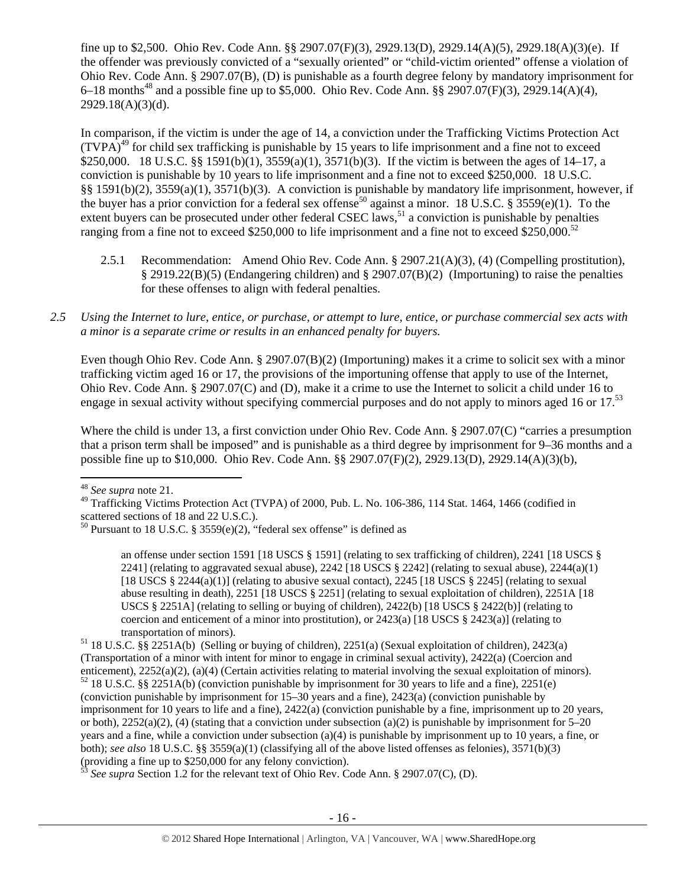fine up to \$2,500. Ohio Rev. Code Ann. §§ 2907.07(F)(3), 2929.13(D), 2929.14(A)(5), 2929.18(A)(3)(e). If the offender was previously convicted of a "sexually oriented" or "child-victim oriented" offense a violation of Ohio Rev. Code Ann. § 2907.07(B), (D) is punishable as a fourth degree felony by mandatory imprisonment for 6–18 months<sup>48</sup> and a possible fine up to \$5,000. Ohio Rev. Code Ann. §§ 2907.07(F)(3), 2929.14(A)(4), 2929.18(A)(3)(d).

In comparison, if the victim is under the age of 14, a conviction under the Trafficking Victims Protection Act  $(TVPA)<sup>49</sup>$  for child sex trafficking is punishable by 15 years to life imprisonment and a fine not to exceed \$250,000. 18 U.S.C. §§ 1591(b)(1), 3559(a)(1), 3571(b)(3). If the victim is between the ages of 14–17, a conviction is punishable by 10 years to life imprisonment and a fine not to exceed \$250,000. 18 U.S.C. §§ 1591(b)(2), 3559(a)(1), 3571(b)(3). A conviction is punishable by mandatory life imprisonment, however, if the buyer has a prior conviction for a federal sex offense<sup>50</sup> against a minor. 18 U.S.C. § 3559(e)(1). To the extent buyers can be prosecuted under other federal CSEC laws,<sup>51</sup> a conviction is punishable by penalties ranging from a fine not to exceed  $$250,000$  to life imprisonment and a fine not to exceed  $$250,000$ .<sup>52</sup>

- 2.5.1 Recommendation: Amend Ohio Rev. Code Ann. § 2907.21(A)(3), (4) (Compelling prostitution), § 2919.22(B)(5) (Endangering children) and § 2907.07(B)(2) (Importuning) to raise the penalties for these offenses to align with federal penalties.
- *2.5 Using the Internet to lure, entice, or purchase, or attempt to lure, entice, or purchase commercial sex acts with a minor is a separate crime or results in an enhanced penalty for buyers.*

Even though Ohio Rev. Code Ann. § 2907.07(B)(2) (Importuning) makes it a crime to solicit sex with a minor trafficking victim aged 16 or 17, the provisions of the importuning offense that apply to use of the Internet, Ohio Rev. Code Ann. § 2907.07(C) and (D), make it a crime to use the Internet to solicit a child under 16 to engage in sexual activity without specifying commercial purposes and do not apply to minors aged 16 or 17.<sup>53</sup>

Where the child is under 13, a first conviction under Ohio Rev. Code Ann. § 2907.07(C) "carries a presumption that a prison term shall be imposed" and is punishable as a third degree by imprisonment for 9–36 months and a possible fine up to \$10,000. Ohio Rev. Code Ann. §§ 2907.07(F)(2), 2929.13(D), 2929.14(A)(3)(b),

an offense under section 1591 [18 USCS § 1591] (relating to sex trafficking of children), 2241 [18 USCS § 2241] (relating to aggravated sexual abuse), 2242 [18 USCS  $\S$  2242] (relating to sexual abuse), 2244(a)(1) [18 USCS  $\S$  2244(a)(1)] (relating to abusive sexual contact), 2245 [18 USCS  $\S$  2245] (relating to sexual abuse resulting in death), 2251 [18 USCS § 2251] (relating to sexual exploitation of children), 2251A [18 USCS § 2251A] (relating to selling or buying of children), 2422(b) [18 USCS § 2422(b)] (relating to coercion and enticement of a minor into prostitution), or  $2423(a)$  [18 USCS §  $2423(a)$ ] (relating to transportation of minors).<br><sup>51</sup> 18 U.S.C. §§ 2251A(b) (Selling or buying of children), 2251(a) (Sexual exploitation of children), 2423(a)

<sup>48</sup> *See supra* note 21.

<sup>&</sup>lt;sup>49</sup> Trafficking Victims Protection Act (TVPA) of 2000, Pub. L. No. 106-386, 114 Stat. 1464, 1466 (codified in scattered sections of 18 and 22 U.S.C.).

 $50$  Pursuant to 18 U.S.C. § 3559(e)(2), "federal sex offense" is defined as

<sup>(</sup>Transportation of a minor with intent for minor to engage in criminal sexual activity),  $2422(a)$  (Coercion and enticement),  $2252(a)(2)$ ,  $(a)(4)$  (Certain activities relating to material involving the sexual exploitation of  $^{52}$  18 U.S.C. §§ 2251A(b) (conviction punishable by imprisonment for 30 years to life and a fine), 2251(e) (conviction punishable by imprisonment for 15–30 years and a fine), 2423(a) (conviction punishable by imprisonment for 10 years to life and a fine), 2422(a) (conviction punishable by a fine, imprisonment up to 20 years, or both),  $2252(a)(2)$ , (4) (stating that a conviction under subsection (a)(2) is punishable by imprisonment for 5–20 years and a fine, while a conviction under subsection (a)(4) is punishable by imprisonment up to 10 years, a fine, or both); *see also* 18 U.S.C. §§ 3559(a)(1) (classifying all of the above listed offenses as felonies), 3571(b)(3) (providing a fine up to \$250,000 for any felony conviction).

<sup>53</sup> *See supra* Section 1.2 for the relevant text of Ohio Rev. Code Ann. § 2907.07(C), (D).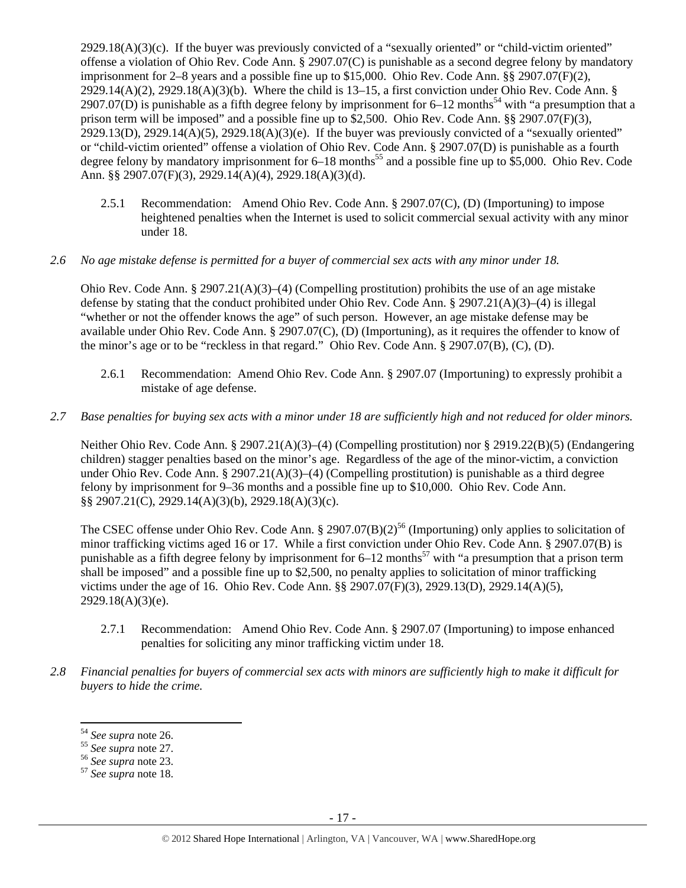$2929.18(A)(3)(c)$ . If the buyer was previously convicted of a "sexually oriented" or "child-victim oriented" offense a violation of Ohio Rev. Code Ann. § 2907.07(C) is punishable as a second degree felony by mandatory imprisonment for 2–8 years and a possible fine up to \$15,000. Ohio Rev. Code Ann. §§ 2907.07(F)(2),  $2929.14(A)(2)$ ,  $2929.18(A)(3)(b)$ . Where the child is 13–15, a first conviction under Ohio Rev. Code Ann. § 2907.07(D) is punishable as a fifth degree felony by imprisonment for  $6-12$  months<sup>54</sup> with "a presumption that a prison term will be imposed" and a possible fine up to \$2,500. Ohio Rev. Code Ann. §§ 2907.07(F)(3),  $2929.13(D)$ ,  $2929.14(A)(5)$ ,  $2929.18(A)(3)(e)$ . If the buyer was previously convicted of a "sexually oriented" or "child-victim oriented" offense a violation of Ohio Rev. Code Ann. § 2907.07(D) is punishable as a fourth degree felony by mandatory imprisonment for  $6-18$  months<sup>55</sup> and a possible fine up to \$5,000. Ohio Rev. Code Ann. §§ 2907.07(F)(3), 2929.14(A)(4), 2929.18(A)(3)(d).

2.5.1 Recommendation: Amend Ohio Rev. Code Ann. § 2907.07(C), (D) (Importuning) to impose heightened penalties when the Internet is used to solicit commercial sexual activity with any minor under 18.

## *2.6 No age mistake defense is permitted for a buyer of commercial sex acts with any minor under 18.*

Ohio Rev. Code Ann. § 2907.21(A)(3)–(4) (Compelling prostitution) prohibits the use of an age mistake defense by stating that the conduct prohibited under Ohio Rev. Code Ann. § 2907.21(A)(3)–(4) is illegal "whether or not the offender knows the age" of such person. However, an age mistake defense may be available under Ohio Rev. Code Ann. § 2907.07(C), (D) (Importuning), as it requires the offender to know of the minor's age or to be "reckless in that regard." Ohio Rev. Code Ann. § 2907.07(B), (C), (D).

2.6.1 Recommendation: Amend Ohio Rev. Code Ann. § 2907.07 (Importuning) to expressly prohibit a mistake of age defense.

## *2.7 Base penalties for buying sex acts with a minor under 18 are sufficiently high and not reduced for older minors.*

Neither Ohio Rev. Code Ann. § 2907.21(A)(3)–(4) (Compelling prostitution) nor § 2919.22(B)(5) (Endangering children) stagger penalties based on the minor's age. Regardless of the age of the minor-victim, a conviction under Ohio Rev. Code Ann. § 2907.21(A)(3)–(4) (Compelling prostitution) is punishable as a third degree felony by imprisonment for 9–36 months and a possible fine up to \$10,000. Ohio Rev. Code Ann. §§ 2907.21(C), 2929.14(A)(3)(b), 2929.18(A)(3)(c).

The CSEC offense under Ohio Rev. Code Ann. § 2907.07(B)(2)<sup>56</sup> (Importuning) only applies to solicitation of minor trafficking victims aged 16 or 17. While a first conviction under Ohio Rev. Code Ann. § 2907.07(B) is punishable as a fifth degree felony by imprisonment for  $6-12$  months<sup>57</sup> with "a presumption that a prison term shall be imposed" and a possible fine up to \$2,500, no penalty applies to solicitation of minor trafficking victims under the age of 16. Ohio Rev. Code Ann. §§ 2907.07(F)(3), 2929.13(D), 2929.14(A)(5),  $2929.18(A)(3)(e)$ .

- 2.7.1 Recommendation: Amend Ohio Rev. Code Ann. § 2907.07 (Importuning) to impose enhanced penalties for soliciting any minor trafficking victim under 18.
- *2.8 Financial penalties for buyers of commercial sex acts with minors are sufficiently high to make it difficult for buyers to hide the crime.*

<sup>54</sup> *See supra* note 26. 55 *See supra* note 27. 56 *See supra* note 23. 57 *See supra* note 18.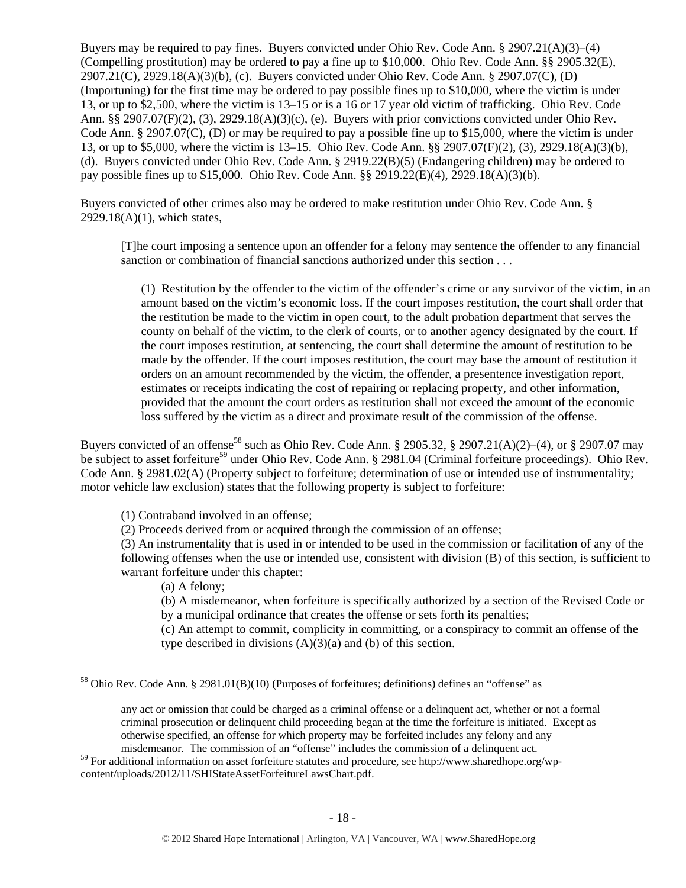Buyers may be required to pay fines. Buyers convicted under Ohio Rev. Code Ann. § 2907.21(A)(3)–(4) (Compelling prostitution) may be ordered to pay a fine up to \$10,000. Ohio Rev. Code Ann. §§ 2905.32(E), 2907.21(C), 2929.18(A)(3)(b), (c). Buyers convicted under Ohio Rev. Code Ann. § 2907.07(C), (D) (Importuning) for the first time may be ordered to pay possible fines up to \$10,000, where the victim is under 13, or up to \$2,500, where the victim is 13–15 or is a 16 or 17 year old victim of trafficking. Ohio Rev. Code Ann. §§ 2907.07(F)(2), (3), 2929.18(A)(3)(c), (e). Buyers with prior convictions convicted under Ohio Rev. Code Ann. § 2907.07(C), (D) or may be required to pay a possible fine up to \$15,000, where the victim is under 13, or up to \$5,000, where the victim is 13–15. Ohio Rev. Code Ann. §§ 2907.07(F)(2), (3), 2929.18(A)(3)(b), (d). Buyers convicted under Ohio Rev. Code Ann. § 2919.22(B)(5) (Endangering children) may be ordered to pay possible fines up to \$15,000. Ohio Rev. Code Ann. §§ 2919.22(E)(4), 2929.18(A)(3)(b).

Buyers convicted of other crimes also may be ordered to make restitution under Ohio Rev. Code Ann. § 2929.18(A)(1), which states,

[T]he court imposing a sentence upon an offender for a felony may sentence the offender to any financial sanction or combination of financial sanctions authorized under this section . . .

(1) Restitution by the offender to the victim of the offender's crime or any survivor of the victim, in an amount based on the victim's economic loss. If the court imposes restitution, the court shall order that the restitution be made to the victim in open court, to the adult probation department that serves the county on behalf of the victim, to the clerk of courts, or to another agency designated by the court. If the court imposes restitution, at sentencing, the court shall determine the amount of restitution to be made by the offender. If the court imposes restitution, the court may base the amount of restitution it orders on an amount recommended by the victim, the offender, a presentence investigation report, estimates or receipts indicating the cost of repairing or replacing property, and other information, provided that the amount the court orders as restitution shall not exceed the amount of the economic loss suffered by the victim as a direct and proximate result of the commission of the offense.

Buyers convicted of an offense<sup>58</sup> such as Ohio Rev. Code Ann. § 2905.32, § 2907.21(A)(2)–(4), or § 2907.07 may be subject to asset forfeiture<sup>59</sup> under Ohio Rev. Code Ann. § 2981.04 (Criminal forfeiture proceedings). Ohio Rev. Code Ann. § 2981.02(A) (Property subject to forfeiture; determination of use or intended use of instrumentality; motor vehicle law exclusion) states that the following property is subject to forfeiture:

(1) Contraband involved in an offense;

(2) Proceeds derived from or acquired through the commission of an offense;

(3) An instrumentality that is used in or intended to be used in the commission or facilitation of any of the following offenses when the use or intended use, consistent with division (B) of this section, is sufficient to warrant forfeiture under this chapter:

(a) A felony;

(b) A misdemeanor, when forfeiture is specifically authorized by a section of the Revised Code or by a municipal ordinance that creates the offense or sets forth its penalties;

(c) An attempt to commit, complicity in committing, or a conspiracy to commit an offense of the type described in divisions  $(A)(3)(a)$  and (b) of this section.

 $58$  Ohio Rev. Code Ann. § 2981.01(B)(10) (Purposes of forfeitures; definitions) defines an "offense" as

any act or omission that could be charged as a criminal offense or a delinquent act, whether or not a formal criminal prosecution or delinquent child proceeding began at the time the forfeiture is initiated. Except as otherwise specified, an offense for which property may be forfeited includes any felony and any misdemeanor. The commission of an "offense" includes the commission of a delinquent act.

<sup>&</sup>lt;sup>59</sup> For additional information on asset forfeiture statutes and procedure, see http://www.sharedhope.org/wpcontent/uploads/2012/11/SHIStateAssetForfeitureLawsChart.pdf.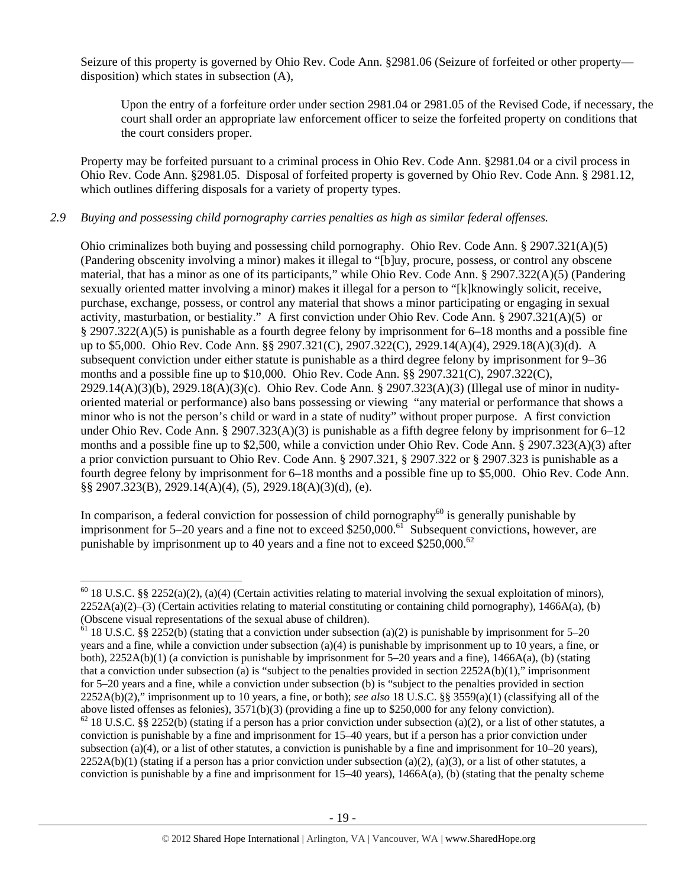Seizure of this property is governed by Ohio Rev. Code Ann. §2981.06 (Seizure of forfeited or other property disposition) which states in subsection (A),

Upon the entry of a forfeiture order under section 2981.04 or 2981.05 of the Revised Code, if necessary, the court shall order an appropriate law enforcement officer to seize the forfeited property on conditions that the court considers proper.

Property may be forfeited pursuant to a criminal process in Ohio Rev. Code Ann. §2981.04 or a civil process in Ohio Rev. Code Ann. §2981.05. Disposal of forfeited property is governed by Ohio Rev. Code Ann. § 2981.12, which outlines differing disposals for a variety of property types.

## *2.9 Buying and possessing child pornography carries penalties as high as similar federal offenses.*

Ohio criminalizes both buying and possessing child pornography. Ohio Rev. Code Ann. § 2907.321(A)(5) (Pandering obscenity involving a minor) makes it illegal to "[b]uy, procure, possess, or control any obscene material, that has a minor as one of its participants," while Ohio Rev. Code Ann. § 2907.322(A)(5) (Pandering sexually oriented matter involving a minor) makes it illegal for a person to "[k]knowingly solicit, receive, purchase, exchange, possess, or control any material that shows a minor participating or engaging in sexual activity, masturbation, or bestiality." A first conviction under Ohio Rev. Code Ann. § 2907.321(A)(5) or § 2907.322(A)(5) is punishable as a fourth degree felony by imprisonment for 6–18 months and a possible fine up to \$5,000. Ohio Rev. Code Ann. §§ 2907.321(C), 2907.322(C), 2929.14(A)(4), 2929.18(A)(3)(d). A subsequent conviction under either statute is punishable as a third degree felony by imprisonment for 9–36 months and a possible fine up to \$10,000. Ohio Rev. Code Ann. §§ 2907.321(C), 2907.322(C), 2929.14(A)(3)(b), 2929.18(A)(3)(c). Ohio Rev. Code Ann. § 2907.323(A)(3) (Illegal use of minor in nudityoriented material or performance) also bans possessing or viewing "any material or performance that shows a minor who is not the person's child or ward in a state of nudity" without proper purpose. A first conviction under Ohio Rev. Code Ann. § 2907.323(A)(3) is punishable as a fifth degree felony by imprisonment for  $6-12$ months and a possible fine up to \$2,500, while a conviction under Ohio Rev. Code Ann. § 2907.323(A)(3) after a prior conviction pursuant to Ohio Rev. Code Ann. § 2907.321, § 2907.322 or § 2907.323 is punishable as a fourth degree felony by imprisonment for 6–18 months and a possible fine up to \$5,000. Ohio Rev. Code Ann. §§ 2907.323(B), 2929.14(A)(4), (5), 2929.18(A)(3)(d), (e).

In comparison, a federal conviction for possession of child pornography<sup>60</sup> is generally punishable by imprisonment for 5–20 years and a fine not to exceed \$250,000.<sup>61</sup> Subsequent convictions, however, are punishable by imprisonment up to 40 years and a fine not to exceed  $$250,000.<sup>62</sup>$ 

 $60$  18 U.S.C. §§ 2252(a)(2), (a)(4) (Certain activities relating to material involving the sexual exploitation of minors),  $2252A(a)(2)$ –(3) (Certain activities relating to material constituting or containing child pornography), 1466A(a), (b) (Obscene visual representations of the sexual abuse of children).

 $61$  18 U.S.C. §§ 2252(b) (stating that a conviction under subsection (a)(2) is punishable by imprisonment for 5–20 years and a fine, while a conviction under subsection (a)(4) is punishable by imprisonment up to 10 years, a fine, or both),  $2252A(b)(1)$  (a conviction is punishable by imprisonment for 5–20 years and a fine),  $1466A(a)$ , (b) (stating that a conviction under subsection (a) is "subject to the penalties provided in section  $2252A(b)(1)$ ," imprisonment for 5–20 years and a fine, while a conviction under subsection (b) is "subject to the penalties provided in section 2252A(b)(2)," imprisonment up to 10 years, a fine, or both); *see also* 18 U.S.C. §§ 3559(a)(1) (classifying all of the above listed offenses as felonies), 3571(b)(3) (providing a fine up to \$250,000 for any felony conviction).

 $62$  18 U.S.C. §§ 2252(b) (stating if a person has a prior conviction under subsection (a)(2), or a list of other statutes, a conviction is punishable by a fine and imprisonment for 15–40 years, but if a person has a prior conviction under subsection (a)(4), or a list of other statutes, a conviction is punishable by a fine and imprisonment for  $10-20$  years),  $2252A(b)(1)$  (stating if a person has a prior conviction under subsection (a)(2), (a)(3), or a list of other statutes, a conviction is punishable by a fine and imprisonment for  $15-40$  years),  $1466A(a)$ , (b) (stating that the penalty scheme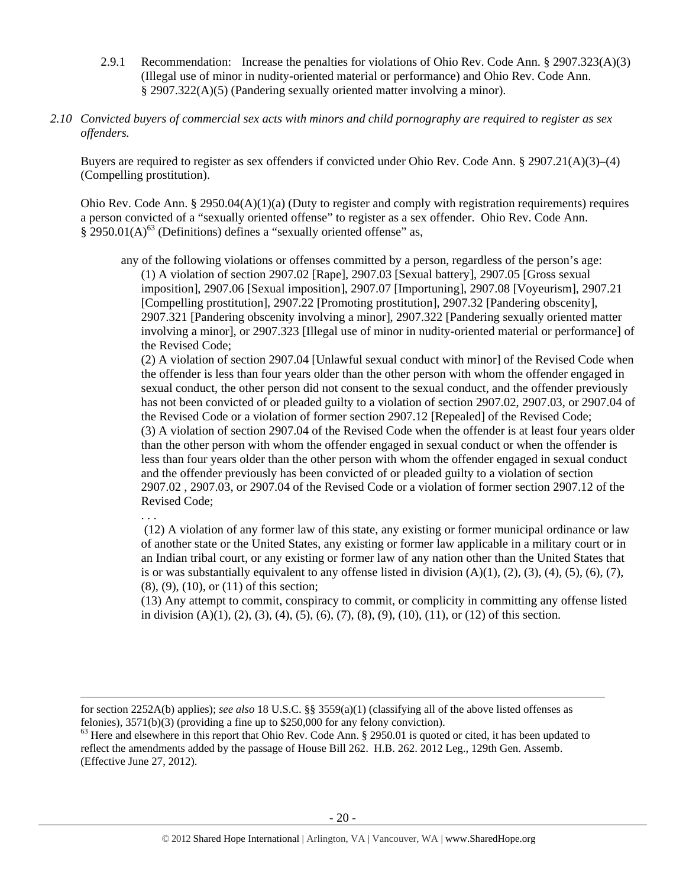- 2.9.1 Recommendation: Increase the penalties for violations of Ohio Rev. Code Ann. § 2907.323(A)(3) (Illegal use of minor in nudity-oriented material or performance) and Ohio Rev. Code Ann. § 2907.322(A)(5) (Pandering sexually oriented matter involving a minor).
- *2.10 Convicted buyers of commercial sex acts with minors and child pornography are required to register as sex offenders.*

Buyers are required to register as sex offenders if convicted under Ohio Rev. Code Ann. § 2907.21(A)(3)–(4) (Compelling prostitution).

Ohio Rev. Code Ann. § 2950.04(A)(1)(a) (Duty to register and comply with registration requirements) requires a person convicted of a "sexually oriented offense" to register as a sex offender. Ohio Rev. Code Ann.  $\S$  2950.01(A)<sup>63</sup> (Definitions) defines a "sexually oriented offense" as,

any of the following violations or offenses committed by a person, regardless of the person's age: (1) A violation of section 2907.02 [Rape], 2907.03 [Sexual battery], 2907.05 [Gross sexual imposition], 2907.06 [Sexual imposition], 2907.07 [Importuning], 2907.08 [Voyeurism], 2907.21 [Compelling prostitution], 2907.22 [Promoting prostitution], 2907.32 [Pandering obscenity], 2907.321 [Pandering obscenity involving a minor], 2907.322 [Pandering sexually oriented matter involving a minor], or 2907.323 [Illegal use of minor in nudity-oriented material or performance] of the Revised Code;

(2) A violation of section 2907.04 [Unlawful sexual conduct with minor] of the Revised Code when the offender is less than four years older than the other person with whom the offender engaged in sexual conduct, the other person did not consent to the sexual conduct, and the offender previously has not been convicted of or pleaded guilty to a violation of section 2907.02, 2907.03, or 2907.04 of the Revised Code or a violation of former section 2907.12 [Repealed] of the Revised Code; (3) A violation of section 2907.04 of the Revised Code when the offender is at least four years older than the other person with whom the offender engaged in sexual conduct or when the offender is less than four years older than the other person with whom the offender engaged in sexual conduct and the offender previously has been convicted of or pleaded guilty to a violation of section 2907.02 , 2907.03, or 2907.04 of the Revised Code or a violation of former section 2907.12 of the Revised Code;

. . .

 (12) A violation of any former law of this state, any existing or former municipal ordinance or law of another state or the United States, any existing or former law applicable in a military court or in an Indian tribal court, or any existing or former law of any nation other than the United States that is or was substantially equivalent to any offense listed in division  $(A)(1)$ ,  $(2)$ ,  $(3)$ ,  $(4)$ ,  $(5)$ ,  $(6)$ ,  $(7)$ , (8), (9), (10), or (11) of this section;

(13) Any attempt to commit, conspiracy to commit, or complicity in committing any offense listed in division  $(A)(1)$ ,  $(2)$ ,  $(3)$ ,  $(4)$ ,  $(5)$ ,  $(6)$ ,  $(7)$ ,  $(8)$ ,  $(9)$ ,  $(10)$ ,  $(11)$ , or  $(12)$  of this section.

<u> 1989 - Johann Stein, marwolaethau a gweledydd a ganrad y ganrad y ganrad y ganrad y ganrad y ganrad y ganrad</u>

for section 2252A(b) applies); *see also* 18 U.S.C. §§ 3559(a)(1) (classifying all of the above listed offenses as felonies), 3571(b)(3) (providing a fine up to \$250,000 for any felony conviction).

 $63$  Here and elsewhere in this report that Ohio Rev. Code Ann. § 2950.01 is quoted or cited, it has been updated to reflect the amendments added by the passage of House Bill 262. H.B. 262. 2012 Leg., 129th Gen. Assemb. (Effective June 27, 2012).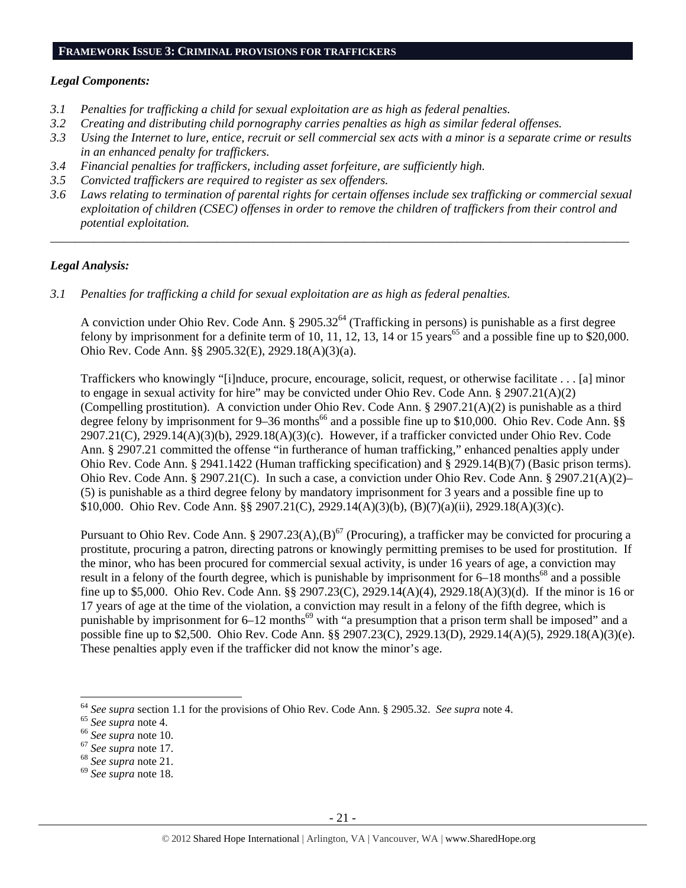#### **FRAMEWORK ISSUE 3: CRIMINAL PROVISIONS FOR TRAFFICKERS**

#### *Legal Components:*

- *3.1 Penalties for trafficking a child for sexual exploitation are as high as federal penalties.*
- *3.2 Creating and distributing child pornography carries penalties as high as similar federal offenses.*
- *3.3 Using the Internet to lure, entice, recruit or sell commercial sex acts with a minor is a separate crime or results in an enhanced penalty for traffickers.*
- *3.4 Financial penalties for traffickers, including asset forfeiture, are sufficiently high.*
- *3.5 Convicted traffickers are required to register as sex offenders.*
- *3.6 Laws relating to termination of parental rights for certain offenses include sex trafficking or commercial sexual exploitation of children (CSEC) offenses in order to remove the children of traffickers from their control and potential exploitation.*

*\_\_\_\_\_\_\_\_\_\_\_\_\_\_\_\_\_\_\_\_\_\_\_\_\_\_\_\_\_\_\_\_\_\_\_\_\_\_\_\_\_\_\_\_\_\_\_\_\_\_\_\_\_\_\_\_\_\_\_\_\_\_\_\_\_\_\_\_\_\_\_\_\_\_\_\_\_\_\_\_\_\_\_\_\_\_\_\_\_\_\_\_\_\_* 

#### *Legal Analysis:*

*3.1 Penalties for trafficking a child for sexual exploitation are as high as federal penalties.* 

A conviction under Ohio Rev. Code Ann. § 2905.32<sup>64</sup> (Trafficking in persons) is punishable as a first degree felony by imprisonment for a definite term of 10, 11, 12, 13, 14 or 15 years<sup>65</sup> and a possible fine up to \$20,000. Ohio Rev. Code Ann. §§ 2905.32(E), 2929.18(A)(3)(a).

Traffickers who knowingly "[i]nduce, procure, encourage, solicit, request, or otherwise facilitate . . . [a] minor to engage in sexual activity for hire" may be convicted under Ohio Rev. Code Ann. § 2907.21(A)(2) (Compelling prostitution). A conviction under Ohio Rev. Code Ann. § 2907.21(A)(2) is punishable as a third degree felony by imprisonment for 9–36 months<sup>66</sup> and a possible fine up to \$10,000. Ohio Rev. Code Ann. §§ 2907.21(C), 2929.14(A)(3)(b), 2929.18(A)(3)(c). However, if a trafficker convicted under Ohio Rev. Code Ann. § 2907.21 committed the offense "in furtherance of human trafficking," enhanced penalties apply under Ohio Rev. Code Ann. § 2941.1422 (Human trafficking specification) and § 2929.14(B)(7) (Basic prison terms). Ohio Rev. Code Ann. § 2907.21(C). In such a case, a conviction under Ohio Rev. Code Ann. § 2907.21(A)(2)– (5) is punishable as a third degree felony by mandatory imprisonment for 3 years and a possible fine up to \$10,000. Ohio Rev. Code Ann. §§ 2907.21(C), 2929.14(A)(3)(b), (B)(7)(a)(ii), 2929.18(A)(3)(c).

Pursuant to Ohio Rev. Code Ann. § 2907.23(A),(B)<sup>67</sup> (Procuring), a trafficker may be convicted for procuring a prostitute, procuring a patron, directing patrons or knowingly permitting premises to be used for prostitution. If the minor, who has been procured for commercial sexual activity, is under 16 years of age, a conviction may result in a felony of the fourth degree, which is punishable by imprisonment for 6–18 months<sup>68</sup> and a possible fine up to \$5,000. Ohio Rev. Code Ann. §§ 2907.23(C), 2929.14(A)(4), 2929.18(A)(3)(d). If the minor is 16 or 17 years of age at the time of the violation, a conviction may result in a felony of the fifth degree, which is punishable by imprisonment for 6–12 months<sup>69</sup> with "a presumption that a prison term shall be imposed" and a possible fine up to \$2,500. Ohio Rev. Code Ann. §§ 2907.23(C), 2929.13(D), 2929.14(A)(5), 2929.18(A)(3)(e). These penalties apply even if the trafficker did not know the minor's age.

<sup>&</sup>lt;sup>64</sup> See supra section 1.1 for the provisions of Ohio Rev. Code Ann. § 2905.32. See supra note 4.<br><sup>65</sup> See supra note 4.<br><sup>66</sup> See supra note 10.<br><sup>66</sup> See supra note 17.<br><sup>68</sup> See supra note 21.<br><sup>68</sup> See supra note 21.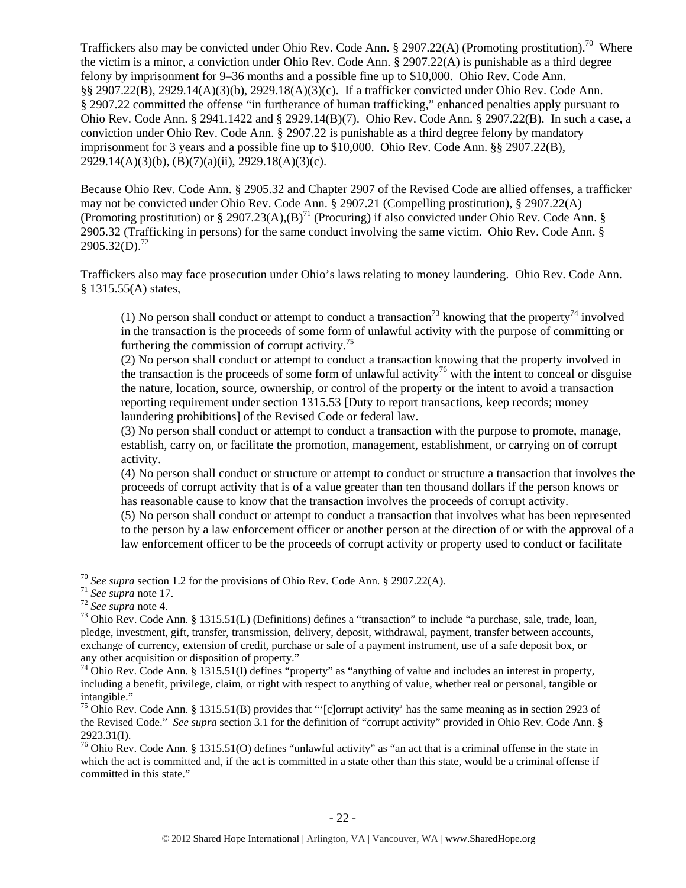Traffickers also may be convicted under Ohio Rev. Code Ann. § 2907.22(A) (Promoting prostitution).<sup>70</sup> Where the victim is a minor, a conviction under Ohio Rev. Code Ann. § 2907.22(A) is punishable as a third degree felony by imprisonment for 9–36 months and a possible fine up to \$10,000. Ohio Rev. Code Ann. §§ 2907.22(B), 2929.14(A)(3)(b), 2929.18(A)(3)(c). If a trafficker convicted under Ohio Rev. Code Ann. § 2907.22 committed the offense "in furtherance of human trafficking," enhanced penalties apply pursuant to Ohio Rev. Code Ann. § 2941.1422 and § 2929.14(B)(7). Ohio Rev. Code Ann. § 2907.22(B). In such a case, a conviction under Ohio Rev. Code Ann. § 2907.22 is punishable as a third degree felony by mandatory imprisonment for 3 years and a possible fine up to \$10,000. Ohio Rev. Code Ann. §§ 2907.22(B), 2929.14(A)(3)(b), (B)(7)(a)(ii), 2929.18(A)(3)(c).

Because Ohio Rev. Code Ann. § 2905.32 and Chapter 2907 of the Revised Code are allied offenses, a trafficker may not be convicted under Ohio Rev. Code Ann. § 2907.21 (Compelling prostitution), § 2907.22(A) (Promoting prostitution) or § 2907.23(A),(B)<sup>71</sup> (Procuring) if also convicted under Ohio Rev. Code Ann. § 2905.32 (Trafficking in persons) for the same conduct involving the same victim. Ohio Rev. Code Ann. §  $2905.32(D).^{72}$ 

Traffickers also may face prosecution under Ohio's laws relating to money laundering. Ohio Rev. Code Ann. § 1315.55(A) states,

(1) No person shall conduct or attempt to conduct a transaction<sup>73</sup> knowing that the property<sup>74</sup> involved in the transaction is the proceeds of some form of unlawful activity with the purpose of committing or furthering the commission of corrupt activity.<sup>75</sup>

(2) No person shall conduct or attempt to conduct a transaction knowing that the property involved in the transaction is the proceeds of some form of unlawful activity<sup>76</sup> with the intent to conceal or disguise the nature, location, source, ownership, or control of the property or the intent to avoid a transaction reporting requirement under section 1315.53 [Duty to report transactions, keep records; money laundering prohibitions] of the Revised Code or federal law.

(3) No person shall conduct or attempt to conduct a transaction with the purpose to promote, manage, establish, carry on, or facilitate the promotion, management, establishment, or carrying on of corrupt activity.

(4) No person shall conduct or structure or attempt to conduct or structure a transaction that involves the proceeds of corrupt activity that is of a value greater than ten thousand dollars if the person knows or has reasonable cause to know that the transaction involves the proceeds of corrupt activity.

(5) No person shall conduct or attempt to conduct a transaction that involves what has been represented to the person by a law enforcement officer or another person at the direction of or with the approval of a law enforcement officer to be the proceeds of corrupt activity or property used to conduct or facilitate

<sup>&</sup>lt;sup>70</sup> See supra section 1.2 for the provisions of Ohio Rev. Code Ann. § 2907.22(A).<br><sup>71</sup> See supra note 17.<br><sup>72</sup> See supra note 4.<br><sup>73</sup> Ohio Rev. Code Ann. § 1315.51(L) (Definitions) defines a "transaction" to include "a p pledge, investment, gift, transfer, transmission, delivery, deposit, withdrawal, payment, transfer between accounts, exchange of currency, extension of credit, purchase or sale of a payment instrument, use of a safe deposit box, or any other acquisition or disposition of property."

<sup>&</sup>lt;sup>74</sup> Ohio Rev. Code Ann. § 1315.51(I) defines "property" as "anything of value and includes an interest in property, including a benefit, privilege, claim, or right with respect to anything of value, whether real or personal, tangible or intangible."

<sup>&</sup>lt;sup>75</sup> Ohio Rev. Code Ann. § 1315.51(B) provides that "'[c]orrupt activity' has the same meaning as in section 2923 of the Revised Code." *See supra* section 3.1 for the definition of "corrupt activity" provided in Ohio Rev. Code Ann. § 2923.31(I).

<sup>&</sup>lt;sup>76</sup> Ohio Rev. Code Ann. § 1315.51(O) defines "unlawful activity" as "an act that is a criminal offense in the state in which the act is committed and, if the act is committed in a state other than this state, would be a criminal offense if committed in this state."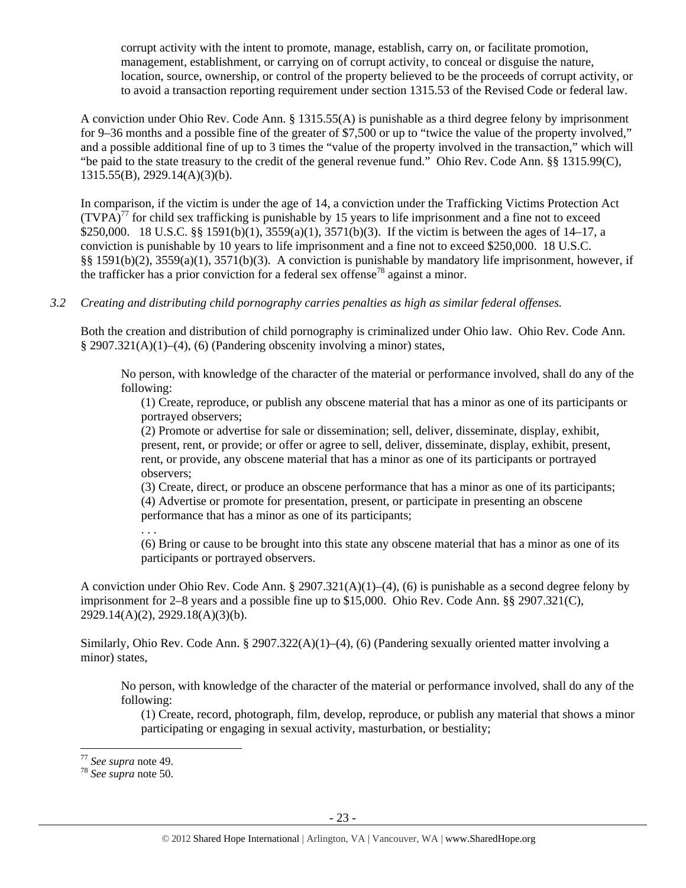corrupt activity with the intent to promote, manage, establish, carry on, or facilitate promotion, management, establishment, or carrying on of corrupt activity, to conceal or disguise the nature, location, source, ownership, or control of the property believed to be the proceeds of corrupt activity, or to avoid a transaction reporting requirement under section 1315.53 of the Revised Code or federal law.

A conviction under Ohio Rev. Code Ann. § 1315.55(A) is punishable as a third degree felony by imprisonment for 9–36 months and a possible fine of the greater of \$7,500 or up to "twice the value of the property involved," and a possible additional fine of up to 3 times the "value of the property involved in the transaction," which will "be paid to the state treasury to the credit of the general revenue fund." Ohio Rev. Code Ann. §§ 1315.99(C), 1315.55(B), 2929.14(A)(3)(b).

In comparison, if the victim is under the age of 14, a conviction under the Trafficking Victims Protection Act  $(TVPA)<sup>77</sup>$  for child sex trafficking is punishable by 15 years to life imprisonment and a fine not to exceed \$250,000. 18 U.S.C. §§ 1591(b)(1), 3559(a)(1), 3571(b)(3). If the victim is between the ages of 14–17, a conviction is punishable by 10 years to life imprisonment and a fine not to exceed \$250,000. 18 U.S.C. §§ 1591(b)(2), 3559(a)(1), 3571(b)(3). A conviction is punishable by mandatory life imprisonment, however, if the trafficker has a prior conviction for a federal sex offense<sup>78</sup> against a minor.

## *3.2 Creating and distributing child pornography carries penalties as high as similar federal offenses.*

Both the creation and distribution of child pornography is criminalized under Ohio law. Ohio Rev. Code Ann.  $§$  2907.321(A)(1)–(4), (6) (Pandering obscenity involving a minor) states,

No person, with knowledge of the character of the material or performance involved, shall do any of the following:

(1) Create, reproduce, or publish any obscene material that has a minor as one of its participants or portrayed observers;

(2) Promote or advertise for sale or dissemination; sell, deliver, disseminate, display, exhibit, present, rent, or provide; or offer or agree to sell, deliver, disseminate, display, exhibit, present, rent, or provide, any obscene material that has a minor as one of its participants or portrayed observers;

(3) Create, direct, or produce an obscene performance that has a minor as one of its participants; (4) Advertise or promote for presentation, present, or participate in presenting an obscene performance that has a minor as one of its participants;

. . .

(6) Bring or cause to be brought into this state any obscene material that has a minor as one of its participants or portrayed observers.

A conviction under Ohio Rev. Code Ann. § 2907.321(A)(1)–(4), (6) is punishable as a second degree felony by imprisonment for 2–8 years and a possible fine up to \$15,000. Ohio Rev. Code Ann. §§ 2907.321(C), 2929.14(A)(2), 2929.18(A)(3)(b).

Similarly, Ohio Rev. Code Ann. § 2907.322(A)(1)–(4), (6) (Pandering sexually oriented matter involving a minor) states,

No person, with knowledge of the character of the material or performance involved, shall do any of the following:

(1) Create, record, photograph, film, develop, reproduce, or publish any material that shows a minor participating or engaging in sexual activity, masturbation, or bestiality;

<sup>&</sup>lt;sup>77</sup> See supra note 49.

<sup>77</sup> *See supra* note 49. 78 *See supra* note 50.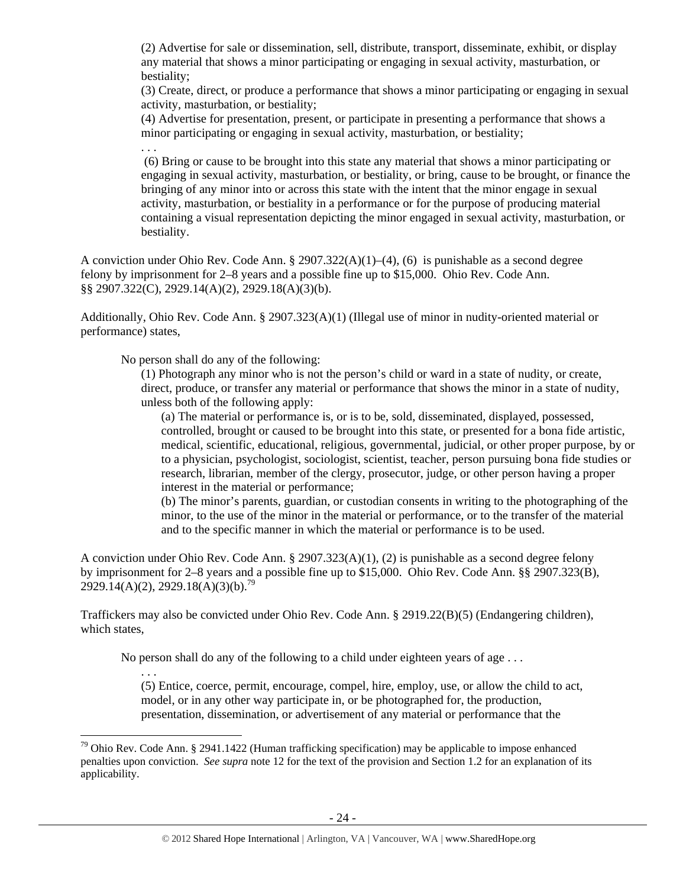(2) Advertise for sale or dissemination, sell, distribute, transport, disseminate, exhibit, or display any material that shows a minor participating or engaging in sexual activity, masturbation, or bestiality;

(3) Create, direct, or produce a performance that shows a minor participating or engaging in sexual activity, masturbation, or bestiality;

(4) Advertise for presentation, present, or participate in presenting a performance that shows a minor participating or engaging in sexual activity, masturbation, or bestiality;

. . .

 (6) Bring or cause to be brought into this state any material that shows a minor participating or engaging in sexual activity, masturbation, or bestiality, or bring, cause to be brought, or finance the bringing of any minor into or across this state with the intent that the minor engage in sexual activity, masturbation, or bestiality in a performance or for the purpose of producing material containing a visual representation depicting the minor engaged in sexual activity, masturbation, or bestiality.

A conviction under Ohio Rev. Code Ann. § 2907.322(A)(1)–(4), (6) is punishable as a second degree felony by imprisonment for 2–8 years and a possible fine up to \$15,000. Ohio Rev. Code Ann. §§ 2907.322(C), 2929.14(A)(2), 2929.18(A)(3)(b).

Additionally, Ohio Rev. Code Ann. § 2907.323(A)(1) (Illegal use of minor in nudity-oriented material or performance) states,

No person shall do any of the following:

(1) Photograph any minor who is not the person's child or ward in a state of nudity, or create, direct, produce, or transfer any material or performance that shows the minor in a state of nudity, unless both of the following apply:

(a) The material or performance is, or is to be, sold, disseminated, displayed, possessed, controlled, brought or caused to be brought into this state, or presented for a bona fide artistic, medical, scientific, educational, religious, governmental, judicial, or other proper purpose, by or to a physician, psychologist, sociologist, scientist, teacher, person pursuing bona fide studies or research, librarian, member of the clergy, prosecutor, judge, or other person having a proper interest in the material or performance;

(b) The minor's parents, guardian, or custodian consents in writing to the photographing of the minor, to the use of the minor in the material or performance, or to the transfer of the material and to the specific manner in which the material or performance is to be used.

A conviction under Ohio Rev. Code Ann. § 2907.323(A)(1), (2) is punishable as a second degree felony by imprisonment for 2–8 years and a possible fine up to \$15,000. Ohio Rev. Code Ann. §§ 2907.323(B), 2929.14(A)(2), 2929.18(A)(3)(b).<sup>79</sup>

Traffickers may also be convicted under Ohio Rev. Code Ann. § 2919.22(B)(5) (Endangering children), which states,

No person shall do any of the following to a child under eighteen years of age . . .

. . . (5) Entice, coerce, permit, encourage, compel, hire, employ, use, or allow the child to act, model, or in any other way participate in, or be photographed for, the production, presentation, dissemination, or advertisement of any material or performance that the

  $79$  Ohio Rev. Code Ann. § 2941.1422 (Human trafficking specification) may be applicable to impose enhanced penalties upon conviction. *See supra* note 12 for the text of the provision and Section 1.2 for an explanation of its applicability.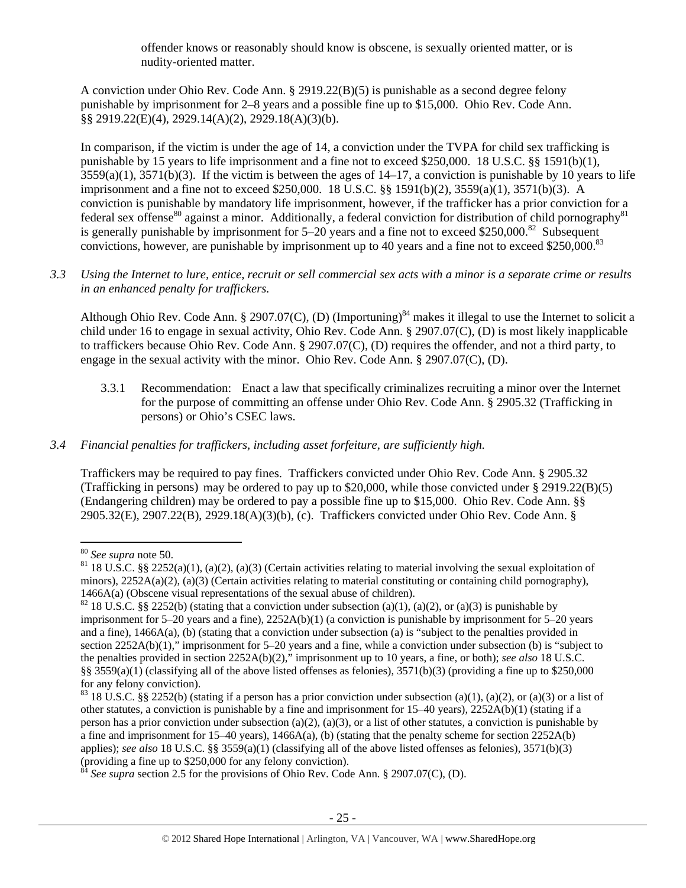offender knows or reasonably should know is obscene, is sexually oriented matter, or is nudity-oriented matter.

A conviction under Ohio Rev. Code Ann. § 2919.22(B)(5) is punishable as a second degree felony punishable by imprisonment for 2–8 years and a possible fine up to \$15,000. Ohio Rev. Code Ann. §§ 2919.22(E)(4), 2929.14(A)(2), 2929.18(A)(3)(b).

In comparison, if the victim is under the age of 14, a conviction under the TVPA for child sex trafficking is punishable by 15 years to life imprisonment and a fine not to exceed \$250,000. 18 U.S.C. §§ 1591(b)(1),  $3559(a)(1)$ ,  $3571(b)(3)$ . If the victim is between the ages of  $14-17$ , a conviction is punishable by 10 years to life imprisonment and a fine not to exceed \$250,000. 18 U.S.C. §§ 1591(b)(2), 3559(a)(1), 3571(b)(3). A conviction is punishable by mandatory life imprisonment, however, if the trafficker has a prior conviction for a federal sex offense<sup>80</sup> against a minor. Additionally, a federal conviction for distribution of child pornography<sup>81</sup> is generally punishable by imprisonment for  $5-20$  years and a fine not to exceed \$250,000.<sup>82</sup> Subsequent convictions, however, are punishable by imprisonment up to 40 years and a fine not to exceed \$250,000.<sup>83</sup>

## *3.3 Using the Internet to lure, entice, recruit or sell commercial sex acts with a minor is a separate crime or results in an enhanced penalty for traffickers.*

Although Ohio Rev. Code Ann. § 2907.07(C), (D) (Importuning)<sup>84</sup> makes it illegal to use the Internet to solicit a child under 16 to engage in sexual activity, Ohio Rev. Code Ann. § 2907.07(C), (D) is most likely inapplicable to traffickers because Ohio Rev. Code Ann. § 2907.07(C), (D) requires the offender, and not a third party, to engage in the sexual activity with the minor. Ohio Rev. Code Ann. § 2907.07(C), (D).

3.3.1 Recommendation: Enact a law that specifically criminalizes recruiting a minor over the Internet for the purpose of committing an offense under Ohio Rev. Code Ann. § 2905.32 (Trafficking in persons) or Ohio's CSEC laws.

## *3.4 Financial penalties for traffickers, including asset forfeiture, are sufficiently high.*

Traffickers may be required to pay fines. Traffickers convicted under Ohio Rev. Code Ann. § 2905.32 (Trafficking in persons) may be ordered to pay up to \$20,000, while those convicted under § 2919.22(B)(5) (Endangering children) may be ordered to pay a possible fine up to \$15,000. Ohio Rev. Code Ann. §§ 2905.32(E), 2907.22(B), 2929.18(A)(3)(b), (c). Traffickers convicted under Ohio Rev. Code Ann. §

<sup>&</sup>lt;sup>80</sup> *See supra* note 50.<br><sup>81</sup> 18 U.S.C. §§ 2252(a)(1), (a)(2), (a)(3) (Certain activities relating to material involving the sexual exploitation of minors),  $2252A(a)(2)$ ,  $(a)(3)$  (Certain activities relating to material constituting or containing child pornography), 1466A(a) (Obscene visual representations of the sexual abuse of children).<br><sup>82</sup> 18 U.S.C. §§ 2252(b) (stating that a conviction under subsection (a)(1), (a)(2), or (a)(3) is punishable by

imprisonment for 5–20 years and a fine), 2252A(b)(1) (a conviction is punishable by imprisonment for 5–20 years and a fine), 1466A(a), (b) (stating that a conviction under subsection (a) is "subject to the penalties provided in section 2252A(b)(1)," imprisonment for 5–20 years and a fine, while a conviction under subsection (b) is "subject to the penalties provided in section 2252A(b)(2)," imprisonment up to 10 years, a fine, or both); *see also* 18 U.S.C. §§ 3559(a)(1) (classifying all of the above listed offenses as felonies), 3571(b)(3) (providing a fine up to \$250,000 for any felony conviction).

<sup>&</sup>lt;sup>83</sup> 18 U.S.C. §§ 2252(b) (stating if a person has a prior conviction under subsection (a)(1), (a)(2), or (a)(3) or a list of other statutes, a conviction is punishable by a fine and imprisonment for 15–40 years), 2252A(b)(1) (stating if a person has a prior conviction under subsection (a)(2), (a)(3), or a list of other statutes, a conviction is punishable by a fine and imprisonment for  $15-40$  years),  $1466A(a)$ , (b) (stating that the penalty scheme for section  $2252A(b)$ applies); *see also* 18 U.S.C. §§ 3559(a)(1) (classifying all of the above listed offenses as felonies), 3571(b)(3) (providing a fine up to \$250,000 for any felony conviction).

See supra section 2.5 for the provisions of Ohio Rev. Code Ann. § 2907.07(C), (D).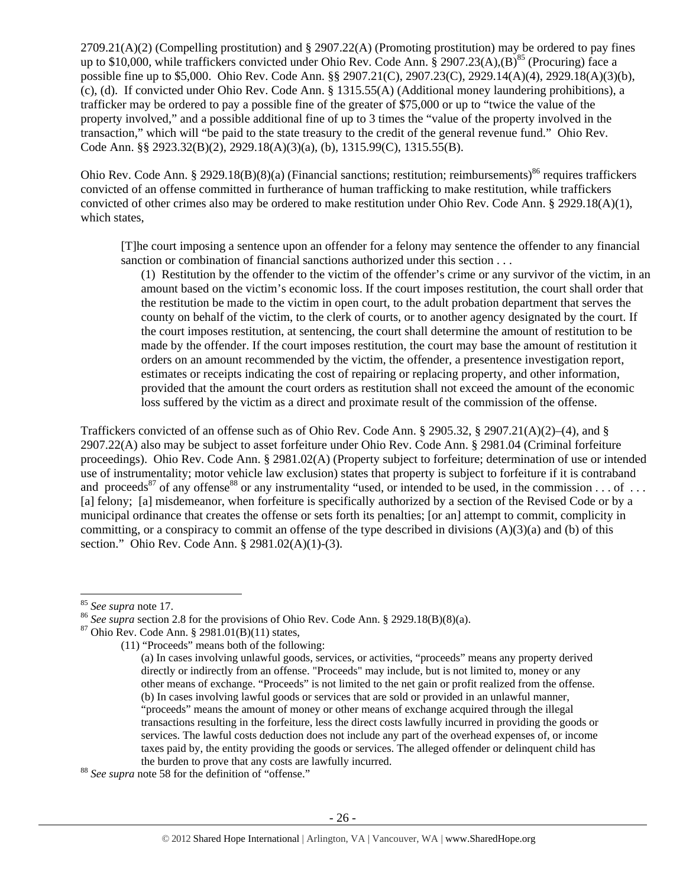2709.21(A)(2) (Compelling prostitution) and § 2907.22(A) (Promoting prostitution) may be ordered to pay fines up to \$10,000, while traffickers convicted under Ohio Rev. Code Ann. § 2907.23(A),(B)<sup>85</sup> (Procuring) face a possible fine up to \$5,000. Ohio Rev. Code Ann. §§ 2907.21(C), 2907.23(C), 2929.14(A)(4), 2929.18(A)(3)(b), (c), (d). If convicted under Ohio Rev. Code Ann. § 1315.55(A) (Additional money laundering prohibitions), a trafficker may be ordered to pay a possible fine of the greater of \$75,000 or up to "twice the value of the property involved," and a possible additional fine of up to 3 times the "value of the property involved in the transaction," which will "be paid to the state treasury to the credit of the general revenue fund." Ohio Rev. Code Ann. §§ 2923.32(B)(2), 2929.18(A)(3)(a), (b), 1315.99(C), 1315.55(B).

Ohio Rev. Code Ann. § 2929.18(B)(8)(a) (Financial sanctions; restitution; reimbursements)<sup>86</sup> requires traffickers convicted of an offense committed in furtherance of human trafficking to make restitution, while traffickers convicted of other crimes also may be ordered to make restitution under Ohio Rev. Code Ann. § 2929.18(A)(1), which states,

[T]he court imposing a sentence upon an offender for a felony may sentence the offender to any financial sanction or combination of financial sanctions authorized under this section . . .

(1) Restitution by the offender to the victim of the offender's crime or any survivor of the victim, in an amount based on the victim's economic loss. If the court imposes restitution, the court shall order that the restitution be made to the victim in open court, to the adult probation department that serves the county on behalf of the victim, to the clerk of courts, or to another agency designated by the court. If the court imposes restitution, at sentencing, the court shall determine the amount of restitution to be made by the offender. If the court imposes restitution, the court may base the amount of restitution it orders on an amount recommended by the victim, the offender, a presentence investigation report, estimates or receipts indicating the cost of repairing or replacing property, and other information, provided that the amount the court orders as restitution shall not exceed the amount of the economic loss suffered by the victim as a direct and proximate result of the commission of the offense.

Traffickers convicted of an offense such as of Ohio Rev. Code Ann. § 2905.32, § 2907.21(A)(2)–(4), and § 2907.22(A) also may be subject to asset forfeiture under Ohio Rev. Code Ann. § 2981.04 (Criminal forfeiture proceedings). Ohio Rev. Code Ann. § 2981.02(A) (Property subject to forfeiture; determination of use or intended use of instrumentality; motor vehicle law exclusion) states that property is subject to forfeiture if it is contraband and proceeds<sup>87</sup> of any offense<sup>88</sup> or any instrumentality "used, or intended to be used, in the commission  $\dots$  of  $\dots$ [a] felony; [a] misdemeanor, when forfeiture is specifically authorized by a section of the Revised Code or by a municipal ordinance that creates the offense or sets forth its penalties; [or an] attempt to commit, complicity in committing, or a conspiracy to commit an offense of the type described in divisions  $(A)(3)(a)$  and (b) of this section." Ohio Rev. Code Ann. § 2981.02(A)(1)-(3).

<sup>&</sup>lt;sup>85</sup> *See supra* note 17.<br><sup>86</sup> *See supra* section 2.8 for the provisions of Ohio Rev. Code Ann. § 2929.18(B)(8)(a).<br><sup>87</sup> Ohio Rev. Code Ann. § 2981.01(B)(11) states,

<sup>(11) &</sup>quot;Proceeds" means both of the following:

<sup>(</sup>a) In cases involving unlawful goods, services, or activities, "proceeds" means any property derived directly or indirectly from an offense. "Proceeds" may include, but is not limited to, money or any other means of exchange. "Proceeds" is not limited to the net gain or profit realized from the offense. (b) In cases involving lawful goods or services that are sold or provided in an unlawful manner, "proceeds" means the amount of money or other means of exchange acquired through the illegal transactions resulting in the forfeiture, less the direct costs lawfully incurred in providing the goods or services. The lawful costs deduction does not include any part of the overhead expenses of, or income taxes paid by, the entity providing the goods or services. The alleged offender or delinquent child has the burden to prove that any costs are lawfully incurred. 88 *See supra* note 58 for the definition of "offense."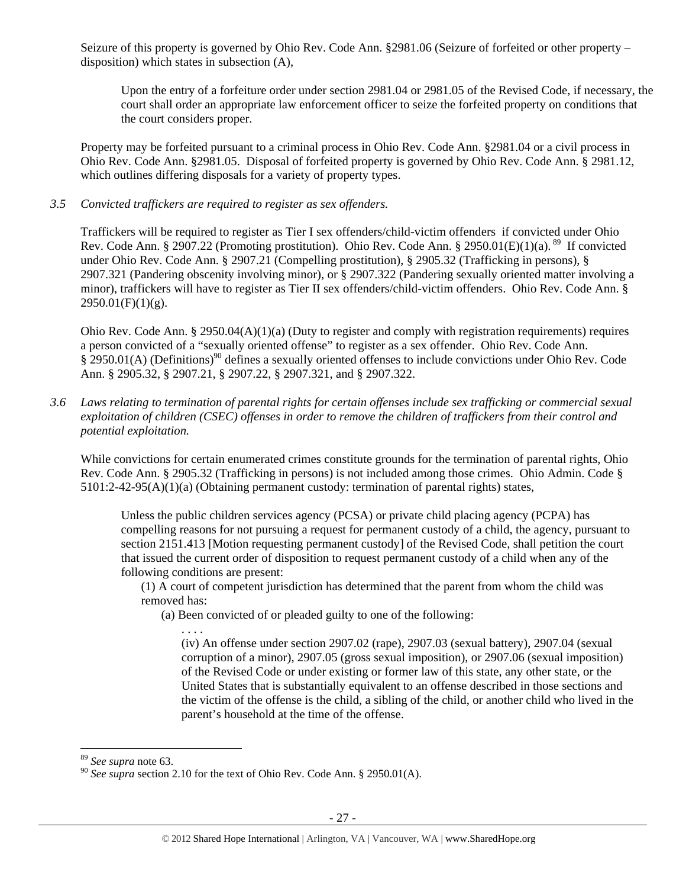Seizure of this property is governed by Ohio Rev. Code Ann. §2981.06 (Seizure of forfeited or other property – disposition) which states in subsection (A),

Upon the entry of a forfeiture order under section 2981.04 or 2981.05 of the Revised Code, if necessary, the court shall order an appropriate law enforcement officer to seize the forfeited property on conditions that the court considers proper.

Property may be forfeited pursuant to a criminal process in Ohio Rev. Code Ann. §2981.04 or a civil process in Ohio Rev. Code Ann. §2981.05. Disposal of forfeited property is governed by Ohio Rev. Code Ann. § 2981.12, which outlines differing disposals for a variety of property types.

#### *3.5 Convicted traffickers are required to register as sex offenders.*

Traffickers will be required to register as Tier I sex offenders/child-victim offenders if convicted under Ohio Rev. Code Ann. § 2907.22 (Promoting prostitution). Ohio Rev. Code Ann. § 2950.01(E)(1)(a). <sup>89</sup> If convicted under Ohio Rev. Code Ann. § 2907.21 (Compelling prostitution), § 2905.32 (Trafficking in persons), § 2907.321 (Pandering obscenity involving minor), or § 2907.322 (Pandering sexually oriented matter involving a minor), traffickers will have to register as Tier II sex offenders/child-victim offenders. Ohio Rev. Code Ann. §  $2950.01(F)(1)(g)$ .

Ohio Rev. Code Ann. § 2950.04(A)(1)(a) (Duty to register and comply with registration requirements) requires a person convicted of a "sexually oriented offense" to register as a sex offender. Ohio Rev. Code Ann. § 2950.01(A) (Definitions)<sup>90</sup> defines a sexually oriented offenses to include convictions under Ohio Rev. Code Ann. § 2905.32, § 2907.21, § 2907.22, § 2907.321, and § 2907.322.

*3.6 Laws relating to termination of parental rights for certain offenses include sex trafficking or commercial sexual exploitation of children (CSEC) offenses in order to remove the children of traffickers from their control and potential exploitation.* 

While convictions for certain enumerated crimes constitute grounds for the termination of parental rights, Ohio Rev. Code Ann. § 2905.32 (Trafficking in persons) is not included among those crimes. Ohio Admin. Code § 5101:2-42-95(A)(1)(a) (Obtaining permanent custody: termination of parental rights) states,

Unless the public children services agency (PCSA) or private child placing agency (PCPA) has compelling reasons for not pursuing a request for permanent custody of a child, the agency, pursuant to section 2151.413 [Motion requesting permanent custody] of the Revised Code, shall petition the court that issued the current order of disposition to request permanent custody of a child when any of the following conditions are present:

(1) A court of competent jurisdiction has determined that the parent from whom the child was removed has:

(a) Been convicted of or pleaded guilty to one of the following:

. . . .

(iv) An offense under section 2907.02 (rape), 2907.03 (sexual battery), 2907.04 (sexual corruption of a minor), 2907.05 (gross sexual imposition), or 2907.06 (sexual imposition) of the Revised Code or under existing or former law of this state, any other state, or the United States that is substantially equivalent to an offense described in those sections and the victim of the offense is the child, a sibling of the child, or another child who lived in the parent's household at the time of the offense.

<sup>89</sup> *See supra* note 63.

<sup>&</sup>lt;sup>90</sup> See supra section 2.10 for the text of Ohio Rev. Code Ann. § 2950.01(A).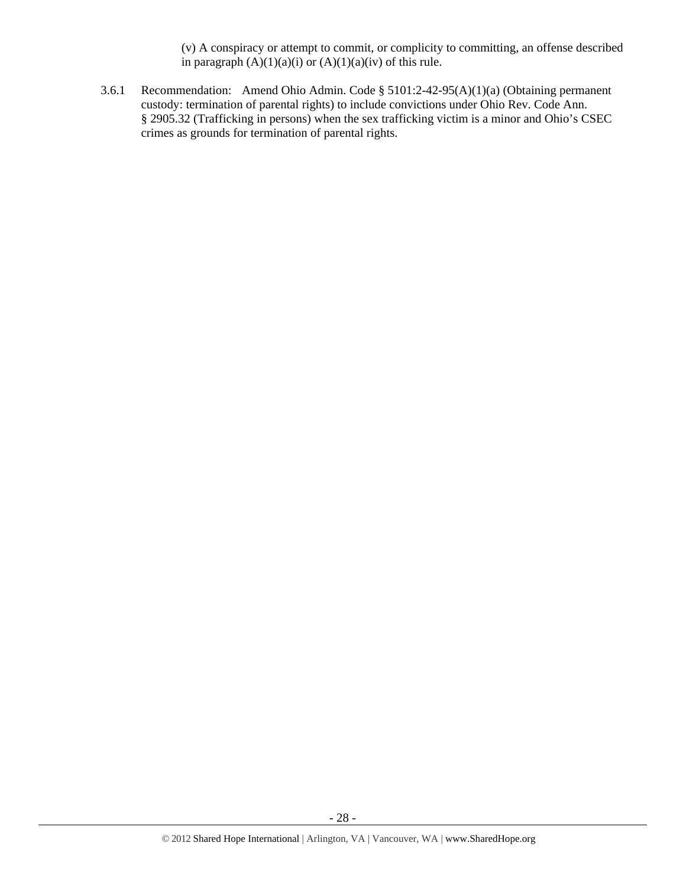(v) A conspiracy or attempt to commit, or complicity to committing, an offense described in paragraph  $(A)(1)(a)(i)$  or  $(A)(1)(a)(iv)$  of this rule.

3.6.1 Recommendation: Amend Ohio Admin. Code § 5101:2-42-95(A)(1)(a) (Obtaining permanent custody: termination of parental rights) to include convictions under Ohio Rev. Code Ann. § 2905.32 (Trafficking in persons) when the sex trafficking victim is a minor and Ohio's CSEC crimes as grounds for termination of parental rights.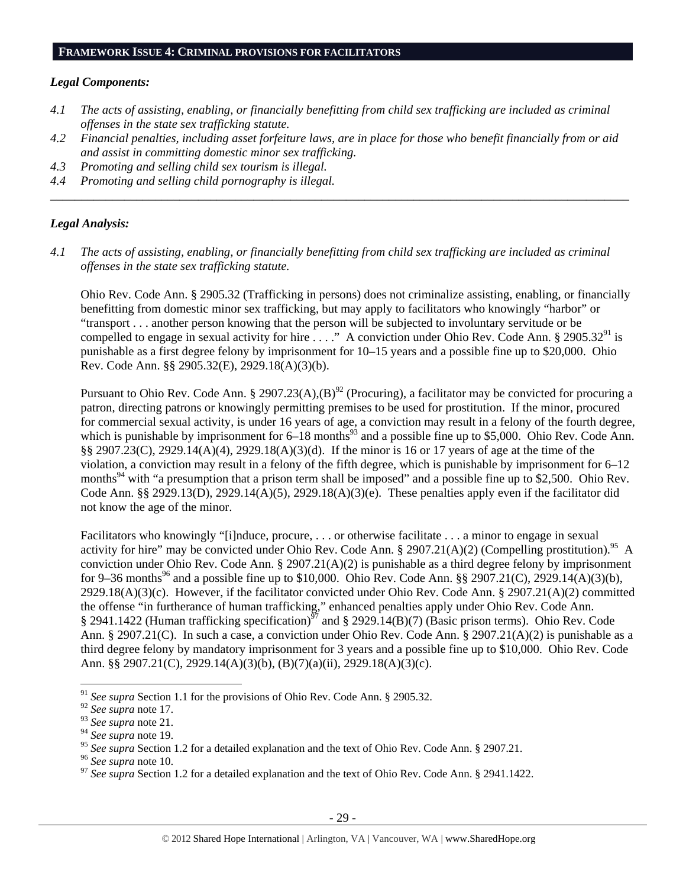#### *Legal Components:*

- *4.1 The acts of assisting, enabling, or financially benefitting from child sex trafficking are included as criminal offenses in the state sex trafficking statute.*
- *4.2 Financial penalties, including asset forfeiture laws, are in place for those who benefit financially from or aid and assist in committing domestic minor sex trafficking.*

*\_\_\_\_\_\_\_\_\_\_\_\_\_\_\_\_\_\_\_\_\_\_\_\_\_\_\_\_\_\_\_\_\_\_\_\_\_\_\_\_\_\_\_\_\_\_\_\_\_\_\_\_\_\_\_\_\_\_\_\_\_\_\_\_\_\_\_\_\_\_\_\_\_\_\_\_\_\_\_\_\_\_\_\_\_\_\_\_\_\_\_\_\_\_* 

- *4.3 Promoting and selling child sex tourism is illegal.*
- *4.4 Promoting and selling child pornography is illegal.*

#### *Legal Analysis:*

*4.1 The acts of assisting, enabling, or financially benefitting from child sex trafficking are included as criminal offenses in the state sex trafficking statute.* 

Ohio Rev. Code Ann. § 2905.32 (Trafficking in persons) does not criminalize assisting, enabling, or financially benefitting from domestic minor sex trafficking, but may apply to facilitators who knowingly "harbor" or "transport . . . another person knowing that the person will be subjected to involuntary servitude or be compelled to engage in sexual activity for hire . . . ." A conviction under Ohio Rev. Code Ann. § 2905.32<sup>91</sup> is punishable as a first degree felony by imprisonment for 10–15 years and a possible fine up to \$20,000. Ohio Rev. Code Ann. §§ 2905.32(E), 2929.18(A)(3)(b).

Pursuant to Ohio Rev. Code Ann. § 2907.23(A),(B)<sup>92</sup> (Procuring), a facilitator may be convicted for procuring a patron, directing patrons or knowingly permitting premises to be used for prostitution. If the minor, procured for commercial sexual activity, is under 16 years of age, a conviction may result in a felony of the fourth degree, which is punishable by imprisonment for  $6-18$  months<sup>93</sup> and a possible fine up to \$5,000. Ohio Rev. Code Ann. §§ 2907.23(C), 2929.14(A)(4), 2929.18(A)(3)(d). If the minor is 16 or 17 years of age at the time of the violation, a conviction may result in a felony of the fifth degree, which is punishable by imprisonment for 6–12 months<sup>94</sup> with "a presumption that a prison term shall be imposed" and a possible fine up to \$2,500. Ohio Rev. Code Ann. §§ 2929.13(D), 2929.14(A)(5), 2929.18(A)(3)(e). These penalties apply even if the facilitator did not know the age of the minor.

Facilitators who knowingly "[i]nduce, procure, . . . or otherwise facilitate . . . a minor to engage in sexual activity for hire" may be convicted under Ohio Rev. Code Ann. § 2907.21(A)(2) (Compelling prostitution).<sup>95</sup> A conviction under Ohio Rev. Code Ann. § 2907.21(A)(2) is punishable as a third degree felony by imprisonment for 9–36 months<sup>96</sup> and a possible fine up to \$10,000. Ohio Rev. Code Ann. §§ 2907.21(C), 2929.14(A)(3)(b), 2929.18(A)(3)(c). However, if the facilitator convicted under Ohio Rev. Code Ann. § 2907.21(A)(2) committed the offense "in furtherance of human trafficking," enhanced penalties apply under Ohio Rev. Code Ann. § 2941.1422 (Human trafficking specification)<sup>97</sup> and § 2929.14(B)(7) (Basic prison terms). Ohio Rev. Code Ann. § 2907.21(C). In such a case, a conviction under Ohio Rev. Code Ann. § 2907.21(A)(2) is punishable as a third degree felony by mandatory imprisonment for 3 years and a possible fine up to \$10,000. Ohio Rev. Code Ann. §§ 2907.21(C), 2929.14(A)(3)(b), (B)(7)(a)(ii), 2929.18(A)(3)(c).

<sup>&</sup>lt;sup>91</sup> See supra Section 1.1 for the provisions of Ohio Rev. Code Ann. § 2905.32.

<sup>92</sup> *See supra* note 17.

<sup>93</sup> *See supra* note 21.

<sup>&</sup>lt;sup>94</sup> See supra note 19.<br><sup>95</sup> See supra Section 1.2 for a detailed explanation and the text of Ohio Rev. Code Ann. § 2907.21.

<sup>&</sup>lt;sup>96</sup> See supra note 10.<br><sup>97</sup> See supra Section 1.2 for a detailed explanation and the text of Ohio Rev. Code Ann. § 2941.1422.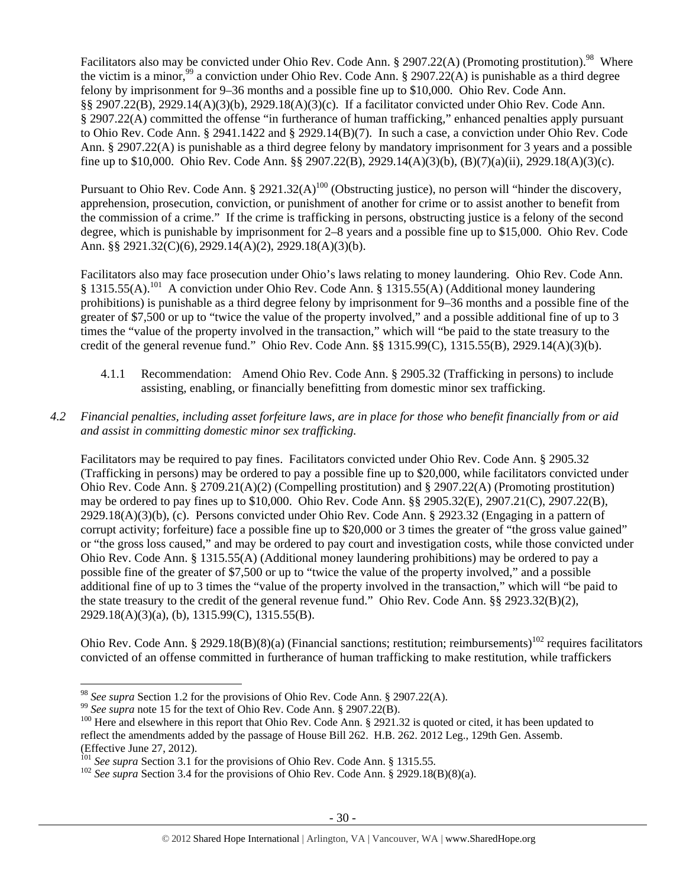Facilitators also may be convicted under Ohio Rev. Code Ann. § 2907.22(A) (Promoting prostitution).<sup>98</sup> Where the victim is a minor,<sup>99</sup> a conviction under Ohio Rev. Code Ann. § 2907.22(A) is punishable as a third degree felony by imprisonment for 9–36 months and a possible fine up to \$10,000. Ohio Rev. Code Ann. §§ 2907.22(B), 2929.14(A)(3)(b), 2929.18(A)(3)(c). If a facilitator convicted under Ohio Rev. Code Ann. § 2907.22(A) committed the offense "in furtherance of human trafficking," enhanced penalties apply pursuant to Ohio Rev. Code Ann. § 2941.1422 and § 2929.14(B)(7). In such a case, a conviction under Ohio Rev. Code Ann. § 2907.22(A) is punishable as a third degree felony by mandatory imprisonment for 3 years and a possible fine up to \$10,000. Ohio Rev. Code Ann. §§ 2907.22(B), 2929.14(A)(3)(b), (B)(7)(a)(ii), 2929.18(A)(3)(c).

Pursuant to Ohio Rev. Code Ann. § 2921.32(A)<sup>100</sup> (Obstructing justice), no person will "hinder the discovery, apprehension, prosecution, conviction, or punishment of another for crime or to assist another to benefit from the commission of a crime." If the crime is trafficking in persons, obstructing justice is a felony of the second degree, which is punishable by imprisonment for 2–8 years and a possible fine up to \$15,000. Ohio Rev. Code Ann. §§ 2921.32(C)(6), 2929.14(A)(2), 2929.18(A)(3)(b).

Facilitators also may face prosecution under Ohio's laws relating to money laundering. Ohio Rev. Code Ann. § 1315.55(A).<sup>101</sup> A conviction under Ohio Rev. Code Ann. § 1315.55(A) (Additional money laundering prohibitions) is punishable as a third degree felony by imprisonment for 9–36 months and a possible fine of the greater of \$7,500 or up to "twice the value of the property involved," and a possible additional fine of up to 3 times the "value of the property involved in the transaction," which will "be paid to the state treasury to the credit of the general revenue fund." Ohio Rev. Code Ann. §§ 1315.99(C), 1315.55(B), 2929.14(A)(3)(b).

- 4.1.1 Recommendation: Amend Ohio Rev. Code Ann. § 2905.32 (Trafficking in persons) to include assisting, enabling, or financially benefitting from domestic minor sex trafficking.
- *4.2 Financial penalties, including asset forfeiture laws, are in place for those who benefit financially from or aid and assist in committing domestic minor sex trafficking.*

Facilitators may be required to pay fines. Facilitators convicted under Ohio Rev. Code Ann. § 2905.32 (Trafficking in persons) may be ordered to pay a possible fine up to \$20,000, while facilitators convicted under Ohio Rev. Code Ann. § 2709.21(A)(2) (Compelling prostitution) and § 2907.22(A) (Promoting prostitution) may be ordered to pay fines up to \$10,000. Ohio Rev. Code Ann. §§ 2905.32(E), 2907.21(C), 2907.22(B), 2929.18(A)(3)(b), (c). Persons convicted under Ohio Rev. Code Ann. § 2923.32 (Engaging in a pattern of corrupt activity; forfeiture) face a possible fine up to \$20,000 or 3 times the greater of "the gross value gained" or "the gross loss caused," and may be ordered to pay court and investigation costs, while those convicted under Ohio Rev. Code Ann. § 1315.55(A) (Additional money laundering prohibitions) may be ordered to pay a possible fine of the greater of \$7,500 or up to "twice the value of the property involved," and a possible additional fine of up to 3 times the "value of the property involved in the transaction," which will "be paid to the state treasury to the credit of the general revenue fund." Ohio Rev. Code Ann. §§ 2923.32(B)(2), 2929.18(A)(3)(a), (b), 1315.99(C), 1315.55(B).

Ohio Rev. Code Ann. § 2929.18(B)(8)(a) (Financial sanctions; restitution; reimbursements)<sup>102</sup> requires facilitators convicted of an offense committed in furtherance of human trafficking to make restitution, while traffickers

<sup>&</sup>lt;sup>98</sup> See supra Section 1.2 for the provisions of Ohio Rev. Code Ann. § 2907.22(A).<br><sup>99</sup> See supra note 15 for the text of Ohio Rev. Code Ann. § 2907.22(B).<br><sup>100</sup> Here and elsewhere in this report that Ohio Rev. Code Ann. reflect the amendments added by the passage of House Bill 262. H.B. 262. 2012 Leg., 129th Gen. Assemb. (Effective June 27, 2012).<br> $^{101}$  See supra Section 3.1 for the provisions of Ohio Rev. Code Ann. § 1315.55.

<sup>&</sup>lt;sup>102</sup> See supra Section 3.4 for the provisions of Ohio Rev. Code Ann. § 2929.18(B)(8)(a).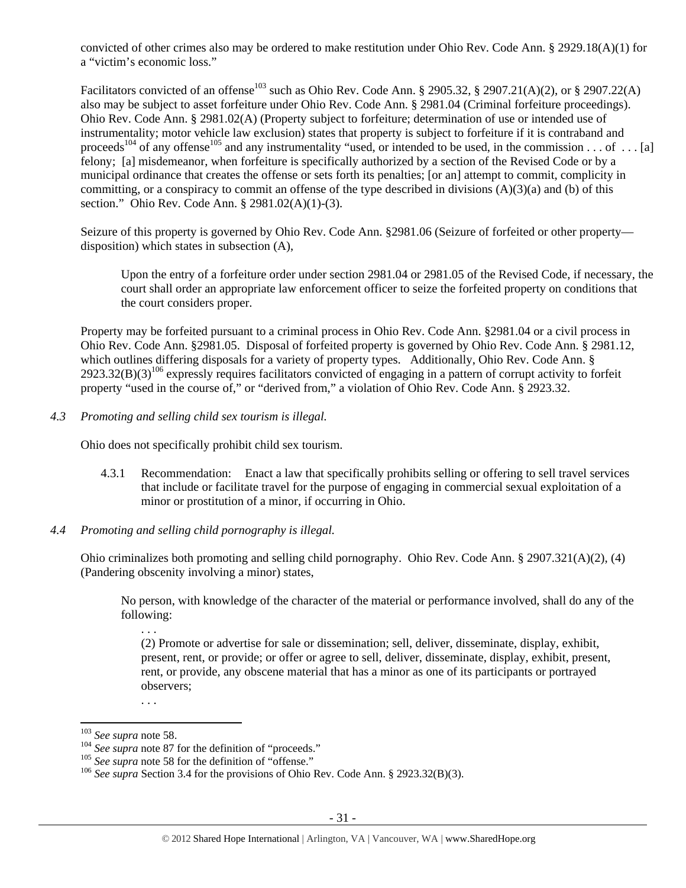convicted of other crimes also may be ordered to make restitution under Ohio Rev. Code Ann. § 2929.18(A)(1) for a "victim's economic loss."

Facilitators convicted of an offense<sup>103</sup> such as Ohio Rev. Code Ann. § 2905.32, § 2907.21(A)(2), or § 2907.22(A) also may be subject to asset forfeiture under Ohio Rev. Code Ann. § 2981.04 (Criminal forfeiture proceedings). Ohio Rev. Code Ann. § 2981.02(A) (Property subject to forfeiture; determination of use or intended use of instrumentality; motor vehicle law exclusion) states that property is subject to forfeiture if it is contraband and proceeds<sup>104</sup> of any offense<sup>105</sup> and any instrumentality "used, or intended to be used, in the commission . . . of . . . [a] felony; [a] misdemeanor, when forfeiture is specifically authorized by a section of the Revised Code or by a municipal ordinance that creates the offense or sets forth its penalties; [or an] attempt to commit, complicity in committing, or a conspiracy to commit an offense of the type described in divisions  $(A)(3)(a)$  and (b) of this section." Ohio Rev. Code Ann. § 2981.02(A)(1)-(3).

Seizure of this property is governed by Ohio Rev. Code Ann. §2981.06 (Seizure of forfeited or other property disposition) which states in subsection (A),

Upon the entry of a forfeiture order under section 2981.04 or 2981.05 of the Revised Code, if necessary, the court shall order an appropriate law enforcement officer to seize the forfeited property on conditions that the court considers proper.

Property may be forfeited pursuant to a criminal process in Ohio Rev. Code Ann. §2981.04 or a civil process in Ohio Rev. Code Ann. §2981.05. Disposal of forfeited property is governed by Ohio Rev. Code Ann. § 2981.12, which outlines differing disposals for a variety of property types. Additionally, Ohio Rev. Code Ann. §  $2923.32(B)(3)^{106}$  expressly requires facilitators convicted of engaging in a pattern of corrupt activity to forfeit property "used in the course of," or "derived from," a violation of Ohio Rev. Code Ann. § 2923.32.

*4.3 Promoting and selling child sex tourism is illegal.* 

Ohio does not specifically prohibit child sex tourism.

- 4.3.1 Recommendation: Enact a law that specifically prohibits selling or offering to sell travel services that include or facilitate travel for the purpose of engaging in commercial sexual exploitation of a minor or prostitution of a minor, if occurring in Ohio.
- *4.4 Promoting and selling child pornography is illegal.*

Ohio criminalizes both promoting and selling child pornography. Ohio Rev. Code Ann. § 2907.321(A)(2), (4) (Pandering obscenity involving a minor) states,

No person, with knowledge of the character of the material or performance involved, shall do any of the following:

. . .

. . .

(2) Promote or advertise for sale or dissemination; sell, deliver, disseminate, display, exhibit, present, rent, or provide; or offer or agree to sell, deliver, disseminate, display, exhibit, present, rent, or provide, any obscene material that has a minor as one of its participants or portrayed observers;

<sup>&</sup>lt;sup>103</sup> See supra note 58.<br><sup>104</sup> See supra note 87 for the definition of "proceeds."<br><sup>105</sup> See supra note 58 for the definition of "offense."<br><sup>106</sup> See supra Section 3.4 for the provisions of Ohio Rev. Code Ann. § 2923.32(B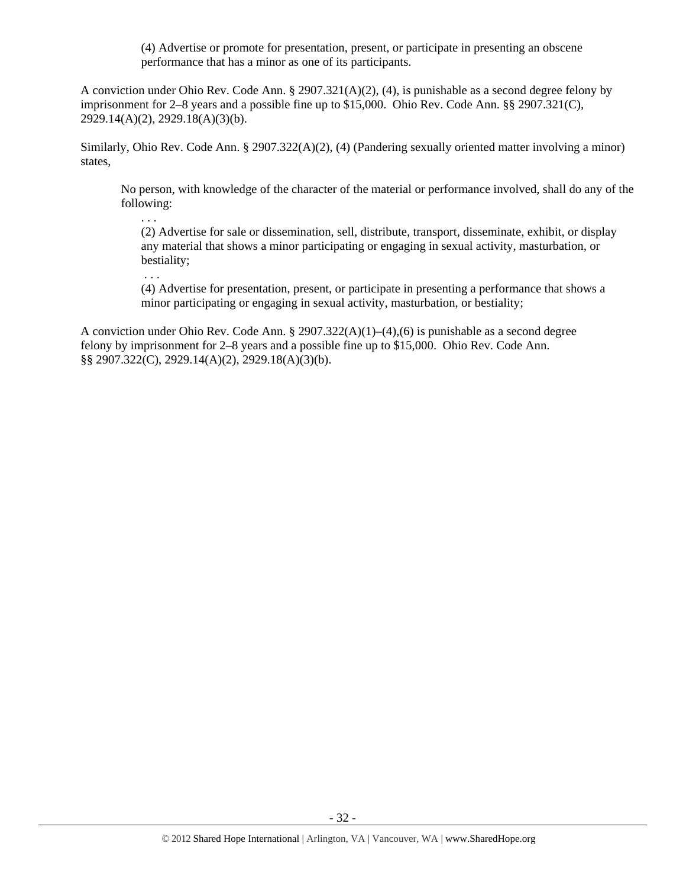(4) Advertise or promote for presentation, present, or participate in presenting an obscene performance that has a minor as one of its participants.

A conviction under Ohio Rev. Code Ann. § 2907.321(A)(2), (4), is punishable as a second degree felony by imprisonment for 2–8 years and a possible fine up to \$15,000. Ohio Rev. Code Ann. §§ 2907.321(C), 2929.14(A)(2), 2929.18(A)(3)(b).

Similarly, Ohio Rev. Code Ann. § 2907.322(A)(2), (4) (Pandering sexually oriented matter involving a minor) states,

No person, with knowledge of the character of the material or performance involved, shall do any of the following:

(2) Advertise for sale or dissemination, sell, distribute, transport, disseminate, exhibit, or display any material that shows a minor participating or engaging in sexual activity, masturbation, or bestiality;

. . .

. . .

(4) Advertise for presentation, present, or participate in presenting a performance that shows a minor participating or engaging in sexual activity, masturbation, or bestiality;

A conviction under Ohio Rev. Code Ann.  $\S 2907.322(A)(1)–(4),(6)$  is punishable as a second degree felony by imprisonment for 2–8 years and a possible fine up to \$15,000. Ohio Rev. Code Ann. §§ 2907.322(C), 2929.14(A)(2), 2929.18(A)(3)(b).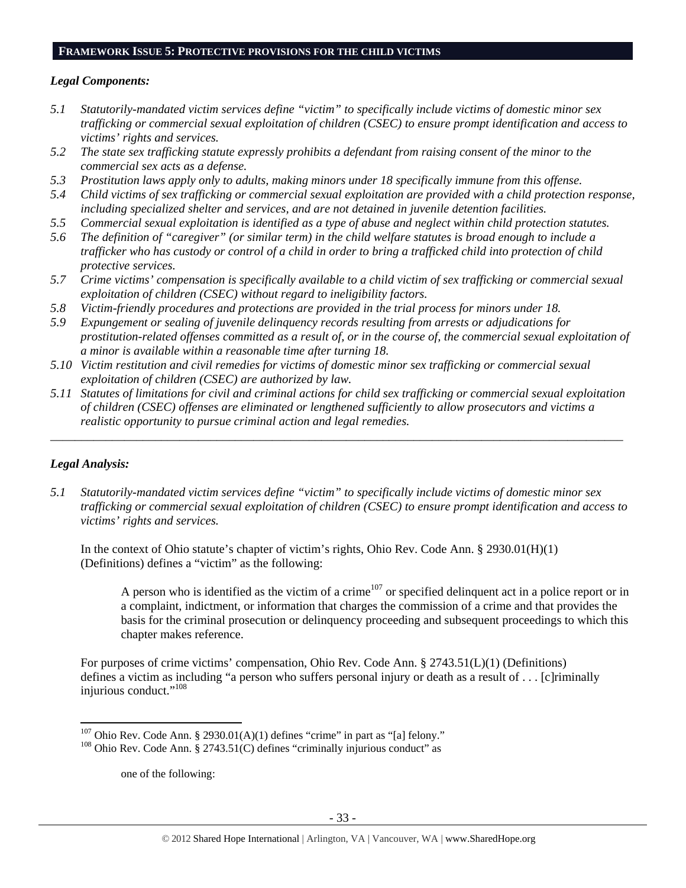#### **FRAMEWORK ISSUE 5: PROTECTIVE PROVISIONS FOR THE CHILD VICTIMS**

#### *Legal Components:*

- *5.1 Statutorily-mandated victim services define "victim" to specifically include victims of domestic minor sex trafficking or commercial sexual exploitation of children (CSEC) to ensure prompt identification and access to victims' rights and services.*
- *5.2 The state sex trafficking statute expressly prohibits a defendant from raising consent of the minor to the commercial sex acts as a defense.*
- *5.3 Prostitution laws apply only to adults, making minors under 18 specifically immune from this offense.*
- *5.4 Child victims of sex trafficking or commercial sexual exploitation are provided with a child protection response, including specialized shelter and services, and are not detained in juvenile detention facilities.*
- *5.5 Commercial sexual exploitation is identified as a type of abuse and neglect within child protection statutes.*
- *5.6 The definition of "caregiver" (or similar term) in the child welfare statutes is broad enough to include a trafficker who has custody or control of a child in order to bring a trafficked child into protection of child protective services.*
- *5.7 Crime victims' compensation is specifically available to a child victim of sex trafficking or commercial sexual exploitation of children (CSEC) without regard to ineligibility factors.*
- *5.8 Victim-friendly procedures and protections are provided in the trial process for minors under 18.*
- *5.9 Expungement or sealing of juvenile delinquency records resulting from arrests or adjudications for prostitution-related offenses committed as a result of, or in the course of, the commercial sexual exploitation of a minor is available within a reasonable time after turning 18.*
- *5.10 Victim restitution and civil remedies for victims of domestic minor sex trafficking or commercial sexual exploitation of children (CSEC) are authorized by law.*
- *5.11 Statutes of limitations for civil and criminal actions for child sex trafficking or commercial sexual exploitation of children (CSEC) offenses are eliminated or lengthened sufficiently to allow prosecutors and victims a realistic opportunity to pursue criminal action and legal remedies.*

*\_\_\_\_\_\_\_\_\_\_\_\_\_\_\_\_\_\_\_\_\_\_\_\_\_\_\_\_\_\_\_\_\_\_\_\_\_\_\_\_\_\_\_\_\_\_\_\_\_\_\_\_\_\_\_\_\_\_\_\_\_\_\_\_\_\_\_\_\_\_\_\_\_\_\_\_\_\_\_\_\_\_\_\_\_\_\_\_\_\_\_\_\_* 

#### *Legal Analysis:*

*5.1 Statutorily-mandated victim services define "victim" to specifically include victims of domestic minor sex trafficking or commercial sexual exploitation of children (CSEC) to ensure prompt identification and access to victims' rights and services.* 

In the context of Ohio statute's chapter of victim's rights, Ohio Rev. Code Ann. § 2930.01(H)(1) (Definitions) defines a "victim" as the following:

A person who is identified as the victim of a crime<sup>107</sup> or specified delinquent act in a police report or in a complaint, indictment, or information that charges the commission of a crime and that provides the basis for the criminal prosecution or delinquency proceeding and subsequent proceedings to which this chapter makes reference.

For purposes of crime victims' compensation, Ohio Rev. Code Ann. § 2743.51(L)(1) (Definitions) defines a victim as including "a person who suffers personal injury or death as a result of . . . [c]riminally injurious conduct."108

one of the following:

 <sup>107</sup> Ohio Rev. Code Ann. § 2930.01(A)(1) defines "crime" in part as "[a] felony." <sup>108</sup> Ohio Rev. Code Ann. § 2743.51(C) defines "criminally injurious conduct" as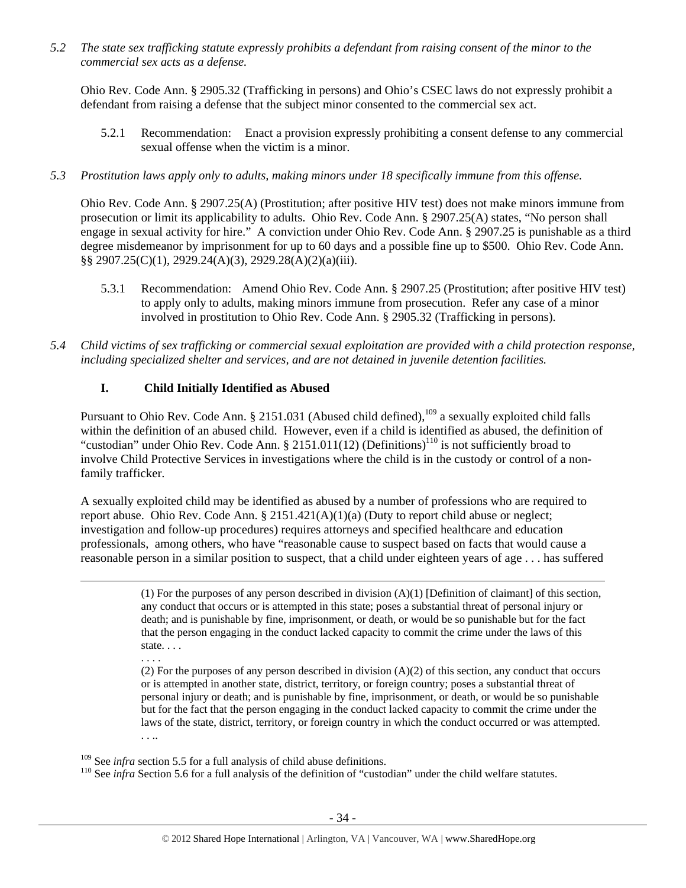*5.2 The state sex trafficking statute expressly prohibits a defendant from raising consent of the minor to the commercial sex acts as a defense.* 

Ohio Rev. Code Ann. § 2905.32 (Trafficking in persons) and Ohio's CSEC laws do not expressly prohibit a defendant from raising a defense that the subject minor consented to the commercial sex act.

- 5.2.1 Recommendation: Enact a provision expressly prohibiting a consent defense to any commercial sexual offense when the victim is a minor.
- *5.3 Prostitution laws apply only to adults, making minors under 18 specifically immune from this offense.*

Ohio Rev. Code Ann. § 2907.25(A) (Prostitution; after positive HIV test) does not make minors immune from prosecution or limit its applicability to adults. Ohio Rev. Code Ann. § 2907.25(A) states, "No person shall engage in sexual activity for hire." A conviction under Ohio Rev. Code Ann. § 2907.25 is punishable as a third degree misdemeanor by imprisonment for up to 60 days and a possible fine up to \$500. Ohio Rev. Code Ann. §§ 2907.25(C)(1), 2929.24(A)(3), 2929.28(A)(2)(a)(iii).

- 5.3.1 Recommendation: Amend Ohio Rev. Code Ann. § 2907.25 (Prostitution; after positive HIV test) to apply only to adults, making minors immune from prosecution. Refer any case of a minor involved in prostitution to Ohio Rev. Code Ann. § 2905.32 (Trafficking in persons).
- *5.4 Child victims of sex trafficking or commercial sexual exploitation are provided with a child protection response, including specialized shelter and services, and are not detained in juvenile detention facilities.*

#### **I. Child Initially Identified as Abused**

Pursuant to Ohio Rev. Code Ann. § 2151.031 (Abused child defined),<sup>109</sup> a sexually exploited child falls within the definition of an abused child. However, even if a child is identified as abused, the definition of "custodian" under Ohio Rev. Code Ann. § 2151.011(12) (Definitions)<sup>110</sup> is not sufficiently broad to involve Child Protective Services in investigations where the child is in the custody or control of a nonfamily trafficker.

A sexually exploited child may be identified as abused by a number of professions who are required to report abuse. Ohio Rev. Code Ann.  $\S 2151.421(A)(1)(a)$  (Duty to report child abuse or neglect; investigation and follow-up procedures) requires attorneys and specified healthcare and education professionals, among others, who have "reasonable cause to suspect based on facts that would cause a reasonable person in a similar position to suspect, that a child under eighteen years of age . . . has suffered

<u> 1989 - Johann Stein, marwolaethau a gweledydd a ganrad y ganrad y ganrad y ganrad y ganrad y ganrad y ganrad</u>

(2) For the purposes of any person described in division (A)(2) of this section, any conduct that occurs or is attempted in another state, district, territory, or foreign country; poses a substantial threat of personal injury or death; and is punishable by fine, imprisonment, or death, or would be so punishable but for the fact that the person engaging in the conduct lacked capacity to commit the crime under the laws of the state, district, territory, or foreign country in which the conduct occurred or was attempted. . . ..

. . . .

<sup>109</sup> See *infra* section 5.5 for a full analysis of child abuse definitions.<br><sup>110</sup> See *infra* Section 5.6 for a full analysis of the definition of "custodian" under the child welfare statutes.

<sup>(1)</sup> For the purposes of any person described in division (A)(1) [Definition of claimant] of this section, any conduct that occurs or is attempted in this state; poses a substantial threat of personal injury or death; and is punishable by fine, imprisonment, or death, or would be so punishable but for the fact that the person engaging in the conduct lacked capacity to commit the crime under the laws of this state. . . .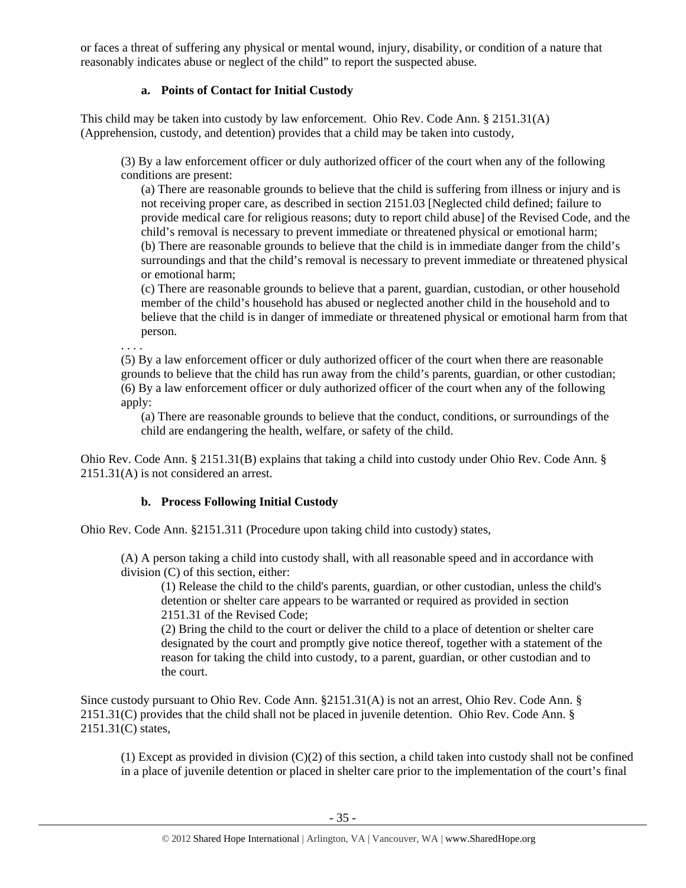or faces a threat of suffering any physical or mental wound, injury, disability, or condition of a nature that reasonably indicates abuse or neglect of the child" to report the suspected abuse.

## **a. Points of Contact for Initial Custody**

This child may be taken into custody by law enforcement. Ohio Rev. Code Ann. § 2151.31(A) (Apprehension, custody, and detention) provides that a child may be taken into custody,

(3) By a law enforcement officer or duly authorized officer of the court when any of the following conditions are present:

(a) There are reasonable grounds to believe that the child is suffering from illness or injury and is not receiving proper care, as described in section 2151.03 [Neglected child defined; failure to provide medical care for religious reasons; duty to report child abuse] of the Revised Code, and the child's removal is necessary to prevent immediate or threatened physical or emotional harm; (b) There are reasonable grounds to believe that the child is in immediate danger from the child's surroundings and that the child's removal is necessary to prevent immediate or threatened physical or emotional harm;

(c) There are reasonable grounds to believe that a parent, guardian, custodian, or other household member of the child's household has abused or neglected another child in the household and to believe that the child is in danger of immediate or threatened physical or emotional harm from that person.

. . . .

(5) By a law enforcement officer or duly authorized officer of the court when there are reasonable grounds to believe that the child has run away from the child's parents, guardian, or other custodian; (6) By a law enforcement officer or duly authorized officer of the court when any of the following apply:

(a) There are reasonable grounds to believe that the conduct, conditions, or surroundings of the child are endangering the health, welfare, or safety of the child.

Ohio Rev. Code Ann. § 2151.31(B) explains that taking a child into custody under Ohio Rev. Code Ann. § 2151.31(A) is not considered an arrest.

## **b. Process Following Initial Custody**

Ohio Rev. Code Ann. §2151.311 (Procedure upon taking child into custody) states,

(A) A person taking a child into custody shall, with all reasonable speed and in accordance with division (C) of this section, either:

(1) Release the child to the child's parents, guardian, or other custodian, unless the child's detention or shelter care appears to be warranted or required as provided in section 2151.31 of the Revised Code;

(2) Bring the child to the court or deliver the child to a place of detention or shelter care designated by the court and promptly give notice thereof, together with a statement of the reason for taking the child into custody, to a parent, guardian, or other custodian and to the court.

Since custody pursuant to Ohio Rev. Code Ann. §2151.31(A) is not an arrest, Ohio Rev. Code Ann. § 2151.31(C) provides that the child shall not be placed in juvenile detention. Ohio Rev. Code Ann. § 2151.31(C) states,

 $(1)$  Except as provided in division  $(C)(2)$  of this section, a child taken into custody shall not be confined in a place of juvenile detention or placed in shelter care prior to the implementation of the court's final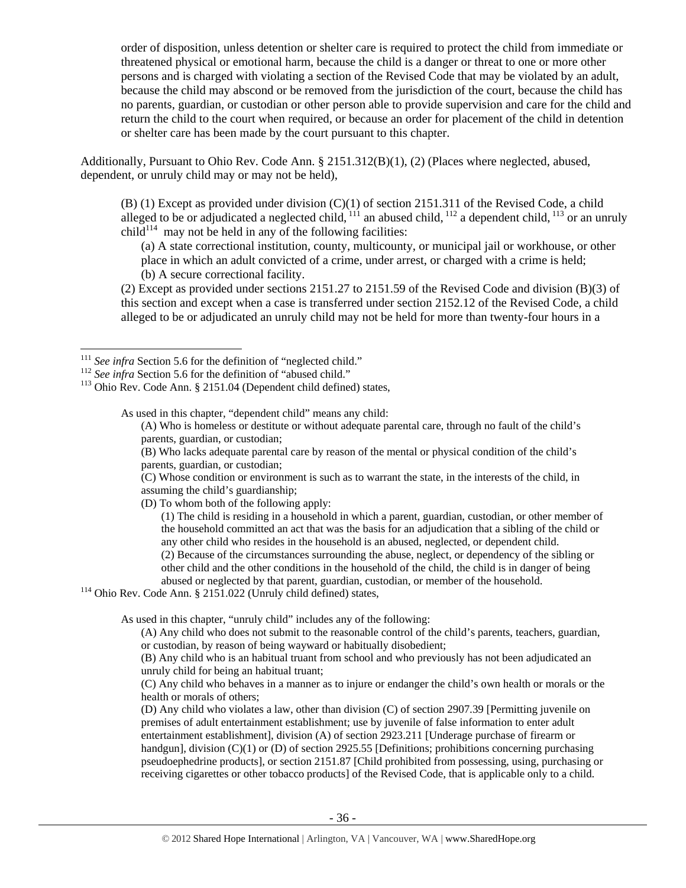order of disposition, unless detention or shelter care is required to protect the child from immediate or threatened physical or emotional harm, because the child is a danger or threat to one or more other persons and is charged with violating a section of the Revised Code that may be violated by an adult, because the child may abscond or be removed from the jurisdiction of the court, because the child has no parents, guardian, or custodian or other person able to provide supervision and care for the child and return the child to the court when required, or because an order for placement of the child in detention or shelter care has been made by the court pursuant to this chapter.

Additionally, Pursuant to Ohio Rev. Code Ann. § 2151.312(B)(1), (2) (Places where neglected, abused, dependent, or unruly child may or may not be held),

(B) (1) Except as provided under division (C)(1) of section 2151.311 of the Revised Code, a child alleged to be or adjudicated a neglected child,  $111$  an abused child,  $112$  a dependent child,  $113$  or an unruly child<sup>114</sup> may not be held in any of the following facilities:

(a) A state correctional institution, county, multicounty, or municipal jail or workhouse, or other place in which an adult convicted of a crime, under arrest, or charged with a crime is held; (b) A secure correctional facility.

(2) Except as provided under sections 2151.27 to 2151.59 of the Revised Code and division (B)(3) of this section and except when a case is transferred under section 2152.12 of the Revised Code, a child alleged to be or adjudicated an unruly child may not be held for more than twenty-four hours in a

As used in this chapter, "dependent child" means any child:

(A) Who is homeless or destitute or without adequate parental care, through no fault of the child's parents, guardian, or custodian;

(B) Who lacks adequate parental care by reason of the mental or physical condition of the child's parents, guardian, or custodian;

(C) Whose condition or environment is such as to warrant the state, in the interests of the child, in assuming the child's guardianship;

(D) To whom both of the following apply:

(1) The child is residing in a household in which a parent, guardian, custodian, or other member of the household committed an act that was the basis for an adjudication that a sibling of the child or any other child who resides in the household is an abused, neglected, or dependent child. (2) Because of the circumstances surrounding the abuse, neglect, or dependency of the sibling or other child and the other conditions in the household of the child, the child is in danger of being abused or neglected by that parent, guardian, custodian, or member of the household. 114 Ohio Rev. Code Ann. § 2151.022 (Unruly child defined) states,

As used in this chapter, "unruly child" includes any of the following:

(A) Any child who does not submit to the reasonable control of the child's parents, teachers, guardian, or custodian, by reason of being wayward or habitually disobedient;

(B) Any child who is an habitual truant from school and who previously has not been adjudicated an unruly child for being an habitual truant;

(C) Any child who behaves in a manner as to injure or endanger the child's own health or morals or the health or morals of others;

(D) Any child who violates a law, other than division (C) of section 2907.39 [Permitting juvenile on premises of adult entertainment establishment; use by juvenile of false information to enter adult entertainment establishment], division (A) of section 2923.211 [Underage purchase of firearm or handgun], division (C)(1) or (D) of section 2925.55 [Definitions; prohibitions concerning purchasing pseudoephedrine products], or section 2151.87 [Child prohibited from possessing, using, purchasing or receiving cigarettes or other tobacco products] of the Revised Code, that is applicable only to a child.

 $111$  See infra Section 5.6 for the definition of "neglected child."

<sup>&</sup>lt;sup>112</sup> *See infra* Section 5.6 for the definition of "abused child." <sup>113</sup> Ohio Rev. Code Ann. § 2151.04 (Dependent child defined) states,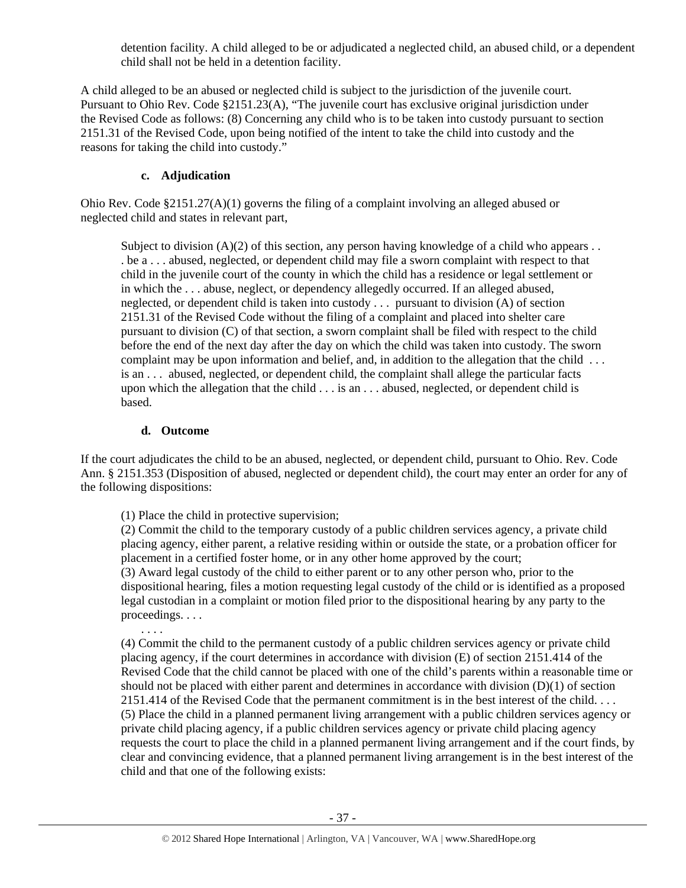detention facility. A child alleged to be or adjudicated a neglected child, an abused child, or a dependent child shall not be held in a detention facility.

A child alleged to be an abused or neglected child is subject to the jurisdiction of the juvenile court. Pursuant to Ohio Rev. Code §2151.23(A), "The juvenile court has exclusive original jurisdiction under the Revised Code as follows: (8) Concerning any child who is to be taken into custody pursuant to section 2151.31 of the Revised Code, upon being notified of the intent to take the child into custody and the reasons for taking the child into custody."

## **c. Adjudication**

Ohio Rev. Code §2151.27(A)(1) governs the filing of a complaint involving an alleged abused or neglected child and states in relevant part,

Subject to division  $(A)(2)$  of this section, any person having knowledge of a child who appears ... . be a . . . abused, neglected, or dependent child may file a sworn complaint with respect to that child in the juvenile court of the county in which the child has a residence or legal settlement or in which the . . . abuse, neglect, or dependency allegedly occurred. If an alleged abused, neglected, or dependent child is taken into custody . . . pursuant to division (A) of section 2151.31 of the Revised Code without the filing of a complaint and placed into shelter care pursuant to division (C) of that section, a sworn complaint shall be filed with respect to the child before the end of the next day after the day on which the child was taken into custody. The sworn complaint may be upon information and belief, and, in addition to the allegation that the child ... is an . . . abused, neglected, or dependent child, the complaint shall allege the particular facts upon which the allegation that the child . . . is an . . . abused, neglected, or dependent child is based.

## **d. Outcome**

. . . .

If the court adjudicates the child to be an abused, neglected, or dependent child, pursuant to Ohio. Rev. Code Ann. § 2151.353 (Disposition of abused, neglected or dependent child), the court may enter an order for any of the following dispositions:

(1) Place the child in protective supervision;

(2) Commit the child to the temporary custody of a public children services agency, a private child placing agency, either parent, a relative residing within or outside the state, or a probation officer for placement in a certified foster home, or in any other home approved by the court; (3) Award legal custody of the child to either parent or to any other person who, prior to the dispositional hearing, files a motion requesting legal custody of the child or is identified as a proposed legal custodian in a complaint or motion filed prior to the dispositional hearing by any party to the proceedings. . . .

(4) Commit the child to the permanent custody of a public children services agency or private child placing agency, if the court determines in accordance with division (E) of section 2151.414 of the Revised Code that the child cannot be placed with one of the child's parents within a reasonable time or should not be placed with either parent and determines in accordance with division  $(D)(1)$  of section 2151.414 of the Revised Code that the permanent commitment is in the best interest of the child. . . . (5) Place the child in a planned permanent living arrangement with a public children services agency or private child placing agency, if a public children services agency or private child placing agency requests the court to place the child in a planned permanent living arrangement and if the court finds, by clear and convincing evidence, that a planned permanent living arrangement is in the best interest of the child and that one of the following exists: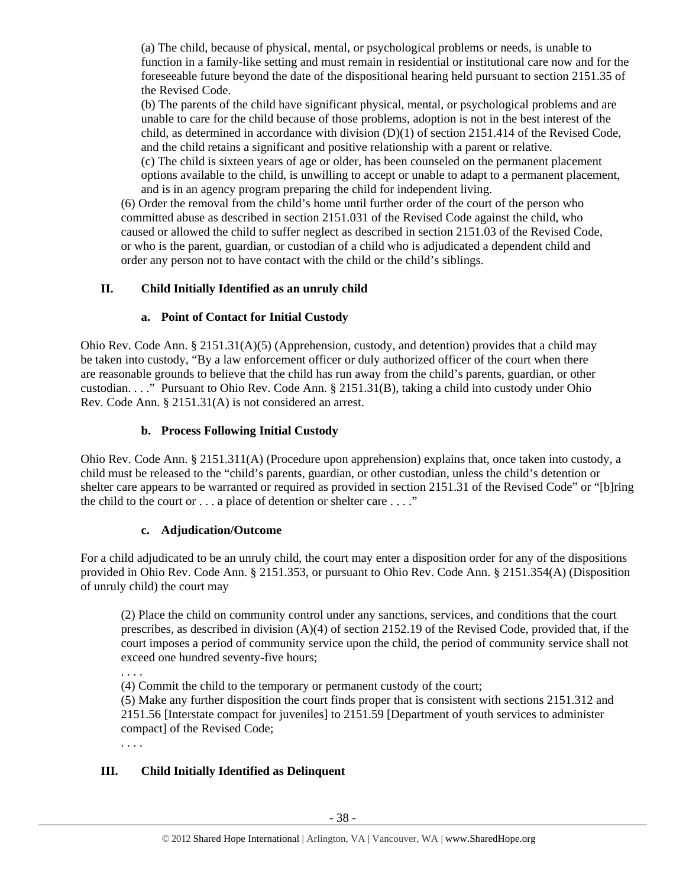(a) The child, because of physical, mental, or psychological problems or needs, is unable to function in a family-like setting and must remain in residential or institutional care now and for the foreseeable future beyond the date of the dispositional hearing held pursuant to section 2151.35 of the Revised Code.

(b) The parents of the child have significant physical, mental, or psychological problems and are unable to care for the child because of those problems, adoption is not in the best interest of the child, as determined in accordance with division (D)(1) of section 2151.414 of the Revised Code, and the child retains a significant and positive relationship with a parent or relative. (c) The child is sixteen years of age or older, has been counseled on the permanent placement options available to the child, is unwilling to accept or unable to adapt to a permanent placement, and is in an agency program preparing the child for independent living.

(6) Order the removal from the child's home until further order of the court of the person who committed abuse as described in section 2151.031 of the Revised Code against the child, who caused or allowed the child to suffer neglect as described in section 2151.03 of the Revised Code, or who is the parent, guardian, or custodian of a child who is adjudicated a dependent child and order any person not to have contact with the child or the child's siblings.

## **II. Child Initially Identified as an unruly child**

## **a. Point of Contact for Initial Custody**

Ohio Rev. Code Ann. § 2151.31(A)(5) (Apprehension, custody, and detention) provides that a child may be taken into custody, "By a law enforcement officer or duly authorized officer of the court when there are reasonable grounds to believe that the child has run away from the child's parents, guardian, or other custodian. . . ." Pursuant to Ohio Rev. Code Ann. § 2151.31(B), taking a child into custody under Ohio Rev. Code Ann. § 2151.31(A) is not considered an arrest.

## **b. Process Following Initial Custody**

Ohio Rev. Code Ann. § 2151.311(A) (Procedure upon apprehension) explains that, once taken into custody, a child must be released to the "child's parents, guardian, or other custodian, unless the child's detention or shelter care appears to be warranted or required as provided in section 2151.31 of the Revised Code" or "[b]ring the child to the court or  $\dots$  a place of detention or shelter care  $\dots$ ."

## **c. Adjudication/Outcome**

For a child adjudicated to be an unruly child, the court may enter a disposition order for any of the dispositions provided in Ohio Rev. Code Ann. § 2151.353, or pursuant to Ohio Rev. Code Ann. § 2151.354(A) (Disposition of unruly child) the court may

(2) Place the child on community control under any sanctions, services, and conditions that the court prescribes, as described in division (A)(4) of section 2152.19 of the Revised Code, provided that, if the court imposes a period of community service upon the child, the period of community service shall not exceed one hundred seventy-five hours;

. . . .

(4) Commit the child to the temporary or permanent custody of the court;

(5) Make any further disposition the court finds proper that is consistent with sections 2151.312 and 2151.56 [Interstate compact for juveniles] to 2151.59 [Department of youth services to administer compact] of the Revised Code;

. . . .

## **III. Child Initially Identified as Delinquent**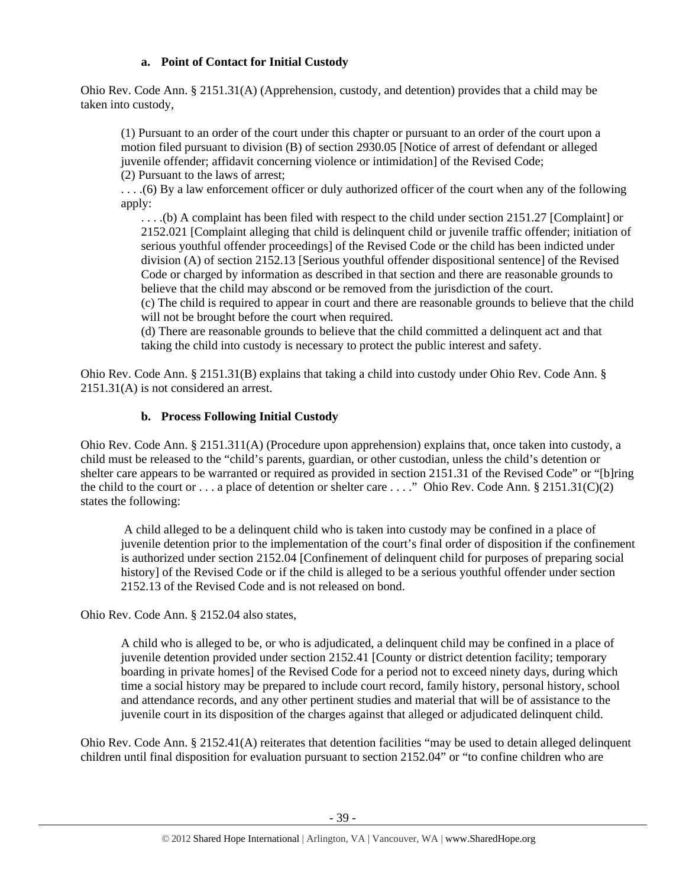## **a. Point of Contact for Initial Custody**

Ohio Rev. Code Ann. § 2151.31(A) (Apprehension, custody, and detention) provides that a child may be taken into custody,

(1) Pursuant to an order of the court under this chapter or pursuant to an order of the court upon a motion filed pursuant to division (B) of section 2930.05 [Notice of arrest of defendant or alleged juvenile offender; affidavit concerning violence or intimidation] of the Revised Code;

(2) Pursuant to the laws of arrest;

. . . .(6) By a law enforcement officer or duly authorized officer of the court when any of the following apply:

. . . .(b) A complaint has been filed with respect to the child under section 2151.27 [Complaint] or 2152.021 [Complaint alleging that child is delinquent child or juvenile traffic offender; initiation of serious youthful offender proceedings] of the Revised Code or the child has been indicted under division (A) of section 2152.13 [Serious youthful offender dispositional sentence] of the Revised Code or charged by information as described in that section and there are reasonable grounds to believe that the child may abscond or be removed from the jurisdiction of the court.

(c) The child is required to appear in court and there are reasonable grounds to believe that the child will not be brought before the court when required.

(d) There are reasonable grounds to believe that the child committed a delinquent act and that taking the child into custody is necessary to protect the public interest and safety.

Ohio Rev. Code Ann. § 2151.31(B) explains that taking a child into custody under Ohio Rev. Code Ann. § 2151.31(A) is not considered an arrest.

## **b. Process Following Initial Custody**

Ohio Rev. Code Ann. § 2151.311(A) (Procedure upon apprehension) explains that, once taken into custody, a child must be released to the "child's parents, guardian, or other custodian, unless the child's detention or shelter care appears to be warranted or required as provided in section 2151.31 of the Revised Code" or "[b]ring the child to the court or . . . a place of detention or shelter care . . . ." Ohio Rev. Code Ann. § 2151.31(C)(2) states the following:

 A child alleged to be a delinquent child who is taken into custody may be confined in a place of juvenile detention prior to the implementation of the court's final order of disposition if the confinement is authorized under section 2152.04 [Confinement of delinquent child for purposes of preparing social history] of the Revised Code or if the child is alleged to be a serious youthful offender under section 2152.13 of the Revised Code and is not released on bond.

Ohio Rev. Code Ann. § 2152.04 also states,

A child who is alleged to be, or who is adjudicated, a delinquent child may be confined in a place of juvenile detention provided under section 2152.41 [County or district detention facility; temporary boarding in private homes] of the Revised Code for a period not to exceed ninety days, during which time a social history may be prepared to include court record, family history, personal history, school and attendance records, and any other pertinent studies and material that will be of assistance to the juvenile court in its disposition of the charges against that alleged or adjudicated delinquent child.

Ohio Rev. Code Ann. § 2152.41(A) reiterates that detention facilities "may be used to detain alleged delinquent children until final disposition for evaluation pursuant to section 2152.04" or "to confine children who are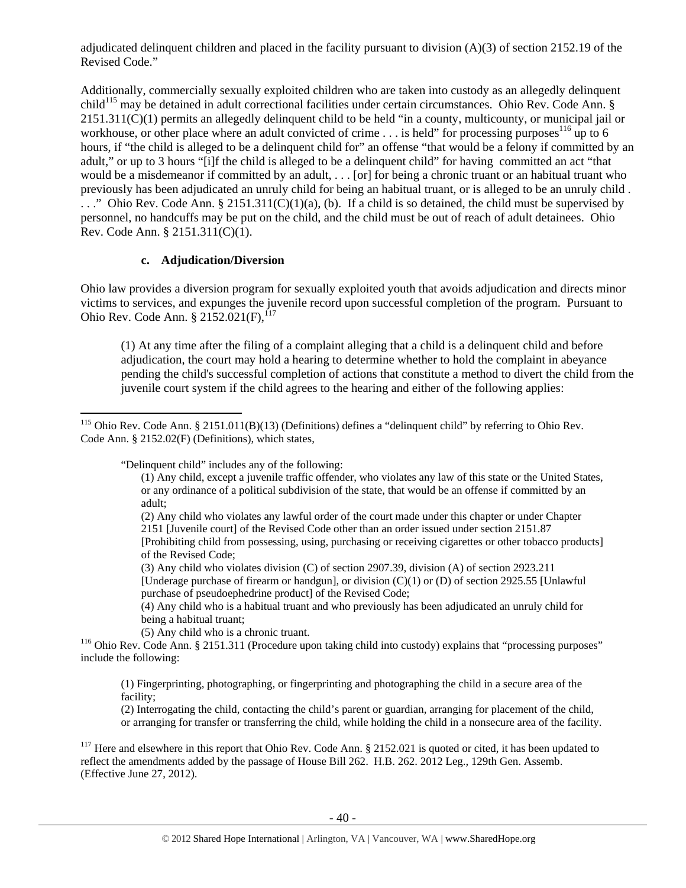adjudicated delinquent children and placed in the facility pursuant to division  $(A)(3)$  of section 2152.19 of the Revised Code."

Additionally, commercially sexually exploited children who are taken into custody as an allegedly delinquent child<sup>115</sup> may be detained in adult correctional facilities under certain circumstances. Ohio Rev. Code Ann. § 2151.311(C)(1) permits an allegedly delinquent child to be held "in a county, multicounty, or municipal jail or workhouse, or other place where an adult convicted of crime  $\dots$  is held" for processing purposes<sup>116</sup> up to 6 hours, if "the child is alleged to be a delinquent child for" an offense "that would be a felony if committed by an adult," or up to 3 hours "[i]f the child is alleged to be a delinquent child" for having committed an act "that would be a misdemeanor if committed by an adult, . . . [or] for being a chronic truant or an habitual truant who previously has been adjudicated an unruly child for being an habitual truant, or is alleged to be an unruly child . ..." Ohio Rev. Code Ann. § 2151.311(C)(1)(a), (b). If a child is so detained, the child must be supervised by personnel, no handcuffs may be put on the child, and the child must be out of reach of adult detainees. Ohio Rev. Code Ann. § 2151.311(C)(1).

## **c. Adjudication/Diversion**

Ohio law provides a diversion program for sexually exploited youth that avoids adjudication and directs minor victims to services, and expunges the juvenile record upon successful completion of the program. Pursuant to Ohio Rev. Code Ann. §  $2152.021(F)$ ,  $^{117}$ 

(1) At any time after the filing of a complaint alleging that a child is a delinquent child and before adjudication, the court may hold a hearing to determine whether to hold the complaint in abeyance pending the child's successful completion of actions that constitute a method to divert the child from the juvenile court system if the child agrees to the hearing and either of the following applies:

"Delinquent child" includes any of the following:

(2) Any child who violates any lawful order of the court made under this chapter or under Chapter 2151 [Juvenile court] of the Revised Code other than an order issued under section 2151.87 [Prohibiting child from possessing, using, purchasing or receiving cigarettes or other tobacco products] of the Revised Code;

(3) Any child who violates division (C) of section 2907.39, division (A) of section 2923.211 [Underage purchase of firearm or handgun], or division (C)(1) or (D) of section 2925.55 [Unlawful purchase of pseudoephedrine product] of the Revised Code;

(4) Any child who is a habitual truant and who previously has been adjudicated an unruly child for being a habitual truant;

(5) Any child who is a chronic truant. 116 Ohio Rev. Code Ann. § 2151.311 (Procedure upon taking child into custody) explains that "processing purposes" include the following:

(1) Fingerprinting, photographing, or fingerprinting and photographing the child in a secure area of the facility;

(2) Interrogating the child, contacting the child's parent or guardian, arranging for placement of the child, or arranging for transfer or transferring the child, while holding the child in a nonsecure area of the facility.

<sup>117</sup> Here and elsewhere in this report that Ohio Rev. Code Ann. § 2152.021 is quoted or cited, it has been updated to reflect the amendments added by the passage of House Bill 262. H.B. 262. 2012 Leg., 129th Gen. Assemb. (Effective June 27, 2012).

 115 Ohio Rev. Code Ann. § 2151.011(B)(13) (Definitions) defines a "delinquent child" by referring to Ohio Rev. Code Ann. § 2152.02(F) (Definitions), which states,

<sup>(1)</sup> Any child, except a juvenile traffic offender, who violates any law of this state or the United States, or any ordinance of a political subdivision of the state, that would be an offense if committed by an adult;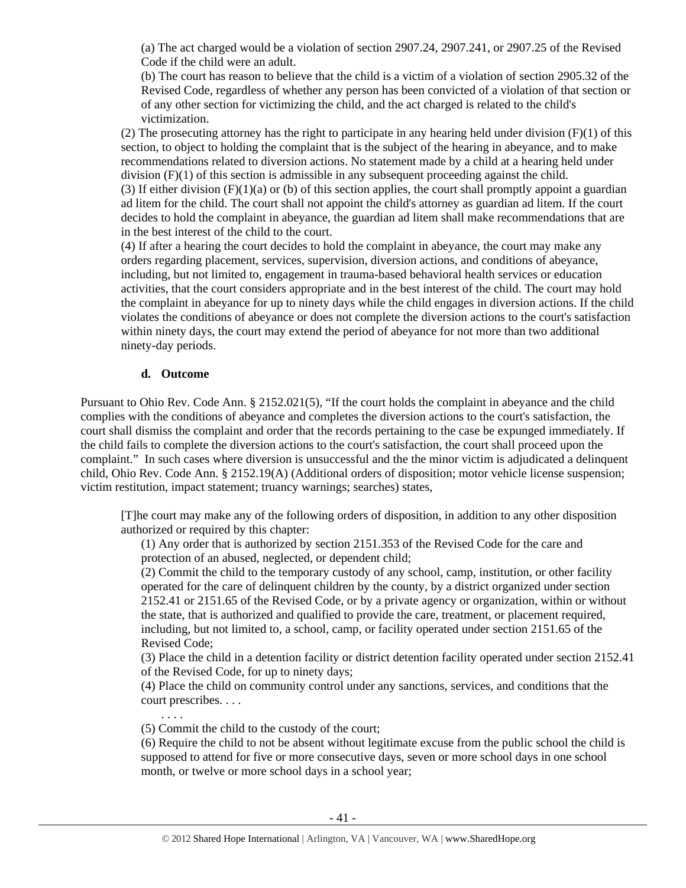(a) The act charged would be a violation of section 2907.24, 2907.241, or 2907.25 of the Revised Code if the child were an adult.

(b) The court has reason to believe that the child is a victim of a violation of section 2905.32 of the Revised Code, regardless of whether any person has been convicted of a violation of that section or of any other section for victimizing the child, and the act charged is related to the child's victimization.

(2) The prosecuting attorney has the right to participate in any hearing held under division  $(F)(1)$  of this section, to object to holding the complaint that is the subject of the hearing in abeyance, and to make recommendations related to diversion actions. No statement made by a child at a hearing held under division  $(F)(1)$  of this section is admissible in any subsequent proceeding against the child.

(3) If either division  $(F)(1)(a)$  or (b) of this section applies, the court shall promptly appoint a guardian ad litem for the child. The court shall not appoint the child's attorney as guardian ad litem. If the court decides to hold the complaint in abeyance, the guardian ad litem shall make recommendations that are in the best interest of the child to the court.

(4) If after a hearing the court decides to hold the complaint in abeyance, the court may make any orders regarding placement, services, supervision, diversion actions, and conditions of abeyance, including, but not limited to, engagement in trauma-based behavioral health services or education activities, that the court considers appropriate and in the best interest of the child. The court may hold the complaint in abeyance for up to ninety days while the child engages in diversion actions. If the child violates the conditions of abeyance or does not complete the diversion actions to the court's satisfaction within ninety days, the court may extend the period of abeyance for not more than two additional ninety-day periods.

#### **d. Outcome**

Pursuant to Ohio Rev. Code Ann. § 2152.021(5), "If the court holds the complaint in abeyance and the child complies with the conditions of abeyance and completes the diversion actions to the court's satisfaction, the court shall dismiss the complaint and order that the records pertaining to the case be expunged immediately. If the child fails to complete the diversion actions to the court's satisfaction, the court shall proceed upon the complaint." In such cases where diversion is unsuccessful and the the minor victim is adjudicated a delinquent child, Ohio Rev. Code Ann. § 2152.19(A) (Additional orders of disposition; motor vehicle license suspension; victim restitution, impact statement; truancy warnings; searches) states,

[T]he court may make any of the following orders of disposition, in addition to any other disposition authorized or required by this chapter:

(1) Any order that is authorized by section 2151.353 of the Revised Code for the care and protection of an abused, neglected, or dependent child;

(2) Commit the child to the temporary custody of any school, camp, institution, or other facility operated for the care of delinquent children by the county, by a district organized under section 2152.41 or 2151.65 of the Revised Code, or by a private agency or organization, within or without the state, that is authorized and qualified to provide the care, treatment, or placement required, including, but not limited to, a school, camp, or facility operated under section 2151.65 of the Revised Code;

(3) Place the child in a detention facility or district detention facility operated under section 2152.41 of the Revised Code, for up to ninety days;

(4) Place the child on community control under any sanctions, services, and conditions that the court prescribes. . . .

. . . . (5) Commit the child to the custody of the court;

(6) Require the child to not be absent without legitimate excuse from the public school the child is supposed to attend for five or more consecutive days, seven or more school days in one school month, or twelve or more school days in a school year;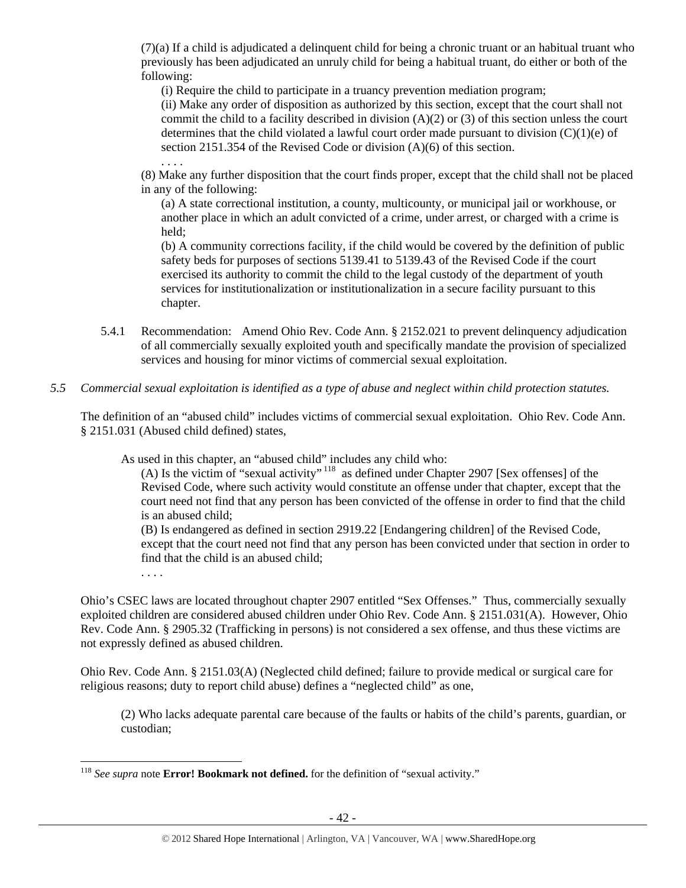(7)(a) If a child is adjudicated a delinquent child for being a chronic truant or an habitual truant who previously has been adjudicated an unruly child for being a habitual truant, do either or both of the following:

(i) Require the child to participate in a truancy prevention mediation program;

(ii) Make any order of disposition as authorized by this section, except that the court shall not commit the child to a facility described in division  $(A)(2)$  or  $(B)(3)$  of this section unless the court determines that the child violated a lawful court order made pursuant to division  $(C)(1)(e)$  of section 2151.354 of the Revised Code or division (A)(6) of this section.

(8) Make any further disposition that the court finds proper, except that the child shall not be placed in any of the following:

(a) A state correctional institution, a county, multicounty, or municipal jail or workhouse, or another place in which an adult convicted of a crime, under arrest, or charged with a crime is held;

(b) A community corrections facility, if the child would be covered by the definition of public safety beds for purposes of sections 5139.41 to 5139.43 of the Revised Code if the court exercised its authority to commit the child to the legal custody of the department of youth services for institutionalization or institutionalization in a secure facility pursuant to this chapter.

- 5.4.1 Recommendation: Amend Ohio Rev. Code Ann. § 2152.021 to prevent delinquency adjudication of all commercially sexually exploited youth and specifically mandate the provision of specialized services and housing for minor victims of commercial sexual exploitation.
- *5.5 Commercial sexual exploitation is identified as a type of abuse and neglect within child protection statutes.*

The definition of an "abused child" includes victims of commercial sexual exploitation. Ohio Rev. Code Ann. § 2151.031 (Abused child defined) states,

As used in this chapter, an "abused child" includes any child who:

(A) Is the victim of "sexual activity" 118 as defined under Chapter 2907 [Sex offenses] of the Revised Code, where such activity would constitute an offense under that chapter, except that the court need not find that any person has been convicted of the offense in order to find that the child is an abused child;

(B) Is endangered as defined in section 2919.22 [Endangering children] of the Revised Code, except that the court need not find that any person has been convicted under that section in order to find that the child is an abused child;

. . . .

. . . .

Ohio's CSEC laws are located throughout chapter 2907 entitled "Sex Offenses." Thus, commercially sexually exploited children are considered abused children under Ohio Rev. Code Ann. § 2151.031(A). However, Ohio Rev. Code Ann. § 2905.32 (Trafficking in persons) is not considered a sex offense, and thus these victims are not expressly defined as abused children.

Ohio Rev. Code Ann. § 2151.03(A) (Neglected child defined; failure to provide medical or surgical care for religious reasons; duty to report child abuse) defines a "neglected child" as one,

(2) Who lacks adequate parental care because of the faults or habits of the child's parents, guardian, or custodian;

<sup>118</sup> *See supra* note **Error! Bookmark not defined.** for the definition of "sexual activity."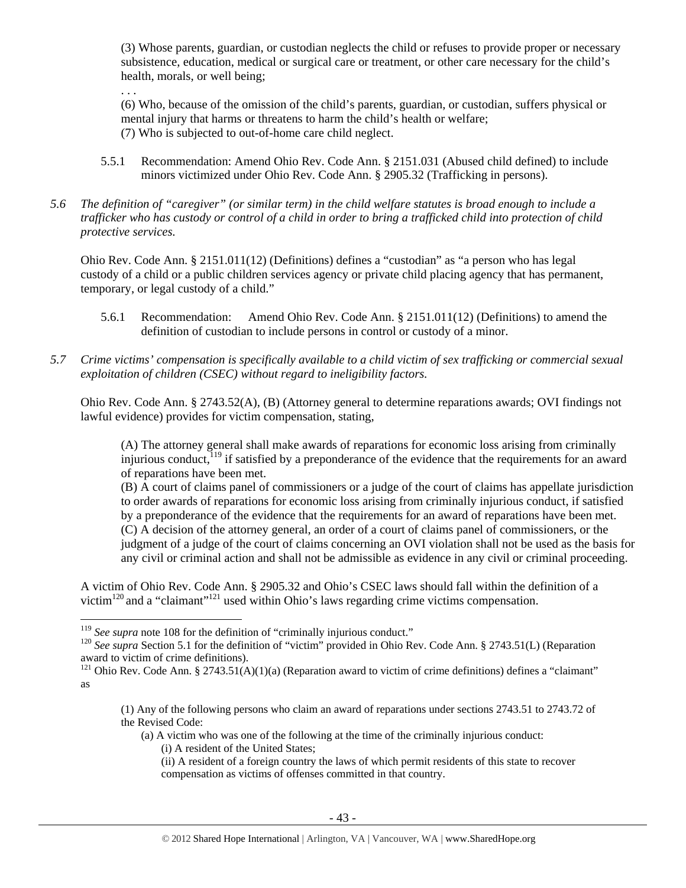(3) Whose parents, guardian, or custodian neglects the child or refuses to provide proper or necessary subsistence, education, medical or surgical care or treatment, or other care necessary for the child's health, morals, or well being;

. . .

(6) Who, because of the omission of the child's parents, guardian, or custodian, suffers physical or mental injury that harms or threatens to harm the child's health or welfare; (7) Who is subjected to out-of-home care child neglect.

- 5.5.1 Recommendation: Amend Ohio Rev. Code Ann. § 2151.031 (Abused child defined) to include minors victimized under Ohio Rev. Code Ann. § 2905.32 (Trafficking in persons).
- *5.6 The definition of "caregiver" (or similar term) in the child welfare statutes is broad enough to include a trafficker who has custody or control of a child in order to bring a trafficked child into protection of child protective services.*

Ohio Rev. Code Ann. § 2151.011(12) (Definitions) defines a "custodian" as "a person who has legal custody of a child or a public children services agency or private child placing agency that has permanent, temporary, or legal custody of a child."

- 5.6.1 Recommendation: Amend Ohio Rev. Code Ann. § 2151.011(12) (Definitions) to amend the definition of custodian to include persons in control or custody of a minor.
- *5.7 Crime victims' compensation is specifically available to a child victim of sex trafficking or commercial sexual exploitation of children (CSEC) without regard to ineligibility factors.*

Ohio Rev. Code Ann. § 2743.52(A), (B) (Attorney general to determine reparations awards; OVI findings not lawful evidence) provides for victim compensation, stating,

(A) The attorney general shall make awards of reparations for economic loss arising from criminally injurious conduct, $119$  if satisfied by a preponderance of the evidence that the requirements for an award of reparations have been met.

(B) A court of claims panel of commissioners or a judge of the court of claims has appellate jurisdiction to order awards of reparations for economic loss arising from criminally injurious conduct, if satisfied by a preponderance of the evidence that the requirements for an award of reparations have been met. (C) A decision of the attorney general, an order of a court of claims panel of commissioners, or the judgment of a judge of the court of claims concerning an OVI violation shall not be used as the basis for any civil or criminal action and shall not be admissible as evidence in any civil or criminal proceeding.

A victim of Ohio Rev. Code Ann. § 2905.32 and Ohio's CSEC laws should fall within the definition of a victim<sup>120</sup> and a "claimant"<sup>121</sup> used within Ohio's laws regarding crime victims compensation.

- (a) A victim who was one of the following at the time of the criminally injurious conduct: (i) A resident of the United States;
	- (ii) A resident of a foreign country the laws of which permit residents of this state to recover compensation as victims of offenses committed in that country.

 $119$  See supra note 108 for the definition of "criminally injurious conduct."

<sup>&</sup>lt;sup>120</sup> *See supra* Section 5.1 for the definition of "victim" provided in Ohio Rev. Code Ann. § 2743.51(L) (Reparation award to victim of crime definitions).

<sup>&</sup>lt;sup>121</sup> Ohio Rev. Code Ann. § 2743.51(A)(1)(a) (Reparation award to victim of crime definitions) defines a "claimant" as

<sup>(1)</sup> Any of the following persons who claim an award of reparations under sections 2743.51 to 2743.72 of the Revised Code: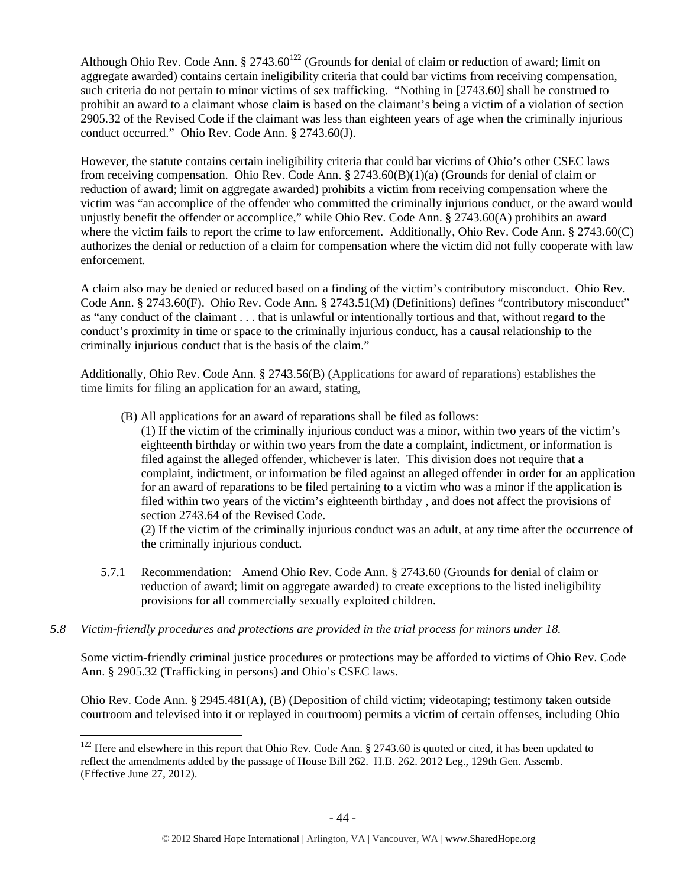Although Ohio Rev. Code Ann. § 2743.60<sup>122</sup> (Grounds for denial of claim or reduction of award; limit on aggregate awarded) contains certain ineligibility criteria that could bar victims from receiving compensation, such criteria do not pertain to minor victims of sex trafficking. "Nothing in [2743.60] shall be construed to prohibit an award to a claimant whose claim is based on the claimant's being a victim of a violation of section 2905.32 of the Revised Code if the claimant was less than eighteen years of age when the criminally injurious conduct occurred." Ohio Rev. Code Ann. § 2743.60(J).

However, the statute contains certain ineligibility criteria that could bar victims of Ohio's other CSEC laws from receiving compensation. Ohio Rev. Code Ann. § 2743.60(B)(1)(a) (Grounds for denial of claim or reduction of award; limit on aggregate awarded) prohibits a victim from receiving compensation where the victim was "an accomplice of the offender who committed the criminally injurious conduct, or the award would unjustly benefit the offender or accomplice," while Ohio Rev. Code Ann. § 2743.60(A) prohibits an award where the victim fails to report the crime to law enforcement. Additionally, Ohio Rev. Code Ann. § 2743.60(C) authorizes the denial or reduction of a claim for compensation where the victim did not fully cooperate with law enforcement.

A claim also may be denied or reduced based on a finding of the victim's contributory misconduct. Ohio Rev. Code Ann. § 2743.60(F). Ohio Rev. Code Ann. § 2743.51(M) (Definitions) defines "contributory misconduct" as "any conduct of the claimant . . . that is unlawful or intentionally tortious and that, without regard to the conduct's proximity in time or space to the criminally injurious conduct, has a causal relationship to the criminally injurious conduct that is the basis of the claim."

Additionally, Ohio Rev. Code Ann. § 2743.56(B) (Applications for award of reparations) establishes the time limits for filing an application for an award, stating,

(B) All applications for an award of reparations shall be filed as follows:

(1) If the victim of the criminally injurious conduct was a minor, within two years of the victim's eighteenth birthday or within two years from the date a complaint, indictment, or information is filed against the alleged offender, whichever is later. This division does not require that a complaint, indictment, or information be filed against an alleged offender in order for an application for an award of reparations to be filed pertaining to a victim who was a minor if the application is filed within two years of the victim's eighteenth birthday , and does not affect the provisions of section 2743.64 of the Revised Code.

(2) If the victim of the criminally injurious conduct was an adult, at any time after the occurrence of the criminally injurious conduct.

- 5.7.1 Recommendation: Amend Ohio Rev. Code Ann. § 2743.60 (Grounds for denial of claim or reduction of award; limit on aggregate awarded) to create exceptions to the listed ineligibility provisions for all commercially sexually exploited children.
- *5.8 Victim-friendly procedures and protections are provided in the trial process for minors under 18.*

Some victim-friendly criminal justice procedures or protections may be afforded to victims of Ohio Rev. Code Ann. § 2905.32 (Trafficking in persons) and Ohio's CSEC laws.

Ohio Rev. Code Ann. § 2945.481(A), (B) (Deposition of child victim; videotaping; testimony taken outside courtroom and televised into it or replayed in courtroom) permits a victim of certain offenses, including Ohio

  $122$  Here and elsewhere in this report that Ohio Rev. Code Ann. § 2743.60 is quoted or cited, it has been updated to reflect the amendments added by the passage of House Bill 262. H.B. 262. 2012 Leg., 129th Gen. Assemb. (Effective June 27, 2012).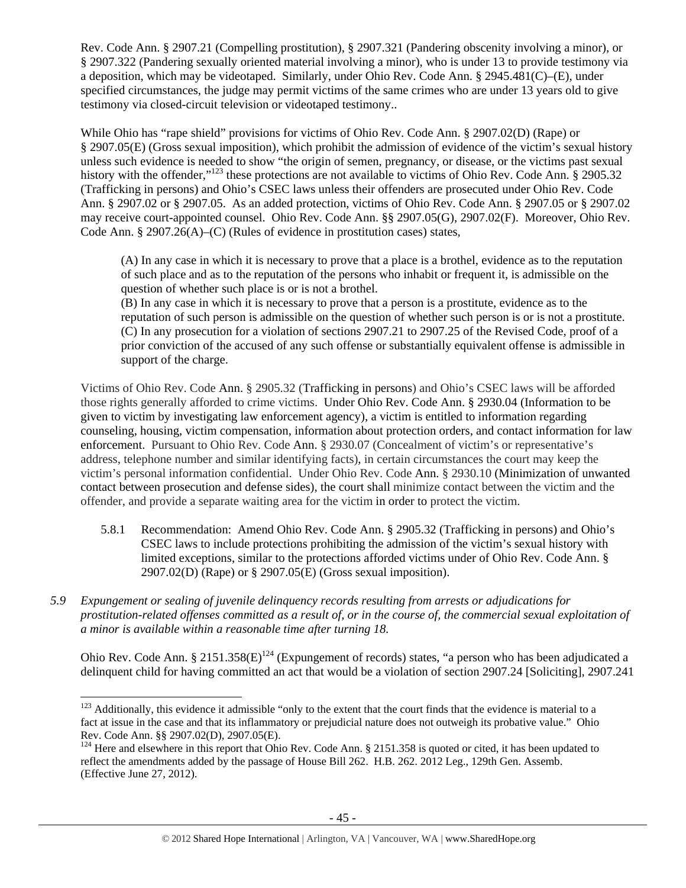Rev. Code Ann. § 2907.21 (Compelling prostitution), § 2907.321 (Pandering obscenity involving a minor), or § 2907.322 (Pandering sexually oriented material involving a minor), who is under 13 to provide testimony via a deposition, which may be videotaped. Similarly, under Ohio Rev. Code Ann. § 2945.481(C)–(E), under specified circumstances, the judge may permit victims of the same crimes who are under 13 years old to give testimony via closed-circuit television or videotaped testimony..

While Ohio has "rape shield" provisions for victims of Ohio Rev. Code Ann. § 2907.02(D) (Rape) or § 2907.05(E) (Gross sexual imposition), which prohibit the admission of evidence of the victim's sexual history unless such evidence is needed to show "the origin of semen, pregnancy, or disease, or the victims past sexual history with the offender,<sup>"123</sup> these protections are not available to victims of Ohio Rev. Code Ann. § 2905.32 (Trafficking in persons) and Ohio's CSEC laws unless their offenders are prosecuted under Ohio Rev. Code Ann. § 2907.02 or § 2907.05. As an added protection, victims of Ohio Rev. Code Ann. § 2907.05 or § 2907.02 may receive court-appointed counsel. Ohio Rev. Code Ann. §§ 2907.05(G), 2907.02(F). Moreover, Ohio Rev. Code Ann. § 2907.26(A)–(C) (Rules of evidence in prostitution cases) states,

(A) In any case in which it is necessary to prove that a place is a brothel, evidence as to the reputation of such place and as to the reputation of the persons who inhabit or frequent it, is admissible on the question of whether such place is or is not a brothel.

(B) In any case in which it is necessary to prove that a person is a prostitute, evidence as to the reputation of such person is admissible on the question of whether such person is or is not a prostitute. (C) In any prosecution for a violation of sections 2907.21 to 2907.25 of the Revised Code, proof of a prior conviction of the accused of any such offense or substantially equivalent offense is admissible in support of the charge.

Victims of Ohio Rev. Code Ann. § 2905.32 (Trafficking in persons) and Ohio's CSEC laws will be afforded those rights generally afforded to crime victims. Under Ohio Rev. Code Ann. § 2930.04 (Information to be given to victim by investigating law enforcement agency), a victim is entitled to information regarding counseling, housing, victim compensation, information about protection orders, and contact information for law enforcement. Pursuant to Ohio Rev. Code Ann. § 2930.07 (Concealment of victim's or representative's address, telephone number and similar identifying facts), in certain circumstances the court may keep the victim's personal information confidential. Under Ohio Rev. Code Ann. § 2930.10 (Minimization of unwanted contact between prosecution and defense sides), the court shall minimize contact between the victim and the offender, and provide a separate waiting area for the victim in order to protect the victim.

- 5.8.1 Recommendation: Amend Ohio Rev. Code Ann. § 2905.32 (Trafficking in persons) and Ohio's CSEC laws to include protections prohibiting the admission of the victim's sexual history with limited exceptions, similar to the protections afforded victims under of Ohio Rev. Code Ann. § 2907.02(D) (Rape) or § 2907.05(E) (Gross sexual imposition).
- *5.9 Expungement or sealing of juvenile delinquency records resulting from arrests or adjudications for prostitution-related offenses committed as a result of, or in the course of, the commercial sexual exploitation of a minor is available within a reasonable time after turning 18.*

Ohio Rev. Code Ann. § 2151.358(E)<sup>124</sup> (Expungement of records) states, "a person who has been adjudicated a delinquent child for having committed an act that would be a violation of section 2907.24 [Soliciting], 2907.241

  $123$  Additionally, this evidence it admissible "only to the extent that the court finds that the evidence is material to a fact at issue in the case and that its inflammatory or prejudicial nature does not outweigh its probative value." Ohio Rev. Code Ann. §§ 2907.02(D), 2907.05(E).

 $124$  Here and elsewhere in this report that Ohio Rev. Code Ann. § 2151.358 is quoted or cited, it has been updated to reflect the amendments added by the passage of House Bill 262. H.B. 262. 2012 Leg., 129th Gen. Assemb. (Effective June 27, 2012).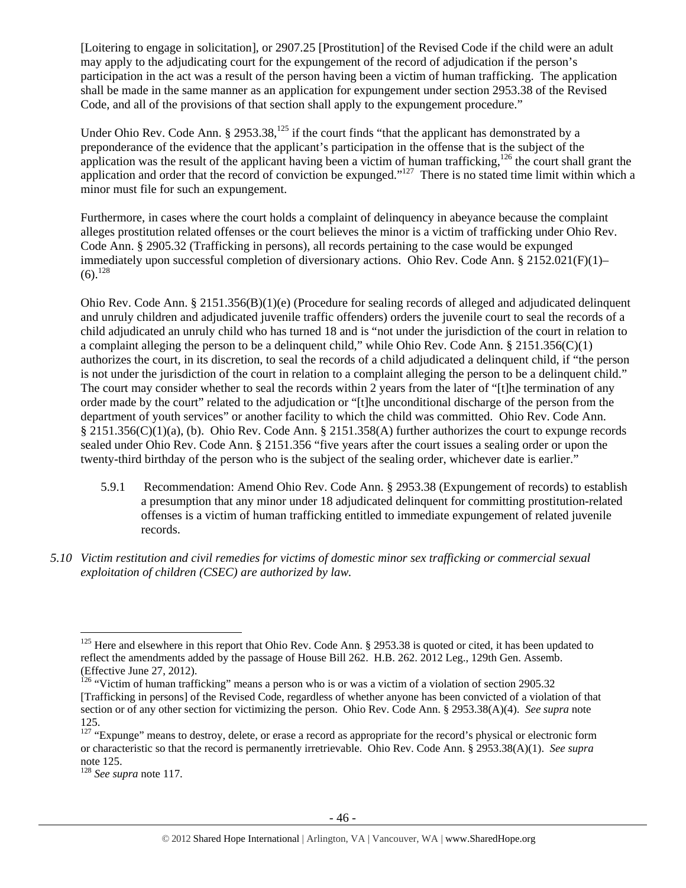[Loitering to engage in solicitation], or 2907.25 [Prostitution] of the Revised Code if the child were an adult may apply to the adjudicating court for the expungement of the record of adjudication if the person's participation in the act was a result of the person having been a victim of human trafficking. The application shall be made in the same manner as an application for expungement under section 2953.38 of the Revised Code, and all of the provisions of that section shall apply to the expungement procedure."

Under Ohio Rev. Code Ann.  $\S 2953.38$ ,  $^{125}$  if the court finds "that the applicant has demonstrated by a preponderance of the evidence that the applicant's participation in the offense that is the subject of the application was the result of the applicant having been a victim of human trafficking,<sup>126</sup> the court shall grant the application and order that the record of conviction be expunged."<sup>127</sup> There is no stated time limit within which a minor must file for such an expungement.

Furthermore, in cases where the court holds a complaint of delinquency in abeyance because the complaint alleges prostitution related offenses or the court believes the minor is a victim of trafficking under Ohio Rev. Code Ann. § 2905.32 (Trafficking in persons), all records pertaining to the case would be expunged immediately upon successful completion of diversionary actions. Ohio Rev. Code Ann. § 2152.021(F)(1)–  $(6)$ <sup>128</sup>

Ohio Rev. Code Ann. § 2151.356(B)(1)(e) (Procedure for sealing records of alleged and adjudicated delinquent and unruly children and adjudicated juvenile traffic offenders) orders the juvenile court to seal the records of a child adjudicated an unruly child who has turned 18 and is "not under the jurisdiction of the court in relation to a complaint alleging the person to be a delinquent child," while Ohio Rev. Code Ann. § 2151.356(C)(1) authorizes the court, in its discretion, to seal the records of a child adjudicated a delinquent child, if "the person is not under the jurisdiction of the court in relation to a complaint alleging the person to be a delinquent child." The court may consider whether to seal the records within 2 years from the later of "[t]he termination of any order made by the court" related to the adjudication or "[t]he unconditional discharge of the person from the department of youth services" or another facility to which the child was committed. Ohio Rev. Code Ann. § 2151.356(C)(1)(a), (b). Ohio Rev. Code Ann. § 2151.358(A) further authorizes the court to expunge records sealed under Ohio Rev. Code Ann. § 2151.356 "five years after the court issues a sealing order or upon the twenty-third birthday of the person who is the subject of the sealing order, whichever date is earlier."

- 5.9.1 Recommendation: Amend Ohio Rev. Code Ann. § 2953.38 (Expungement of records) to establish a presumption that any minor under 18 adjudicated delinquent for committing prostitution-related offenses is a victim of human trafficking entitled to immediate expungement of related juvenile records.
- *5.10 Victim restitution and civil remedies for victims of domestic minor sex trafficking or commercial sexual exploitation of children (CSEC) are authorized by law.*

  $125$  Here and elsewhere in this report that Ohio Rev. Code Ann. § 2953.38 is quoted or cited, it has been updated to reflect the amendments added by the passage of House Bill 262. H.B. 262. 2012 Leg., 129th Gen. Assemb. (Effective June 27, 2012).

 $126$  "Victim of human trafficking" means a person who is or was a victim of a violation of section 2905.32 [Trafficking in persons] of the Revised Code, regardless of whether anyone has been convicted of a violation of that section or of any other section for victimizing the person. Ohio Rev. Code Ann. § 2953.38(A)(4). *See supra* note 125.

<sup>&</sup>lt;sup>127</sup> "Expunge" means to destroy, delete, or erase a record as appropriate for the record's physical or electronic form or characteristic so that the record is permanently irretrievable. Ohio Rev. Code Ann. § 2953.38(A)(1). *See supra* note 125.

<sup>128</sup> *See supra* note 117.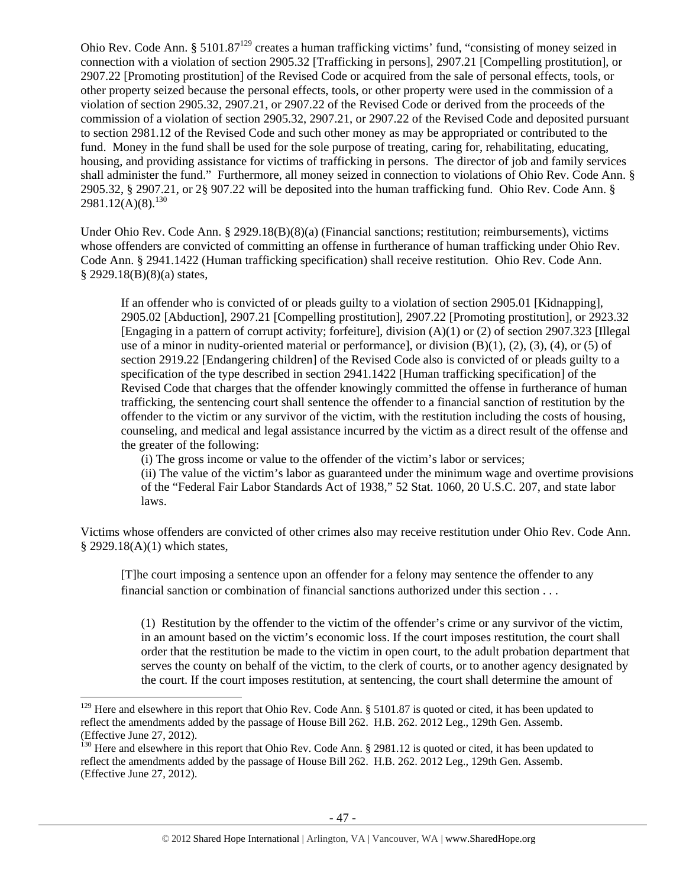Ohio Rev. Code Ann. § 5101.87<sup>129</sup> creates a human trafficking victims' fund, "consisting of money seized in connection with a violation of section 2905.32 [Trafficking in persons], 2907.21 [Compelling prostitution], or 2907.22 [Promoting prostitution] of the Revised Code or acquired from the sale of personal effects, tools, or other property seized because the personal effects, tools, or other property were used in the commission of a violation of section 2905.32, 2907.21, or 2907.22 of the Revised Code or derived from the proceeds of the commission of a violation of section 2905.32, 2907.21, or 2907.22 of the Revised Code and deposited pursuant to section 2981.12 of the Revised Code and such other money as may be appropriated or contributed to the fund. Money in the fund shall be used for the sole purpose of treating, caring for, rehabilitating, educating, housing, and providing assistance for victims of trafficking in persons. The director of job and family services shall administer the fund." Furthermore, all money seized in connection to violations of Ohio Rev. Code Ann. § 2905.32, § 2907.21, or 2§ 907.22 will be deposited into the human trafficking fund. Ohio Rev. Code Ann. §  $2981.12(A)(8).^{130}$ 

Under Ohio Rev. Code Ann. § 2929.18(B)(8)(a) (Financial sanctions; restitution; reimbursements), victims whose offenders are convicted of committing an offense in furtherance of human trafficking under Ohio Rev. Code Ann. § 2941.1422 (Human trafficking specification) shall receive restitution. Ohio Rev. Code Ann. § 2929.18(B)(8)(a) states,

If an offender who is convicted of or pleads guilty to a violation of section 2905.01 [Kidnapping], 2905.02 [Abduction], 2907.21 [Compelling prostitution], 2907.22 [Promoting prostitution], or 2923.32 [Engaging in a pattern of corrupt activity; forfeiture], division (A)(1) or (2) of section 2907.323 [Illegal use of a minor in nudity-oriented material or performance], or division  $(B)(1)$ ,  $(2)$ ,  $(3)$ ,  $(4)$ , or  $(5)$  of section 2919.22 [Endangering children] of the Revised Code also is convicted of or pleads guilty to a specification of the type described in section 2941.1422 [Human trafficking specification] of the Revised Code that charges that the offender knowingly committed the offense in furtherance of human trafficking, the sentencing court shall sentence the offender to a financial sanction of restitution by the offender to the victim or any survivor of the victim, with the restitution including the costs of housing, counseling, and medical and legal assistance incurred by the victim as a direct result of the offense and the greater of the following:

(i) The gross income or value to the offender of the victim's labor or services;

(ii) The value of the victim's labor as guaranteed under the minimum wage and overtime provisions of the "Federal Fair Labor Standards Act of 1938," 52 Stat. 1060, 20 U.S.C. 207, and state labor laws.

Victims whose offenders are convicted of other crimes also may receive restitution under Ohio Rev. Code Ann. § 2929.18(A)(1) which states,

[T]he court imposing a sentence upon an offender for a felony may sentence the offender to any financial sanction or combination of financial sanctions authorized under this section . . .

(1) Restitution by the offender to the victim of the offender's crime or any survivor of the victim, in an amount based on the victim's economic loss. If the court imposes restitution, the court shall order that the restitution be made to the victim in open court, to the adult probation department that serves the county on behalf of the victim, to the clerk of courts, or to another agency designated by the court. If the court imposes restitution, at sentencing, the court shall determine the amount of

 $129$  Here and elsewhere in this report that Ohio Rev. Code Ann. § 5101.87 is quoted or cited, it has been updated to reflect the amendments added by the passage of House Bill 262. H.B. 262. 2012 Leg., 129th Gen. Assemb. (Effective June 27, 2012).

 $^{130}$  Here and elsewhere in this report that Ohio Rev. Code Ann. § 2981.12 is quoted or cited, it has been updated to reflect the amendments added by the passage of House Bill 262. H.B. 262. 2012 Leg., 129th Gen. Assemb. (Effective June 27, 2012).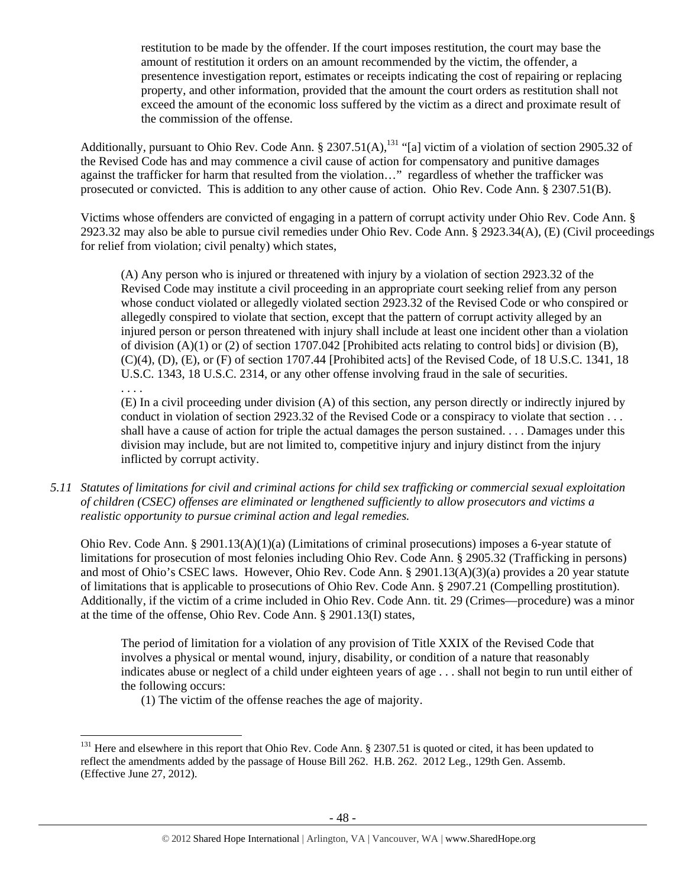restitution to be made by the offender. If the court imposes restitution, the court may base the amount of restitution it orders on an amount recommended by the victim, the offender, a presentence investigation report, estimates or receipts indicating the cost of repairing or replacing property, and other information, provided that the amount the court orders as restitution shall not exceed the amount of the economic loss suffered by the victim as a direct and proximate result of the commission of the offense.

Additionally, pursuant to Ohio Rev. Code Ann. § 2307.51(A),<sup>131</sup> "[a] victim of a violation of section 2905.32 of the Revised Code has and may commence a civil cause of action for compensatory and punitive damages against the trafficker for harm that resulted from the violation…" regardless of whether the trafficker was prosecuted or convicted. This is addition to any other cause of action. Ohio Rev. Code Ann. § 2307.51(B).

Victims whose offenders are convicted of engaging in a pattern of corrupt activity under Ohio Rev. Code Ann. § 2923.32 may also be able to pursue civil remedies under Ohio Rev. Code Ann. § 2923.34(A), (E) (Civil proceedings for relief from violation; civil penalty) which states,

(A) Any person who is injured or threatened with injury by a violation of section 2923.32 of the Revised Code may institute a civil proceeding in an appropriate court seeking relief from any person whose conduct violated or allegedly violated section 2923.32 of the Revised Code or who conspired or allegedly conspired to violate that section, except that the pattern of corrupt activity alleged by an injured person or person threatened with injury shall include at least one incident other than a violation of division (A)(1) or (2) of section 1707.042 [Prohibited acts relating to control bids] or division (B),  $(C)(4)$ ,  $(D)$ ,  $(E)$ , or  $(F)$  of section 1707.44 [Prohibited acts] of the Revised Code, of 18 U.S.C. 1341, 18 U.S.C. 1343, 18 U.S.C. 2314, or any other offense involving fraud in the sale of securities. . . . .

(E) In a civil proceeding under division (A) of this section, any person directly or indirectly injured by conduct in violation of section 2923.32 of the Revised Code or a conspiracy to violate that section . . . shall have a cause of action for triple the actual damages the person sustained. . . . Damages under this division may include, but are not limited to, competitive injury and injury distinct from the injury inflicted by corrupt activity.

*5.11 Statutes of limitations for civil and criminal actions for child sex trafficking or commercial sexual exploitation of children (CSEC) offenses are eliminated or lengthened sufficiently to allow prosecutors and victims a realistic opportunity to pursue criminal action and legal remedies.* 

Ohio Rev. Code Ann. § 2901.13(A)(1)(a) (Limitations of criminal prosecutions) imposes a 6-year statute of limitations for prosecution of most felonies including Ohio Rev. Code Ann. § 2905.32 (Trafficking in persons) and most of Ohio's CSEC laws. However, Ohio Rev. Code Ann. § 2901.13(A)(3)(a) provides a 20 year statute of limitations that is applicable to prosecutions of Ohio Rev. Code Ann. § 2907.21 (Compelling prostitution). Additionally, if the victim of a crime included in Ohio Rev. Code Ann. tit. 29 (Crimes—procedure) was a minor at the time of the offense, Ohio Rev. Code Ann. § 2901.13(I) states,

The period of limitation for a violation of any provision of Title XXIX of the Revised Code that involves a physical or mental wound, injury, disability, or condition of a nature that reasonably indicates abuse or neglect of a child under eighteen years of age . . . shall not begin to run until either of the following occurs:

(1) The victim of the offense reaches the age of majority.

 <sup>131</sup> Here and elsewhere in this report that Ohio Rev. Code Ann. § 2307.51 is quoted or cited, it has been updated to reflect the amendments added by the passage of House Bill 262. H.B. 262. 2012 Leg., 129th Gen. Assemb. (Effective June 27, 2012).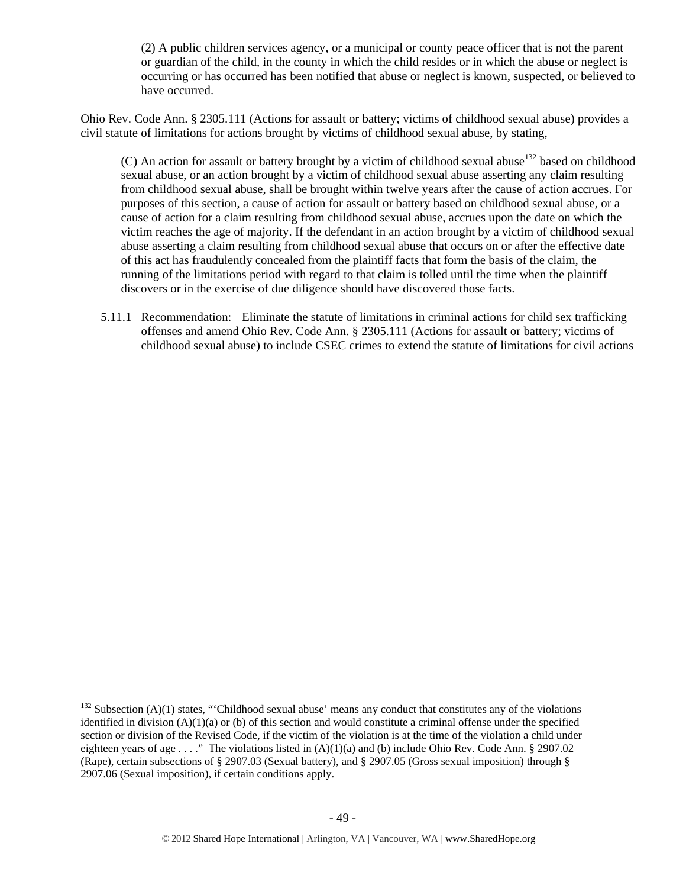(2) A public children services agency, or a municipal or county peace officer that is not the parent or guardian of the child, in the county in which the child resides or in which the abuse or neglect is occurring or has occurred has been notified that abuse or neglect is known, suspected, or believed to have occurred.

Ohio Rev. Code Ann. § 2305.111 (Actions for assault or battery; victims of childhood sexual abuse) provides a civil statute of limitations for actions brought by victims of childhood sexual abuse, by stating,

(C) An action for assault or battery brought by a victim of childhood sexual abuse<sup>132</sup> based on childhood sexual abuse, or an action brought by a victim of childhood sexual abuse asserting any claim resulting from childhood sexual abuse, shall be brought within twelve years after the cause of action accrues. For purposes of this section, a cause of action for assault or battery based on childhood sexual abuse, or a cause of action for a claim resulting from childhood sexual abuse, accrues upon the date on which the victim reaches the age of majority. If the defendant in an action brought by a victim of childhood sexual abuse asserting a claim resulting from childhood sexual abuse that occurs on or after the effective date of this act has fraudulently concealed from the plaintiff facts that form the basis of the claim, the running of the limitations period with regard to that claim is tolled until the time when the plaintiff discovers or in the exercise of due diligence should have discovered those facts.

5.11.1 Recommendation: Eliminate the statute of limitations in criminal actions for child sex trafficking offenses and amend Ohio Rev. Code Ann. § 2305.111 (Actions for assault or battery; victims of childhood sexual abuse) to include CSEC crimes to extend the statute of limitations for civil actions

 $132$  Subsection (A)(1) states, "'Childhood sexual abuse' means any conduct that constitutes any of the violations identified in division  $(A)(1)(a)$  or (b) of this section and would constitute a criminal offense under the specified section or division of the Revised Code, if the victim of the violation is at the time of the violation a child under eighteen years of age . . . ." The violations listed in  $(A)(1)(a)$  and (b) include Ohio Rev. Code Ann. § 2907.02 (Rape), certain subsections of § 2907.03 (Sexual battery), and § 2907.05 (Gross sexual imposition) through § 2907.06 (Sexual imposition), if certain conditions apply.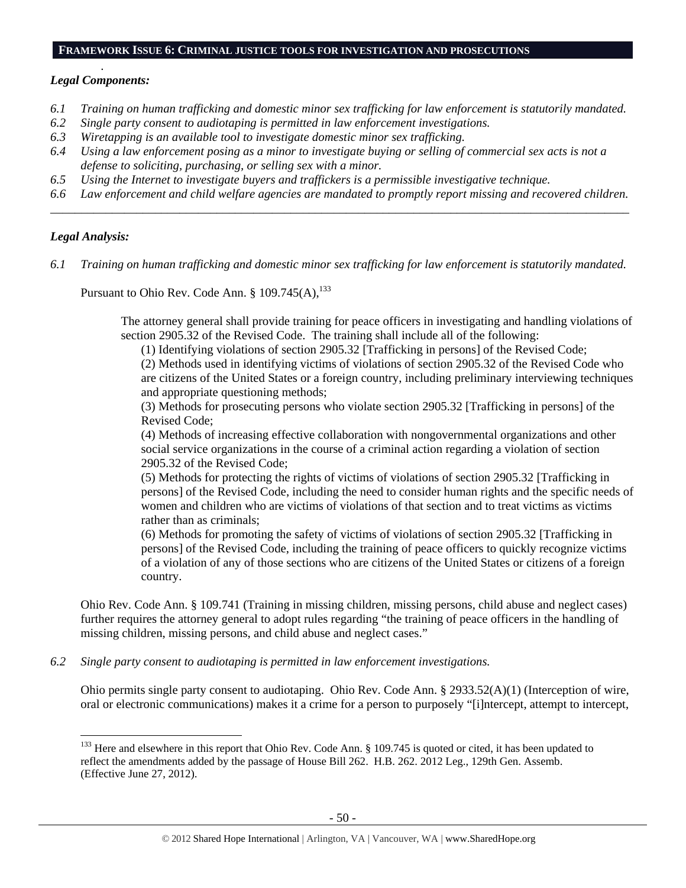#### **FRAMEWORK ISSUE 6: CRIMINAL JUSTICE TOOLS FOR INVESTIGATION AND PROSECUTIONS**

#### . *Legal Components:*

- *6.1 Training on human trafficking and domestic minor sex trafficking for law enforcement is statutorily mandated.*
- *6.2 Single party consent to audiotaping is permitted in law enforcement investigations.*
- *6.3 Wiretapping is an available tool to investigate domestic minor sex trafficking.*
- *6.4 Using a law enforcement posing as a minor to investigate buying or selling of commercial sex acts is not a defense to soliciting, purchasing, or selling sex with a minor.*
- *6.5 Using the Internet to investigate buyers and traffickers is a permissible investigative technique.*
- *6.6 Law enforcement and child welfare agencies are mandated to promptly report missing and recovered children. \_\_\_\_\_\_\_\_\_\_\_\_\_\_\_\_\_\_\_\_\_\_\_\_\_\_\_\_\_\_\_\_\_\_\_\_\_\_\_\_\_\_\_\_\_\_\_\_\_\_\_\_\_\_\_\_\_\_\_\_\_\_\_\_\_\_\_\_\_\_\_\_\_\_\_\_\_\_\_\_\_\_\_\_\_\_\_\_\_\_\_\_\_\_*

## *Legal Analysis:*

*6.1 Training on human trafficking and domestic minor sex trafficking for law enforcement is statutorily mandated.* 

Pursuant to Ohio Rev. Code Ann.  $§ 109.745(A),$ <sup>133</sup>

The attorney general shall provide training for peace officers in investigating and handling violations of section 2905.32 of the Revised Code. The training shall include all of the following:

(1) Identifying violations of section 2905.32 [Trafficking in persons] of the Revised Code;

(2) Methods used in identifying victims of violations of section 2905.32 of the Revised Code who are citizens of the United States or a foreign country, including preliminary interviewing techniques and appropriate questioning methods;

(3) Methods for prosecuting persons who violate section 2905.32 [Trafficking in persons] of the Revised Code;

(4) Methods of increasing effective collaboration with nongovernmental organizations and other social service organizations in the course of a criminal action regarding a violation of section 2905.32 of the Revised Code;

(5) Methods for protecting the rights of victims of violations of section 2905.32 [Trafficking in persons] of the Revised Code, including the need to consider human rights and the specific needs of women and children who are victims of violations of that section and to treat victims as victims rather than as criminals;

(6) Methods for promoting the safety of victims of violations of section 2905.32 [Trafficking in persons] of the Revised Code, including the training of peace officers to quickly recognize victims of a violation of any of those sections who are citizens of the United States or citizens of a foreign country.

Ohio Rev. Code Ann. § 109.741 (Training in missing children, missing persons, child abuse and neglect cases) further requires the attorney general to adopt rules regarding "the training of peace officers in the handling of missing children, missing persons, and child abuse and neglect cases."

*6.2 Single party consent to audiotaping is permitted in law enforcement investigations.* 

Ohio permits single party consent to audiotaping. Ohio Rev. Code Ann. § 2933.52(A)(1) (Interception of wire, oral or electronic communications) makes it a crime for a person to purposely "[i]ntercept, attempt to intercept,

 <sup>133</sup> Here and elsewhere in this report that Ohio Rev. Code Ann. § 109.745 is quoted or cited, it has been updated to reflect the amendments added by the passage of House Bill 262. H.B. 262. 2012 Leg., 129th Gen. Assemb. (Effective June 27, 2012).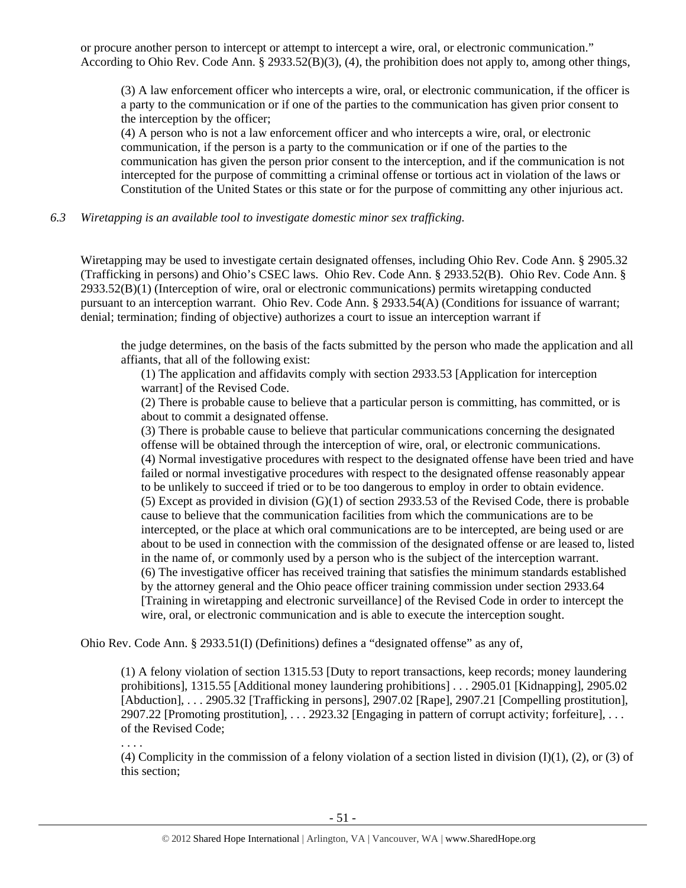or procure another person to intercept or attempt to intercept a wire, oral, or electronic communication." According to Ohio Rev. Code Ann. § 2933.52(B)(3), (4), the prohibition does not apply to, among other things,

(3) A law enforcement officer who intercepts a wire, oral, or electronic communication, if the officer is a party to the communication or if one of the parties to the communication has given prior consent to the interception by the officer;

(4) A person who is not a law enforcement officer and who intercepts a wire, oral, or electronic communication, if the person is a party to the communication or if one of the parties to the communication has given the person prior consent to the interception, and if the communication is not intercepted for the purpose of committing a criminal offense or tortious act in violation of the laws or Constitution of the United States or this state or for the purpose of committing any other injurious act.

*6.3 Wiretapping is an available tool to investigate domestic minor sex trafficking.* 

Wiretapping may be used to investigate certain designated offenses, including Ohio Rev. Code Ann. § 2905.32 (Trafficking in persons) and Ohio's CSEC laws. Ohio Rev. Code Ann. § 2933.52(B). Ohio Rev. Code Ann. § 2933.52(B)(1) (Interception of wire, oral or electronic communications) permits wiretapping conducted pursuant to an interception warrant. Ohio Rev. Code Ann. § 2933.54(A) (Conditions for issuance of warrant; denial; termination; finding of objective) authorizes a court to issue an interception warrant if

the judge determines, on the basis of the facts submitted by the person who made the application and all affiants, that all of the following exist:

(1) The application and affidavits comply with section 2933.53 [Application for interception warrant] of the Revised Code.

(2) There is probable cause to believe that a particular person is committing, has committed, or is about to commit a designated offense.

(3) There is probable cause to believe that particular communications concerning the designated offense will be obtained through the interception of wire, oral, or electronic communications. (4) Normal investigative procedures with respect to the designated offense have been tried and have failed or normal investigative procedures with respect to the designated offense reasonably appear to be unlikely to succeed if tried or to be too dangerous to employ in order to obtain evidence.  $(5)$  Except as provided in division  $(G)(1)$  of section 2933.53 of the Revised Code, there is probable cause to believe that the communication facilities from which the communications are to be intercepted, or the place at which oral communications are to be intercepted, are being used or are about to be used in connection with the commission of the designated offense or are leased to, listed in the name of, or commonly used by a person who is the subject of the interception warrant. (6) The investigative officer has received training that satisfies the minimum standards established by the attorney general and the Ohio peace officer training commission under section 2933.64 [Training in wiretapping and electronic surveillance] of the Revised Code in order to intercept the wire, oral, or electronic communication and is able to execute the interception sought.

Ohio Rev. Code Ann. § 2933.51(I) (Definitions) defines a "designated offense" as any of,

(1) A felony violation of section 1315.53 [Duty to report transactions, keep records; money laundering prohibitions], 1315.55 [Additional money laundering prohibitions] . . . 2905.01 [Kidnapping], 2905.02 [Abduction], ... 2905.32 [Trafficking in persons], 2907.02 [Rape], 2907.21 [Compelling prostitution], 2907.22 [Promoting prostitution], . . . 2923.32 [Engaging in pattern of corrupt activity; forfeiture], . . . of the Revised Code;

. . . .

(4) Complicity in the commission of a felony violation of a section listed in division  $(I)(1)$ ,  $(2)$ , or  $(3)$  of this section;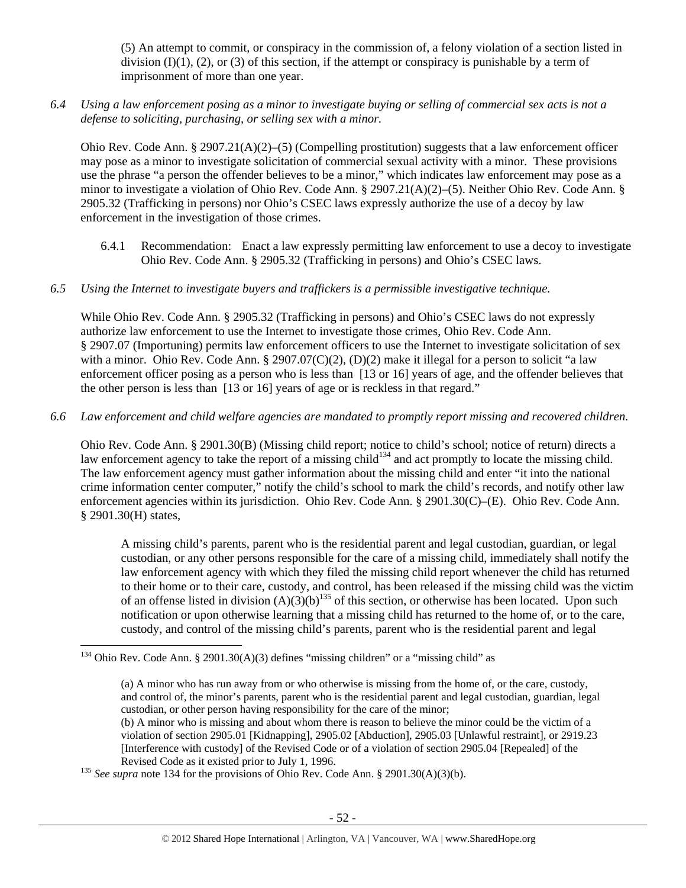(5) An attempt to commit, or conspiracy in the commission of, a felony violation of a section listed in division  $(I)(1)$ ,  $(2)$ , or  $(3)$  of this section, if the attempt or conspiracy is punishable by a term of imprisonment of more than one year.

*6.4 Using a law enforcement posing as a minor to investigate buying or selling of commercial sex acts is not a defense to soliciting, purchasing, or selling sex with a minor.* 

Ohio Rev. Code Ann. § 2907.21(A)(2)–(5) (Compelling prostitution) suggests that a law enforcement officer may pose as a minor to investigate solicitation of commercial sexual activity with a minor. These provisions use the phrase "a person the offender believes to be a minor," which indicates law enforcement may pose as a minor to investigate a violation of Ohio Rev. Code Ann. § 2907.21(A)(2)–(5). Neither Ohio Rev. Code Ann. § 2905.32 (Trafficking in persons) nor Ohio's CSEC laws expressly authorize the use of a decoy by law enforcement in the investigation of those crimes.

- 6.4.1 Recommendation: Enact a law expressly permitting law enforcement to use a decoy to investigate Ohio Rev. Code Ann. § 2905.32 (Trafficking in persons) and Ohio's CSEC laws.
- *6.5 Using the Internet to investigate buyers and traffickers is a permissible investigative technique.*

While Ohio Rev. Code Ann. § 2905.32 (Trafficking in persons) and Ohio's CSEC laws do not expressly authorize law enforcement to use the Internet to investigate those crimes, Ohio Rev. Code Ann. § 2907.07 (Importuning) permits law enforcement officers to use the Internet to investigate solicitation of sex with a minor. Ohio Rev. Code Ann. § 2907.07(C)(2), (D)(2) make it illegal for a person to solicit "a law enforcement officer posing as a person who is less than [13 or 16] years of age, and the offender believes that the other person is less than [13 or 16] years of age or is reckless in that regard."

*6.6 Law enforcement and child welfare agencies are mandated to promptly report missing and recovered children.* 

Ohio Rev. Code Ann. § 2901.30(B) (Missing child report; notice to child's school; notice of return) directs a law enforcement agency to take the report of a missing child<sup>134</sup> and act promptly to locate the missing child. The law enforcement agency must gather information about the missing child and enter "it into the national crime information center computer," notify the child's school to mark the child's records, and notify other law enforcement agencies within its jurisdiction. Ohio Rev. Code Ann. § 2901.30(C)–(E). Ohio Rev. Code Ann. § 2901.30(H) states,

A missing child's parents, parent who is the residential parent and legal custodian, guardian, or legal custodian, or any other persons responsible for the care of a missing child, immediately shall notify the law enforcement agency with which they filed the missing child report whenever the child has returned to their home or to their care, custody, and control, has been released if the missing child was the victim of an offense listed in division  $(A)(3)(b)^{135}$  of this section, or otherwise has been located. Upon such notification or upon otherwise learning that a missing child has returned to the home of, or to the care, custody, and control of the missing child's parents, parent who is the residential parent and legal

Revised Code as it existed prior to July 1, 1996.<br><sup>135</sup> *See supra* note 134 for the provisions of Ohio Rev. Code Ann. § 2901.30(A)(3)(b).

 $134$  Ohio Rev. Code Ann. § 2901.30(A)(3) defines "missing children" or a "missing child" as

<sup>(</sup>a) A minor who has run away from or who otherwise is missing from the home of, or the care, custody, and control of, the minor's parents, parent who is the residential parent and legal custodian, guardian, legal custodian, or other person having responsibility for the care of the minor;

<sup>(</sup>b) A minor who is missing and about whom there is reason to believe the minor could be the victim of a violation of section 2905.01 [Kidnapping], 2905.02 [Abduction], 2905.03 [Unlawful restraint], or 2919.23 [Interference with custody] of the Revised Code or of a violation of section 2905.04 [Repealed] of the